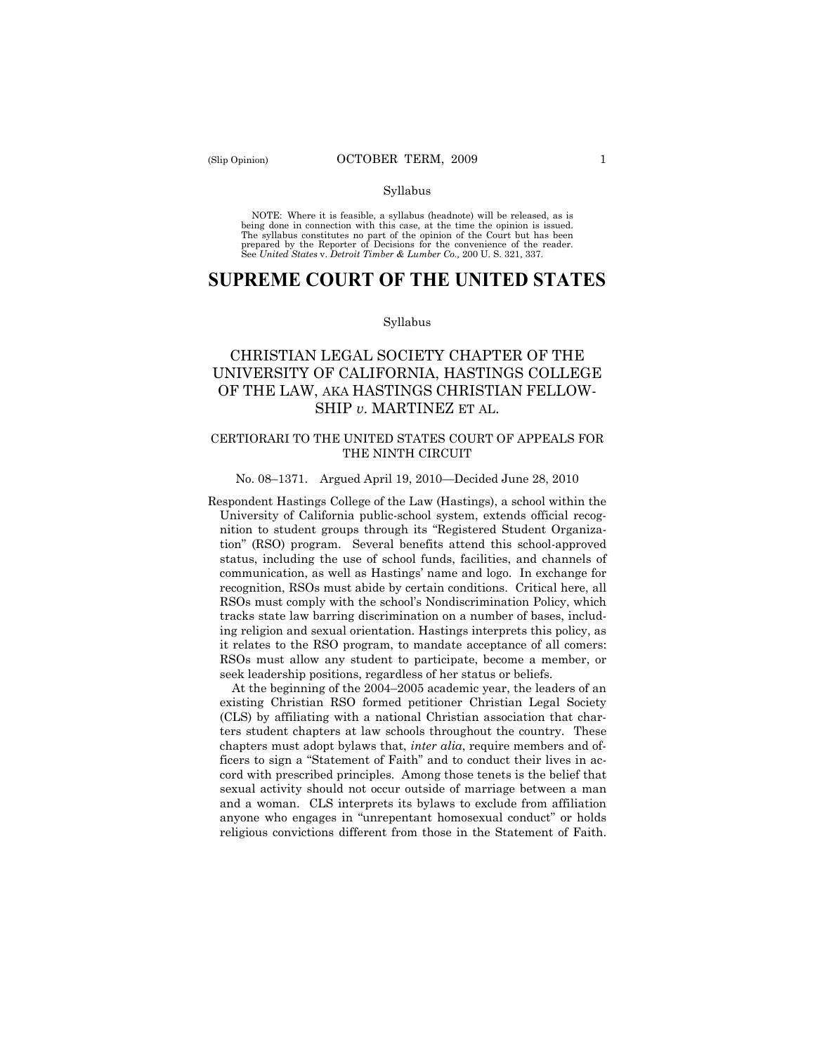#### Syllabus

NOTE: Where it is feasible, a syllabus (headnote) will be released, as is being done in connection with this case, at the time the opinion is issued. The syllabus constitutes no part of the opinion of the Court but has been<br>prepared by the Reporter of Decisions for the convenience of the reader.<br>See United States v. Detroit Timber & Lumber Co., 200 U. S. 321, 337.

# **SUPREME COURT OF THE UNITED STATES**

#### Syllabus

## CHRISTIAN LEGAL SOCIETY CHAPTER OF THE UNIVERSITY OF CALIFORNIA, HASTINGS COLLEGE OF THE LAW, AKA HASTINGS CHRISTIAN FELLOW-SHIP *v*. MARTINEZ ET AL.

#### CERTIORARI TO THE UNITED STATES COURT OF APPEALS FOR THE NINTH CIRCUIT

#### No. 08–1371. Argued April 19, 2010—Decided June 28, 2010

Respondent Hastings College of the Law (Hastings), a school within the University of California public-school system, extends official recognition to student groups through its "Registered Student Organization" (RSO) program. Several benefits attend this school-approved status, including the use of school funds, facilities, and channels of communication, as well as Hastings' name and logo. In exchange for recognition, RSOs must abide by certain conditions. Critical here, all RSOs must comply with the school's Nondiscrimination Policy, which tracks state law barring discrimination on a number of bases, including religion and sexual orientation. Hastings interprets this policy, as it relates to the RSO program, to mandate acceptance of all comers: RSOs must allow any student to participate, become a member, or seek leadership positions, regardless of her status or beliefs.

At the beginning of the 2004–2005 academic year, the leaders of an existing Christian RSO formed petitioner Christian Legal Society (CLS) by affiliating with a national Christian association that charters student chapters at law schools throughout the country. These chapters must adopt bylaws that, *inter alia*, require members and officers to sign a "Statement of Faith" and to conduct their lives in accord with prescribed principles. Among those tenets is the belief that sexual activity should not occur outside of marriage between a man and a woman. CLS interprets its bylaws to exclude from affiliation anyone who engages in "unrepentant homosexual conduct" or holds religious convictions different from those in the Statement of Faith.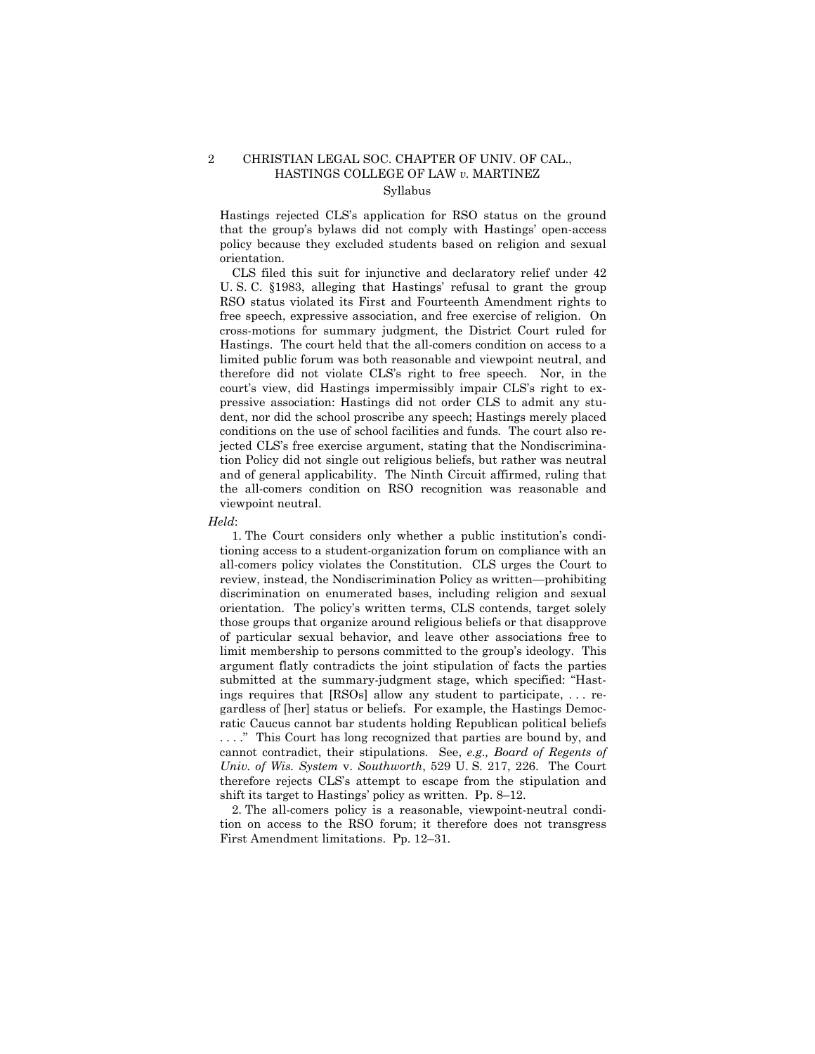### 2 CHRISTIAN LEGAL SOC. CHAPTER OF UNIV. OF CAL., HASTINGS COLLEGE OF LAW *v.* MARTINEZ Syllabus

Hastings rejected CLS's application for RSO status on the ground that the group's bylaws did not comply with Hastings' open-access policy because they excluded students based on religion and sexual orientation.

CLS filed this suit for injunctive and declaratory relief under 42 U. S. C. §1983, alleging that Hastings' refusal to grant the group RSO status violated its First and Fourteenth Amendment rights to free speech, expressive association, and free exercise of religion. On cross-motions for summary judgment, the District Court ruled for Hastings. The court held that the all-comers condition on access to a limited public forum was both reasonable and viewpoint neutral, and therefore did not violate CLS's right to free speech. Nor, in the court's view, did Hastings impermissibly impair CLS's right to expressive association: Hastings did not order CLS to admit any student, nor did the school proscribe any speech; Hastings merely placed conditions on the use of school facilities and funds*.* The court also rejected CLS's free exercise argument, stating that the Nondiscrimination Policy did not single out religious beliefs, but rather was neutral and of general applicability. The Ninth Circuit affirmed, ruling that the all-comers condition on RSO recognition was reasonable and viewpoint neutral.

#### *Held*:

1. The Court considers only whether a public institution's conditioning access to a student-organization forum on compliance with an all-comers policy violates the Constitution. CLS urges the Court to review, instead, the Nondiscrimination Policy as written—prohibiting discrimination on enumerated bases, including religion and sexual orientation. The policy's written terms, CLS contends, target solely those groups that organize around religious beliefs or that disapprove of particular sexual behavior, and leave other associations free to limit membership to persons committed to the group's ideology. This argument flatly contradicts the joint stipulation of facts the parties submitted at the summary-judgment stage, which specified: "Hastings requires that [RSOs] allow any student to participate, . . . regardless of [her] status or beliefs. For example, the Hastings Democratic Caucus cannot bar students holding Republican political beliefs . . . ." This Court has long recognized that parties are bound by, and cannot contradict, their stipulations. See, *e.g., Board of Regents of Univ. of Wis. System* v. *Southworth*, 529 U. S. 217, 226. The Court therefore rejects CLS's attempt to escape from the stipulation and shift its target to Hastings' policy as written. Pp. 8–12.

2. The all-comers policy is a reasonable, viewpoint-neutral condition on access to the RSO forum; it therefore does not transgress First Amendment limitations. Pp. 12–31.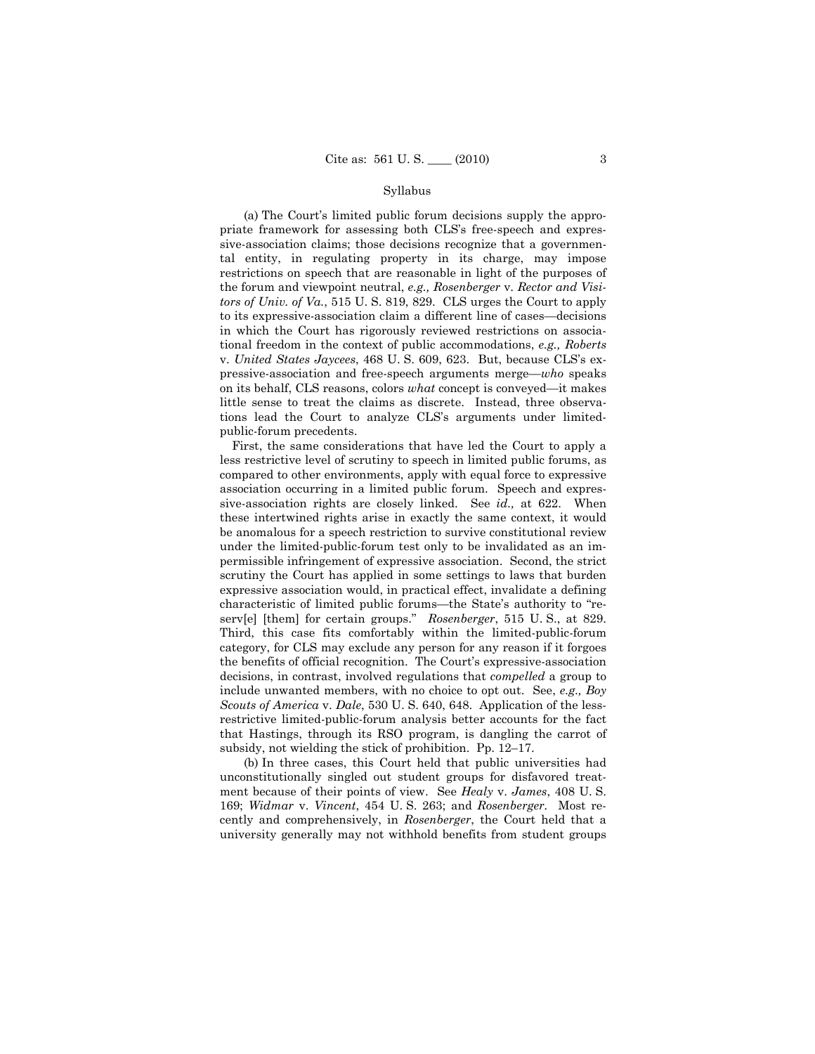#### Syllabus

(a) The Court's limited public forum decisions supply the appropriate framework for assessing both CLS's free-speech and expressive-association claims; those decisions recognize that a governmental entity, in regulating property in its charge, may impose restrictions on speech that are reasonable in light of the purposes of the forum and viewpoint neutral, *e.g., Rosenberger* v. *Rector and Visitors of Univ. of Va.*, 515 U. S. 819, 829. CLS urges the Court to apply to its expressive-association claim a different line of cases—decisions in which the Court has rigorously reviewed restrictions on associational freedom in the context of public accommodations, *e.g., Roberts*  v. *United States Jaycees*, 468 U. S. 609, 623. But, because CLS's expressive-association and free-speech arguments merge—*who* speaks on its behalf, CLS reasons, colors *what* concept is conveyed—it makes little sense to treat the claims as discrete. Instead, three observations lead the Court to analyze CLS's arguments under limitedpublic-forum precedents.

First, the same considerations that have led the Court to apply a less restrictive level of scrutiny to speech in limited public forums, as compared to other environments, apply with equal force to expressive association occurring in a limited public forum. Speech and expressive-association rights are closely linked. See *id.,* at 622. When these intertwined rights arise in exactly the same context, it would be anomalous for a speech restriction to survive constitutional review under the limited-public-forum test only to be invalidated as an impermissible infringement of expressive association. Second, the strict scrutiny the Court has applied in some settings to laws that burden expressive association would, in practical effect, invalidate a defining characteristic of limited public forums—the State's authority to "reserv[e] [them] for certain groups." *Rosenberger*, 515 U. S., at 829. Third, this case fits comfortably within the limited-public-forum category, for CLS may exclude any person for any reason if it forgoes the benefits of official recognition. The Court's expressive-association decisions, in contrast, involved regulations that *compelled* a group to include unwanted members, with no choice to opt out. See, *e.g., Boy Scouts of America* v. *Dale*, 530 U. S. 640, 648. Application of the lessrestrictive limited-public-forum analysis better accounts for the fact that Hastings, through its RSO program, is dangling the carrot of subsidy, not wielding the stick of prohibition. Pp. 12–17.

(b) In three cases, this Court held that public universities had unconstitutionally singled out student groups for disfavored treatment because of their points of view. See *Healy* v. *James*, 408 U. S. 169; *Widmar* v. *Vincent*, 454 U. S. 263; and *Rosenberger.* Most recently and comprehensively, in *Rosenberger*, the Court held that a university generally may not withhold benefits from student groups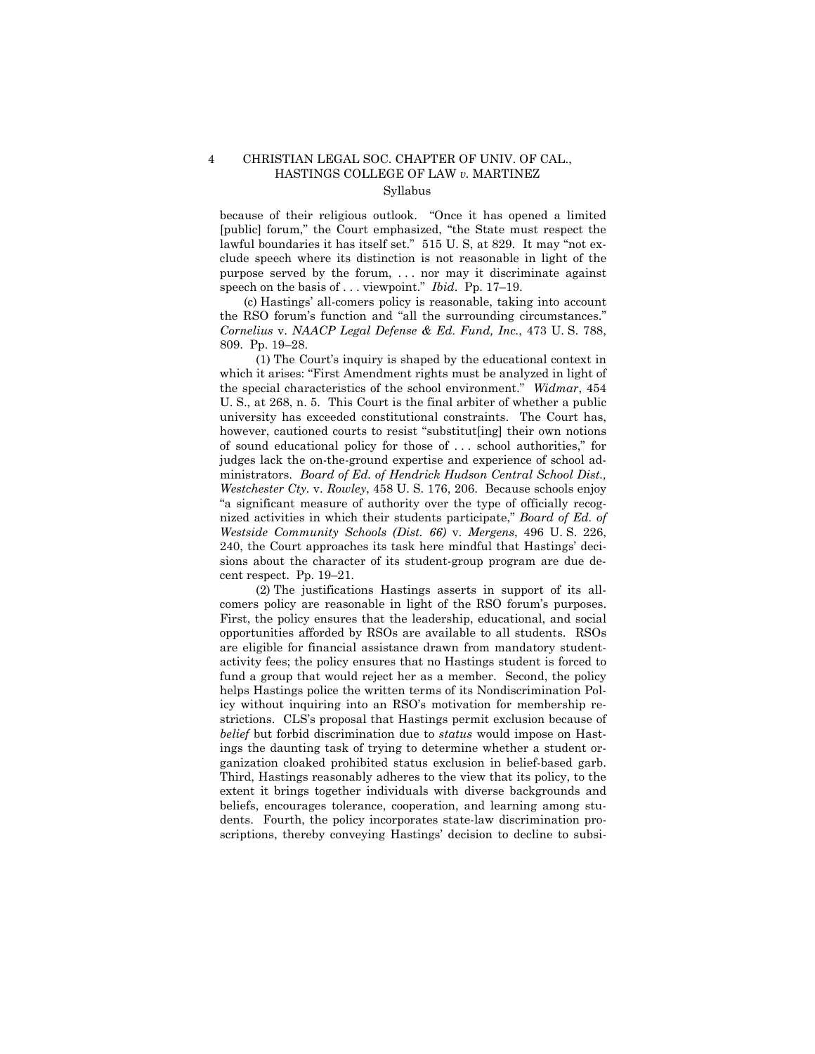### 4 CHRISTIAN LEGAL SOC. CHAPTER OF UNIV. OF CAL., HASTINGS COLLEGE OF LAW *v.* MARTINEZ Syllabus

because of their religious outlook. "Once it has opened a limited [public] forum," the Court emphasized, "the State must respect the lawful boundaries it has itself set." 515 U. S, at 829. It may "not exclude speech where its distinction is not reasonable in light of the purpose served by the forum, . . . nor may it discriminate against

speech on the basis of . . . viewpoint." *Ibid*. Pp. 17–19. (c) Hastings' all-comers policy is reasonable, taking into account the RSO forum's function and "all the surrounding circumstances." *Cornelius* v. *NAACP Legal Defense & Ed. Fund, Inc.*, 473 U. S. 788, 809. Pp. 19–28.

(1) The Court's inquiry is shaped by the educational context in which it arises: "First Amendment rights must be analyzed in light of the special characteristics of the school environment." *Widmar*, 454 U. S., at 268, n. 5. This Court is the final arbiter of whether a public university has exceeded constitutional constraints. The Court has, however, cautioned courts to resist "substitut[ing] their own notions of sound educational policy for those of . . . school authorities," for judges lack the on-the-ground expertise and experience of school administrators. *Board of Ed. of Hendrick Hudson Central School Dist., Westchester Cty.* v. *Rowley*, 458 U. S. 176, 206. Because schools enjoy "a significant measure of authority over the type of officially recognized activities in which their students participate," *Board of Ed. of Westside Community Schools (Dist. 66)* v. *Mergens*, 496 U. S. 226, 240, the Court approaches its task here mindful that Hastings' decisions about the character of its student-group program are due decent respect. Pp. 19–21.

(2) The justifications Hastings asserts in support of its allcomers policy are reasonable in light of the RSO forum's purposes. First, the policy ensures that the leadership, educational, and social opportunities afforded by RSOs are available to all students. RSOs are eligible for financial assistance drawn from mandatory studentactivity fees; the policy ensures that no Hastings student is forced to fund a group that would reject her as a member. Second, the policy helps Hastings police the written terms of its Nondiscrimination Policy without inquiring into an RSO's motivation for membership restrictions. CLS's proposal that Hastings permit exclusion because of *belief* but forbid discrimination due to *status* would impose on Hastings the daunting task of trying to determine whether a student organization cloaked prohibited status exclusion in belief-based garb. Third, Hastings reasonably adheres to the view that its policy, to the extent it brings together individuals with diverse backgrounds and beliefs, encourages tolerance, cooperation, and learning among students. Fourth, the policy incorporates state-law discrimination proscriptions, thereby conveying Hastings' decision to decline to subsi-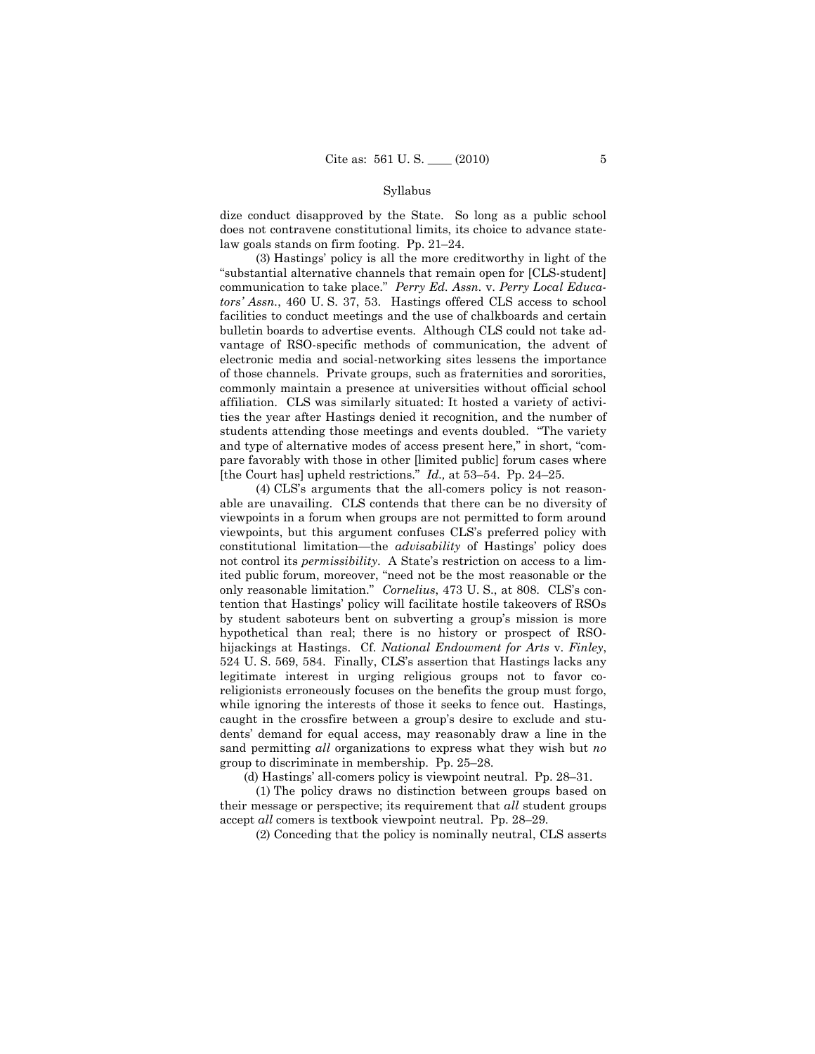#### Syllabus

dize conduct disapproved by the State. So long as a public school does not contravene constitutional limits, its choice to advance statelaw goals stands on firm footing. Pp. 21–24.

(3) Hastings' policy is all the more creditworthy in light of the "substantial alternative channels that remain open for [CLS-student] communication to take place." *Perry Ed. Assn.* v. *Perry Local Educators' Assn.*, 460 U. S. 37, 53. Hastings offered CLS access to school facilities to conduct meetings and the use of chalkboards and certain bulletin boards to advertise events. Although CLS could not take advantage of RSO-specific methods of communication, the advent of electronic media and social-networking sites lessens the importance of those channels. Private groups, such as fraternities and sororities, commonly maintain a presence at universities without official school affiliation. CLS was similarly situated: It hosted a variety of activities the year after Hastings denied it recognition, and the number of students attending those meetings and events doubled. "The variety and type of alternative modes of access present here," in short, "compare favorably with those in other [limited public] forum cases where [the Court has] upheld restrictions." *Id.,* at 53–54. Pp. 24–25.

(4) CLS's arguments that the all-comers policy is not reasonable are unavailing. CLS contends that there can be no diversity of viewpoints in a forum when groups are not permitted to form around viewpoints, but this argument confuses CLS's preferred policy with constitutional limitation—the *advisability* of Hastings' policy does not control its *permissibility*. A State's restriction on access to a limited public forum, moreover, "need not be the most reasonable or the only reasonable limitation." *Cornelius*, 473 U. S., at 808. CLS's contention that Hastings' policy will facilitate hostile takeovers of RSOs by student saboteurs bent on subverting a group's mission is more hypothetical than real; there is no history or prospect of RSOhijackings at Hastings. Cf. *National Endowment for Arts* v. *Finley*, 524 U. S. 569, 584. Finally, CLS's assertion that Hastings lacks any legitimate interest in urging religious groups not to favor coreligionists erroneously focuses on the benefits the group must forgo, while ignoring the interests of those it seeks to fence out. Hastings, caught in the crossfire between a group's desire to exclude and students' demand for equal access, may reasonably draw a line in the sand permitting *all* organizations to express what they wish but *no*  group to discriminate in membership. Pp. 25–28.

(d) Hastings' all-comers policy is viewpoint neutral. Pp. 28–31.

(1) The policy draws no distinction between groups based on their message or perspective; its requirement that *all* student groups accept *all* comers is textbook viewpoint neutral. Pp. 28–29.

(2) Conceding that the policy is nominally neutral, CLS asserts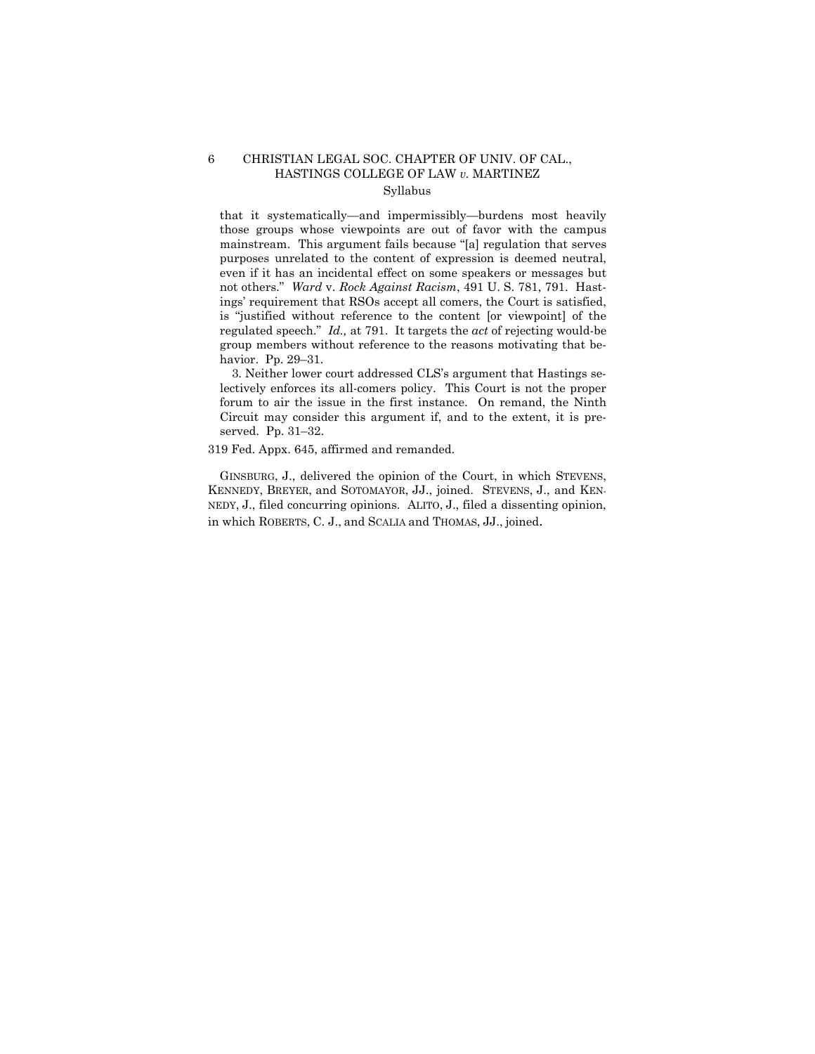### 6 CHRISTIAN LEGAL SOC. CHAPTER OF UNIV. OF CAL., HASTINGS COLLEGE OF LAW *v.* MARTINEZ Syllabus

that it systematically—and impermissibly—burdens most heavily those groups whose viewpoints are out of favor with the campus mainstream. This argument fails because "[a] regulation that serves purposes unrelated to the content of expression is deemed neutral, even if it has an incidental effect on some speakers or messages but not others." *Ward* v. *Rock Against Racism*, 491 U. S. 781, 791. Hastings' requirement that RSOs accept all comers, the Court is satisfied, is "justified without reference to the content [or viewpoint] of the regulated speech." *Id.,* at 791. It targets the *act* of rejecting would-be group members without reference to the reasons motivating that behavior. Pp. 29–31.

3. Neither lower court addressed CLS's argument that Hastings selectively enforces its all-comers policy. This Court is not the proper forum to air the issue in the first instance. On remand, the Ninth Circuit may consider this argument if, and to the extent, it is preserved. Pp. 31–32.

319 Fed. Appx. 645, affirmed and remanded.

GINSBURG, J., delivered the opinion of the Court, in which STEVENS, KENNEDY, BREYER, and SOTOMAYOR, JJ., joined. STEVENS, J., and KEN-NEDY, J., filed concurring opinions. ALITO, J., filed a dissenting opinion, in which ROBERTS, C. J., and SCALIA and THOMAS, JJ., joined.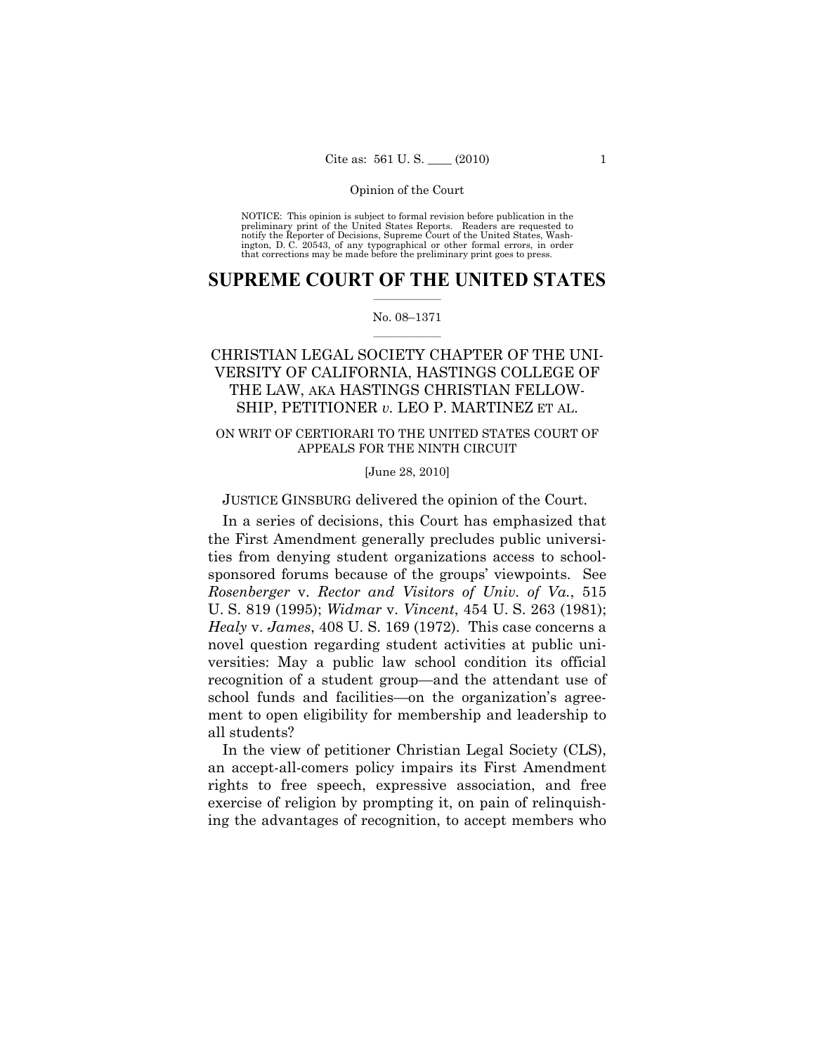NOTICE: This opinion is subject to formal revision before publication in the preliminary print of the United States Reports. Readers are requested to notify the Reporter of Decisions, Supreme Court of the United States, Washington, D. C. 20543, of any typographical or other formal errors, in order that corrections may be made before the preliminary print goes to press.

### $\frac{1}{2}$  ,  $\frac{1}{2}$  ,  $\frac{1}{2}$  ,  $\frac{1}{2}$  ,  $\frac{1}{2}$  ,  $\frac{1}{2}$  ,  $\frac{1}{2}$ **SUPREME COURT OF THE UNITED STATES**

#### $\frac{1}{2}$  ,  $\frac{1}{2}$  ,  $\frac{1}{2}$  ,  $\frac{1}{2}$  ,  $\frac{1}{2}$  ,  $\frac{1}{2}$ No. 08–1371

## CHRISTIAN LEGAL SOCIETY CHAPTER OF THE UNI-VERSITY OF CALIFORNIA, HASTINGS COLLEGE OF THE LAW, AKA HASTINGS CHRISTIAN FELLOW-SHIP, PETITIONER *v.* LEO P. MARTINEZ ET AL.

### ON WRIT OF CERTIORARI TO THE UNITED STATES COURT OF APPEALS FOR THE NINTH CIRCUIT

### [June 28, 2010]

JUSTICE GINSBURG delivered the opinion of the Court.

In a series of decisions, this Court has emphasized that the First Amendment generally precludes public universities from denying student organizations access to schoolsponsored forums because of the groups' viewpoints. See *Rosenberger* v. *Rector and Visitors of Univ. of Va.*, 515 U. S. 819 (1995); *Widmar* v. *Vincent*, 454 U. S. 263 (1981); *Healy* v. *James*, 408 U. S. 169 (1972). This case concerns a novel question regarding student activities at public universities: May a public law school condition its official recognition of a student group—and the attendant use of school funds and facilities—on the organization's agreement to open eligibility for membership and leadership to all students?

In the view of petitioner Christian Legal Society (CLS), an accept-all-comers policy impairs its First Amendment rights to free speech, expressive association, and free exercise of religion by prompting it, on pain of relinquishing the advantages of recognition, to accept members who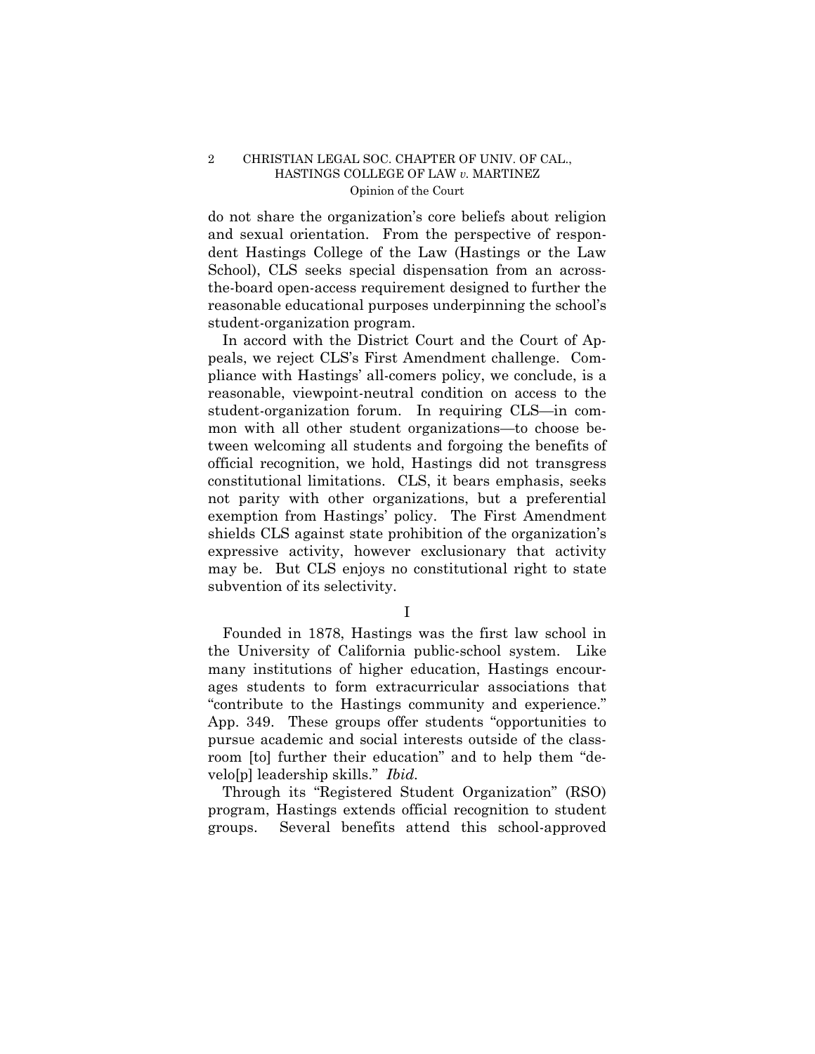do not share the organization's core beliefs about religion and sexual orientation. From the perspective of respondent Hastings College of the Law (Hastings or the Law School), CLS seeks special dispensation from an acrossthe-board open-access requirement designed to further the reasonable educational purposes underpinning the school's student-organization program.

In accord with the District Court and the Court of Appeals, we reject CLS's First Amendment challenge. Compliance with Hastings' all-comers policy, we conclude, is a reasonable, viewpoint-neutral condition on access to the student-organization forum. In requiring CLS—in common with all other student organizations—to choose between welcoming all students and forgoing the benefits of official recognition, we hold, Hastings did not transgress constitutional limitations. CLS, it bears emphasis, seeks not parity with other organizations, but a preferential exemption from Hastings' policy. The First Amendment shields CLS against state prohibition of the organization's expressive activity, however exclusionary that activity may be. But CLS enjoys no constitutional right to state subvention of its selectivity.

I

Founded in 1878, Hastings was the first law school in the University of California public-school system. Like many institutions of higher education, Hastings encourages students to form extracurricular associations that "contribute to the Hastings community and experience." App. 349. These groups offer students "opportunities to pursue academic and social interests outside of the classroom [to] further their education" and to help them "develo[p] leadership skills." *Ibid.* 

Through its "Registered Student Organization" (RSO) program, Hastings extends official recognition to student groups. Several benefits attend this school-approved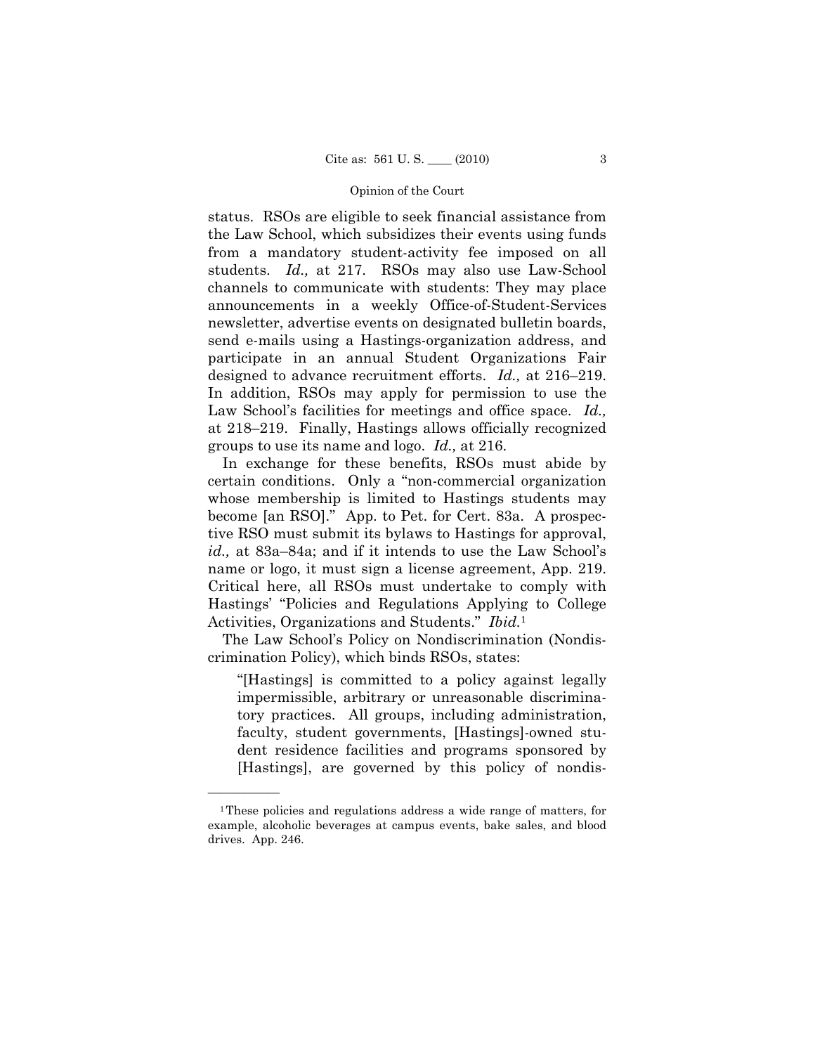status. RSOs are eligible to seek financial assistance from the Law School, which subsidizes their events using funds from a mandatory student-activity fee imposed on all students. *Id.,* at 217. RSOs may also use Law-School channels to communicate with students: They may place announcements in a weekly Office-of-Student-Services newsletter, advertise events on designated bulletin boards, send e-mails using a Hastings-organization address, and participate in an annual Student Organizations Fair designed to advance recruitment efforts. *Id.,* at 216–219. In addition, RSOs may apply for permission to use the Law School's facilities for meetings and office space. *Id.,*  at 218–219. Finally, Hastings allows officially recognized groups to use its name and logo. *Id.,* at 216.

In exchange for these benefits, RSOs must abide by certain conditions. Only a "non-commercial organization whose membership is limited to Hastings students may become [an RSO]." App. to Pet. for Cert. 83a. A prospective RSO must submit its bylaws to Hastings for approval, *id.,* at 83a–84a; and if it intends to use the Law School's name or logo, it must sign a license agreement, App. 219. Critical here, all RSOs must undertake to comply with Hastings' "Policies and Regulations Applying to College Activities, Organizations and Students." *Ibid.*<sup>1</sup>

The Law School's Policy on Nondiscrimination (Nondiscrimination Policy), which binds RSOs, states:

"[Hastings] is committed to a policy against legally impermissible, arbitrary or unreasonable discriminatory practices. All groups, including administration, faculty, student governments, [Hastings]-owned student residence facilities and programs sponsored by [Hastings], are governed by this policy of nondis

<sup>1</sup>These policies and regulations address a wide range of matters, for example, alcoholic beverages at campus events, bake sales, and blood drives. App. 246.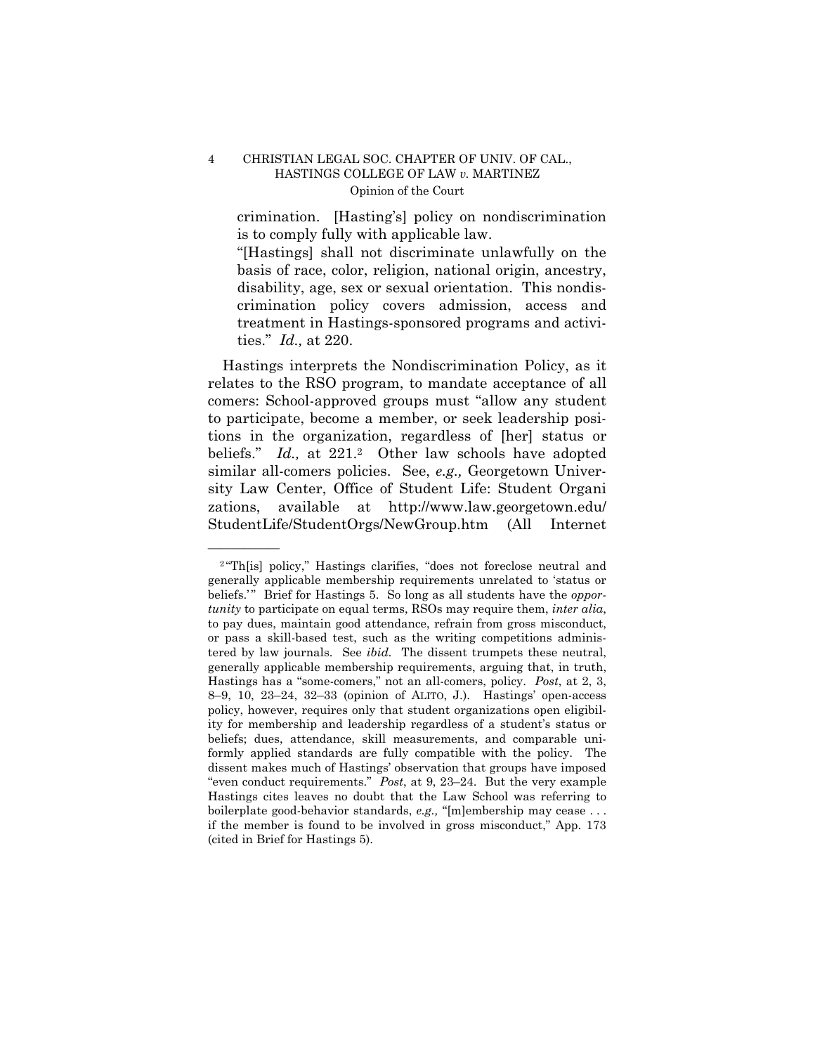crimination. [Hasting's] policy on nondiscrimination is to comply fully with applicable law.

"[Hastings] shall not discriminate unlawfully on the basis of race, color, religion, national origin, ancestry, disability, age, sex or sexual orientation. This nondiscrimination policy covers admission, access and treatment in Hastings-sponsored programs and activities." *Id.,* at 220.

Hastings interprets the Nondiscrimination Policy, as it relates to the RSO program, to mandate acceptance of all comers: School-approved groups must "allow any student to participate, become a member, or seek leadership positions in the organization, regardless of [her] status or beliefs." *Id.*, at 221.<sup>2</sup> Other law schools have adopted similar all-comers policies. See, *e.g.,* Georgetown University Law Center, Office of Student Life: Student Organi zations, available at http://www.law.georgetown.edu/ StudentLife/StudentOrgs/NewGroup.htm (All Internet

<sup>&</sup>lt;sup>2</sup> "Th[is] policy," Hastings clarifies, "does not foreclose neutral and generally applicable membership requirements unrelated to 'status or beliefs." Brief for Hastings 5. So long as all students have the *opportunity* to participate on equal terms, RSOs may require them, *inter alia*, to pay dues, maintain good attendance, refrain from gross misconduct, or pass a skill-based test, such as the writing competitions administered by law journals. See *ibid.* The dissent trumpets these neutral, generally applicable membership requirements, arguing that, in truth, Hastings has a "some-comers," not an all-comers, policy. *Post*, at 2, 3, 8–9, 10, 23–24, 32–33 (opinion of ALITO, J.). Hastings' open-access policy, however, requires only that student organizations open eligibility for membership and leadership regardless of a student's status or beliefs; dues, attendance, skill measurements, and comparable uniformly applied standards are fully compatible with the policy. The dissent makes much of Hastings' observation that groups have imposed "even conduct requirements." *Post*, at 9, 23–24. But the very example Hastings cites leaves no doubt that the Law School was referring to boilerplate good-behavior standards, *e.g.,* "[m]embership may cease . . . if the member is found to be involved in gross misconduct," App. 173 (cited in Brief for Hastings 5).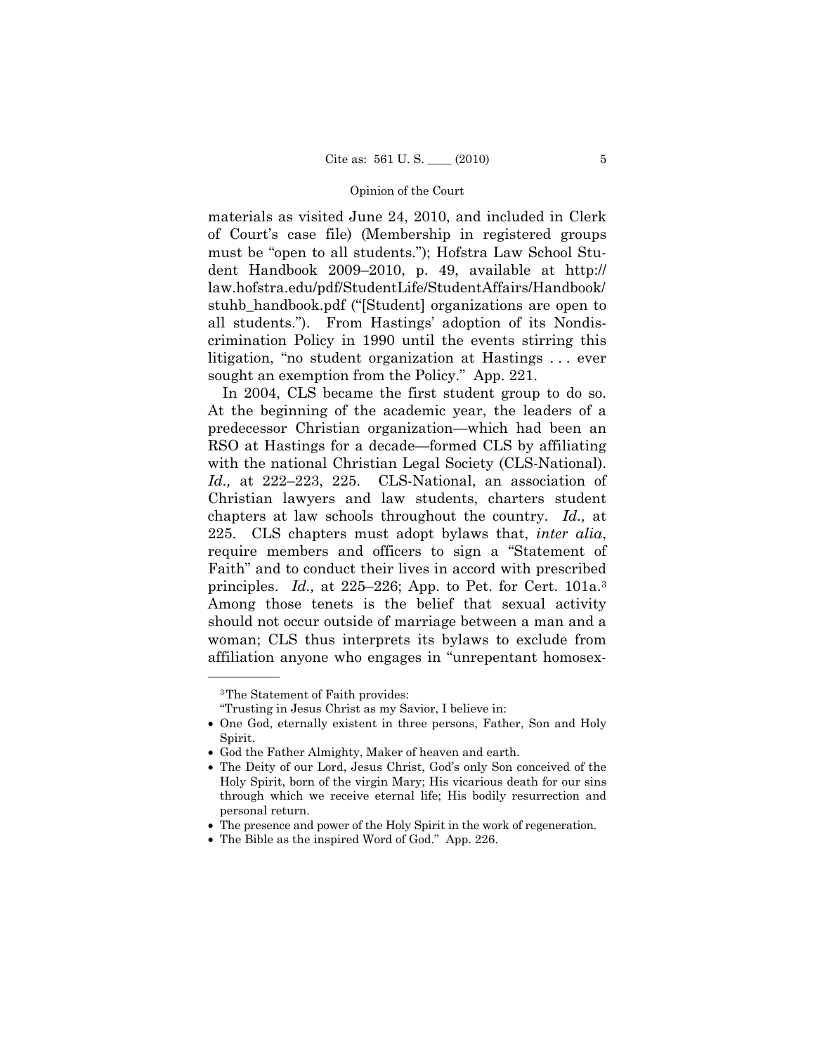materials as visited June 24, 2010, and included in Clerk of Court's case file) (Membership in registered groups must be "open to all students."); Hofstra Law School Student Handbook 2009–2010, p. 49, available at http:// law.hofstra.edu/pdf/StudentLife/StudentAffairs/Handbook/ stuhb\_handbook.pdf ("[Student] organizations are open to all students."). From Hastings' adoption of its Nondiscrimination Policy in 1990 until the events stirring this litigation, "no student organization at Hastings . . . ever sought an exemption from the Policy." App. 221.

In 2004, CLS became the first student group to do so. At the beginning of the academic year, the leaders of a predecessor Christian organization—which had been an RSO at Hastings for a decade—formed CLS by affiliating with the national Christian Legal Society (CLS-National). *Id.,* at 222–223, 225. CLS-National, an association of Christian lawyers and law students, charters student chapters at law schools throughout the country. *Id.,* at 225. CLS chapters must adopt bylaws that, *inter alia*, require members and officers to sign a "Statement of Faith" and to conduct their lives in accord with prescribed principles. *Id.,* at 225–226; App. to Pet. for Cert. 101a.3 Among those tenets is the belief that sexual activity should not occur outside of marriage between a man and a woman; CLS thus interprets its bylaws to exclude from affiliation anyone who engages in "unrepentant homosex

<sup>3</sup>The Statement of Faith provides:

<sup>&</sup>quot;Trusting in Jesus Christ as my Savior, I believe in:

<sup>•</sup> One God, eternally existent in three persons, Father, Son and Holy Spirit.

<sup>•</sup> God the Father Almighty, Maker of heaven and earth.

<sup>•</sup> The Deity of our Lord, Jesus Christ, God's only Son conceived of the Holy Spirit, born of the virgin Mary; His vicarious death for our sins through which we receive eternal life; His bodily resurrection and personal return.

<sup>•</sup> The presence and power of the Holy Spirit in the work of regeneration.

<sup>•</sup> The Bible as the inspired Word of God." App. 226.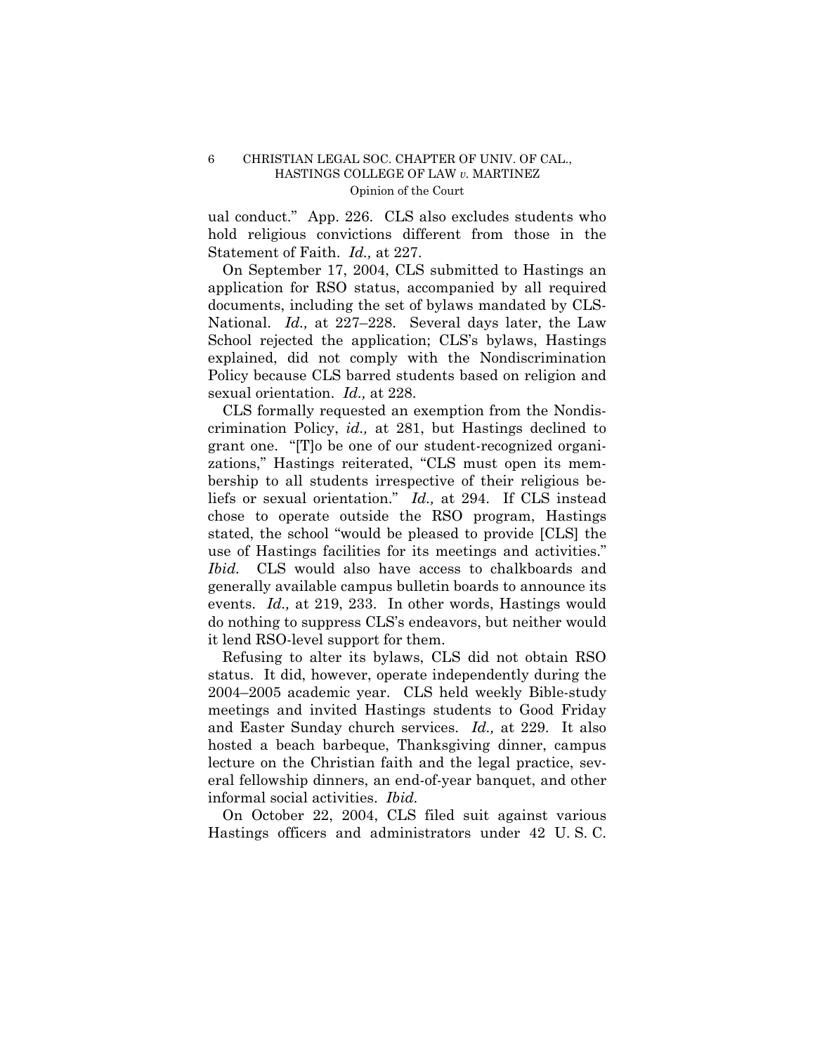ual conduct." App. 226. CLS also excludes students who hold religious convictions different from those in the Statement of Faith. *Id.,* at 227.

On September 17, 2004, CLS submitted to Hastings an application for RSO status, accompanied by all required documents, including the set of bylaws mandated by CLS-National. *Id.,* at 227–228. Several days later, the Law School rejected the application; CLS's bylaws, Hastings explained, did not comply with the Nondiscrimination Policy because CLS barred students based on religion and sexual orientation. *Id.,* at 228.

CLS formally requested an exemption from the Nondiscrimination Policy, *id.,* at 281, but Hastings declined to grant one. "[T]o be one of our student-recognized organizations," Hastings reiterated, "CLS must open its membership to all students irrespective of their religious beliefs or sexual orientation." *Id.,* at 294. If CLS instead chose to operate outside the RSO program, Hastings stated, the school "would be pleased to provide [CLS] the use of Hastings facilities for its meetings and activities." *Ibid.* CLS would also have access to chalkboards and generally available campus bulletin boards to announce its events. *Id.,* at 219, 233. In other words, Hastings would do nothing to suppress CLS's endeavors, but neither would it lend RSO-level support for them.

Refusing to alter its bylaws, CLS did not obtain RSO status. It did, however, operate independently during the 2004–2005 academic year. CLS held weekly Bible-study meetings and invited Hastings students to Good Friday and Easter Sunday church services. *Id.,* at 229. It also hosted a beach barbeque, Thanksgiving dinner, campus lecture on the Christian faith and the legal practice, several fellowship dinners, an end-of-year banquet, and other informal social activities. *Ibid.* 

On October 22, 2004, CLS filed suit against various Hastings officers and administrators under 42 U. S. C.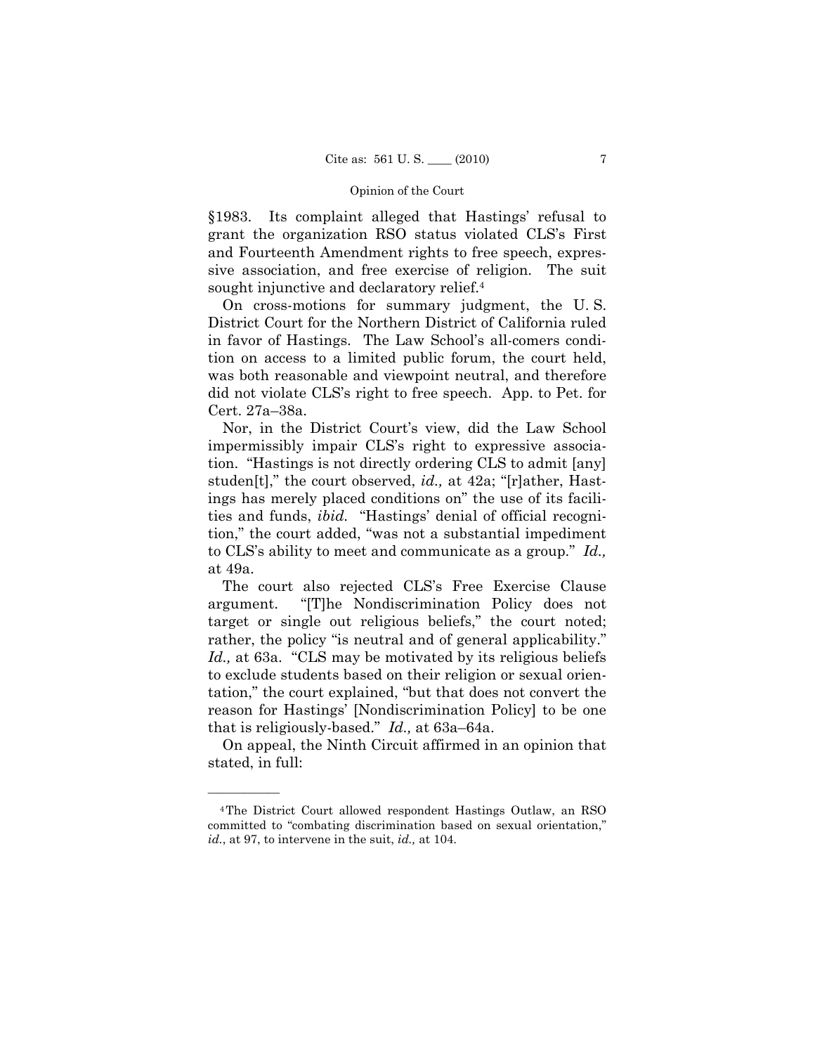§1983. Its complaint alleged that Hastings' refusal to grant the organization RSO status violated CLS's First and Fourteenth Amendment rights to free speech, expressive association, and free exercise of religion. The suit sought injunctive and declaratory relief.4

On cross-motions for summary judgment, the U. S. District Court for the Northern District of California ruled in favor of Hastings. The Law School's all-comers condition on access to a limited public forum, the court held, was both reasonable and viewpoint neutral, and therefore did not violate CLS's right to free speech. App. to Pet. for Cert. 27a–38a.

Nor, in the District Court's view, did the Law School impermissibly impair CLS's right to expressive association. "Hastings is not directly ordering CLS to admit [any] studen[t]," the court observed, *id.,* at 42a; "[r]ather, Hastings has merely placed conditions on" the use of its facilities and funds, *ibid.* "Hastings' denial of official recognition," the court added, "was not a substantial impediment to CLS's ability to meet and communicate as a group." *Id.,*  at 49a.

The court also rejected CLS's Free Exercise Clause argument. "[T]he Nondiscrimination Policy does not target or single out religious beliefs," the court noted; rather, the policy "is neutral and of general applicability." *Id.,* at 63a. "CLS may be motivated by its religious beliefs to exclude students based on their religion or sexual orientation," the court explained, "but that does not convert the reason for Hastings' [Nondiscrimination Policy] to be one that is religiously-based." *Id.,* at 63a–64a.

On appeal, the Ninth Circuit affirmed in an opinion that stated, in full:

<sup>4</sup>The District Court allowed respondent Hastings Outlaw, an RSO committed to "combating discrimination based on sexual orientation," *id.*, at 97, to intervene in the suit, *id.,* at 104.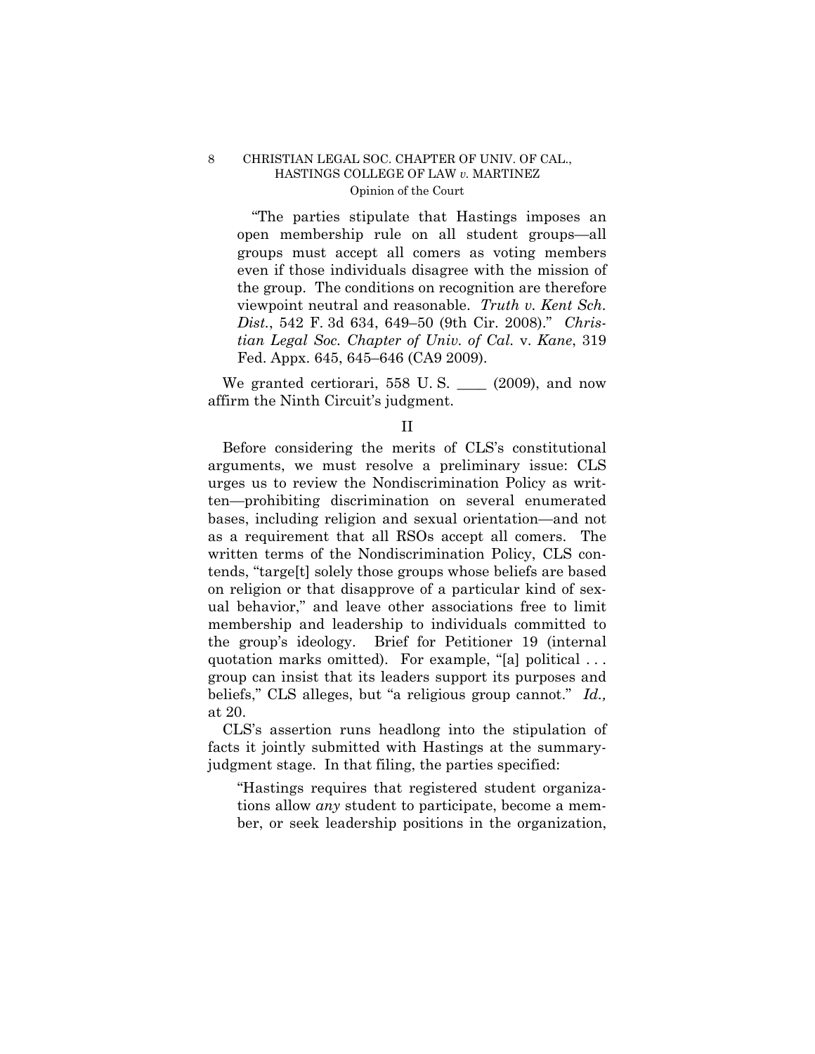"The parties stipulate that Hastings imposes an open membership rule on all student groups—all groups must accept all comers as voting members even if those individuals disagree with the mission of the group. The conditions on recognition are therefore viewpoint neutral and reasonable. *Truth v. Kent Sch. Dist.*, 542 F. 3d 634, 649–50 (9th Cir. 2008)." *Christian Legal Soc. Chapter of Univ. of Cal.* v. *Kane*, 319 Fed. Appx. 645, 645–646 (CA9 2009).

We granted certiorari, 558 U.S. \_\_\_\_ (2009), and now affirm the Ninth Circuit's judgment.

Before considering the merits of CLS's constitutional arguments, we must resolve a preliminary issue: CLS urges us to review the Nondiscrimination Policy as written—prohibiting discrimination on several enumerated bases, including religion and sexual orientation—and not as a requirement that all RSOs accept all comers. The written terms of the Nondiscrimination Policy, CLS contends, "targe[t] solely those groups whose beliefs are based on religion or that disapprove of a particular kind of sexual behavior," and leave other associations free to limit membership and leadership to individuals committed to the group's ideology. Brief for Petitioner 19 (internal quotation marks omitted). For example, "[a] political . . . group can insist that its leaders support its purposes and beliefs," CLS alleges, but "a religious group cannot." *Id.,*  at 20.

CLS's assertion runs headlong into the stipulation of facts it jointly submitted with Hastings at the summaryjudgment stage. In that filing, the parties specified:

"Hastings requires that registered student organizations allow *any* student to participate, become a member, or seek leadership positions in the organization,

II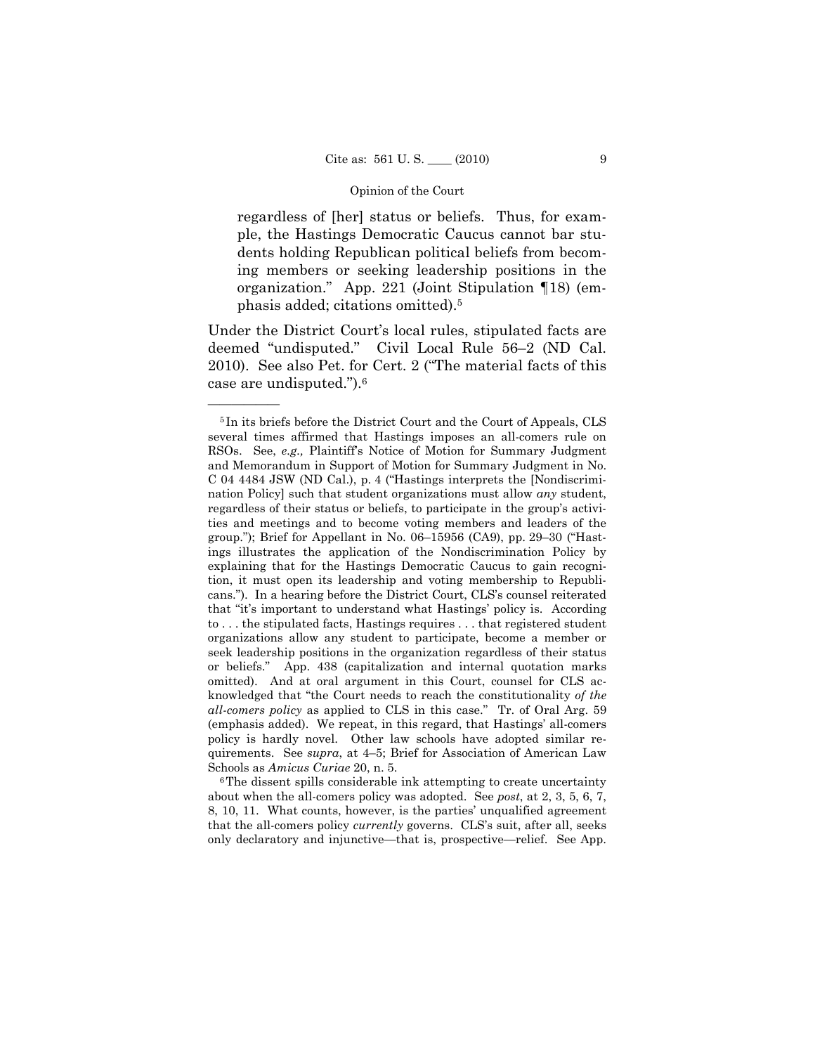regardless of [her] status or beliefs. Thus, for example, the Hastings Democratic Caucus cannot bar students holding Republican political beliefs from becoming members or seeking leadership positions in the organization." App. 221 (Joint Stipulation ¶18) (emphasis added; citations omitted).5

Under the District Court's local rules, stipulated facts are deemed "undisputed." Civil Local Rule 56–2 (ND Cal. 2010). See also Pet. for Cert. 2 ("The material facts of this case are undisputed.").6

——————

Schools as *Amicus Curiae* 20, n. 5.<br><sup>6</sup>The dissent spills considerable ink attempting to create uncertainty about when the all-comers policy was adopted. See *post*, at 2, 3, 5, 6, 7, 8, 10, 11. What counts, however, is the parties' unqualified agreement that the all-comers policy *currently* governs. CLS's suit, after all, seeks only declaratory and injunctive—that is, prospective—relief. See App.

<sup>5</sup> In its briefs before the District Court and the Court of Appeals, CLS several times affirmed that Hastings imposes an all-comers rule on RSOs. See, *e.g.,* Plaintiff's Notice of Motion for Summary Judgment and Memorandum in Support of Motion for Summary Judgment in No. C 04 4484 JSW (ND Cal.), p. 4 ("Hastings interprets the [Nondiscrimination Policy] such that student organizations must allow *any* student, regardless of their status or beliefs, to participate in the group's activities and meetings and to become voting members and leaders of the group."); Brief for Appellant in No. 06–15956 (CA9), pp. 29–30 ("Hastings illustrates the application of the Nondiscrimination Policy by explaining that for the Hastings Democratic Caucus to gain recognition, it must open its leadership and voting membership to Republicans."). In a hearing before the District Court, CLS's counsel reiterated that "it's important to understand what Hastings' policy is. According to . . . the stipulated facts, Hastings requires . . . that registered student organizations allow any student to participate, become a member or seek leadership positions in the organization regardless of their status or beliefs." App. 438 (capitalization and internal quotation marks omitted). And at oral argument in this Court, counsel for CLS acknowledged that "the Court needs to reach the constitutionality *of the all-comers policy* as applied to CLS in this case." Tr. of Oral Arg. 59 (emphasis added). We repeat, in this regard, that Hastings' all-comers policy is hardly novel. Other law schools have adopted similar requirements. See *supra*, at 4–5; Brief for Association of American Law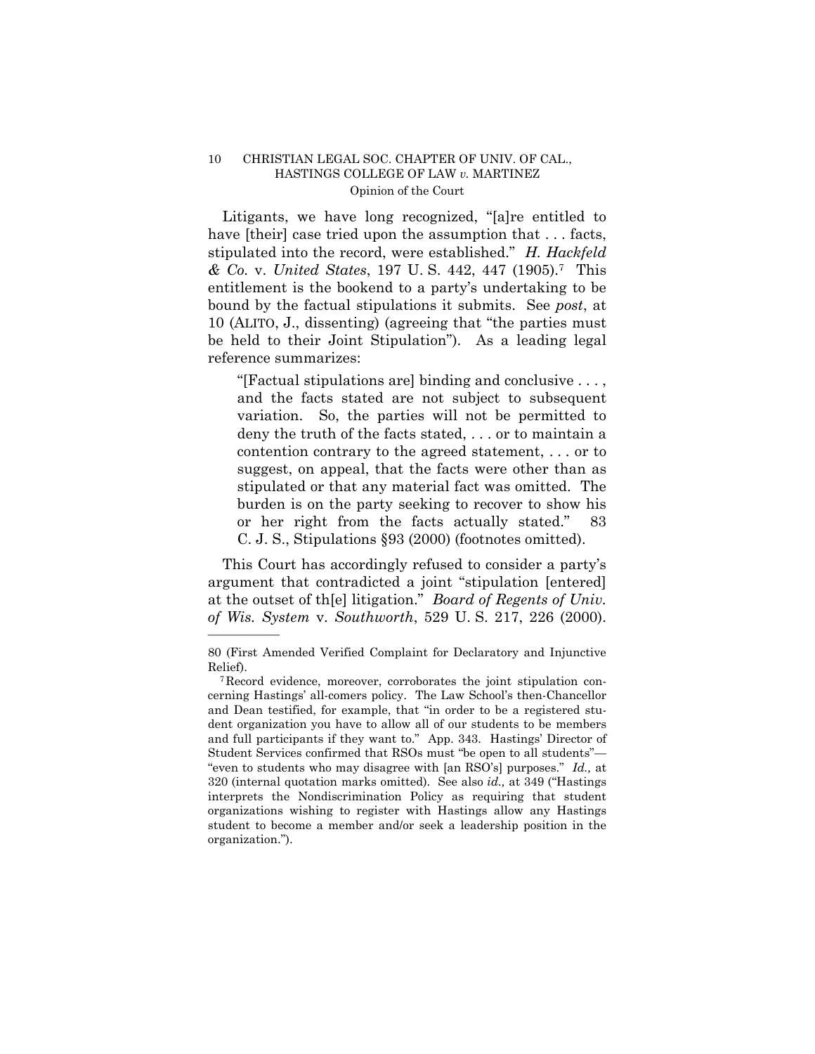Litigants, we have long recognized, "[a]re entitled to have [their] case tried upon the assumption that . . . facts, stipulated into the record, were established." *H. Hackfeld & Co.* v. *United States*, 197 U. S. 442, 447 (1905).7 This entitlement is the bookend to a party's undertaking to be bound by the factual stipulations it submits. See *post*, at 10 (ALITO, J., dissenting) (agreeing that "the parties must be held to their Joint Stipulation"). As a leading legal reference summarizes:

"[Factual stipulations are] binding and conclusive . . . , and the facts stated are not subject to subsequent variation. So, the parties will not be permitted to deny the truth of the facts stated, . . . or to maintain a contention contrary to the agreed statement, . . . or to suggest, on appeal, that the facts were other than as stipulated or that any material fact was omitted. The burden is on the party seeking to recover to show his or her right from the facts actually stated." 83 C. J. S., Stipulations §93 (2000) (footnotes omitted).

This Court has accordingly refused to consider a party's argument that contradicted a joint "stipulation [entered] at the outset of th[e] litigation." *Board of Regents of Univ. of Wis. System* v. *Southworth*, 529 U. S. 217, 226 (2000).

<sup>80 (</sup>First Amended Verified Complaint for Declaratory and Injunctive Relief).<br>7 Record evidence, moreover, corroborates the joint stipulation con-

cerning Hastings' all-comers policy. The Law School's then-Chancellor and Dean testified, for example, that "in order to be a registered student organization you have to allow all of our students to be members and full participants if they want to." App. 343. Hastings' Director of Student Services confirmed that RSOs must "be open to all students"— "even to students who may disagree with [an RSO's] purposes." *Id.,* at 320 (internal quotation marks omitted). See also *id.,* at 349 ("Hastings interprets the Nondiscrimination Policy as requiring that student organizations wishing to register with Hastings allow any Hastings student to become a member and/or seek a leadership position in the organization.").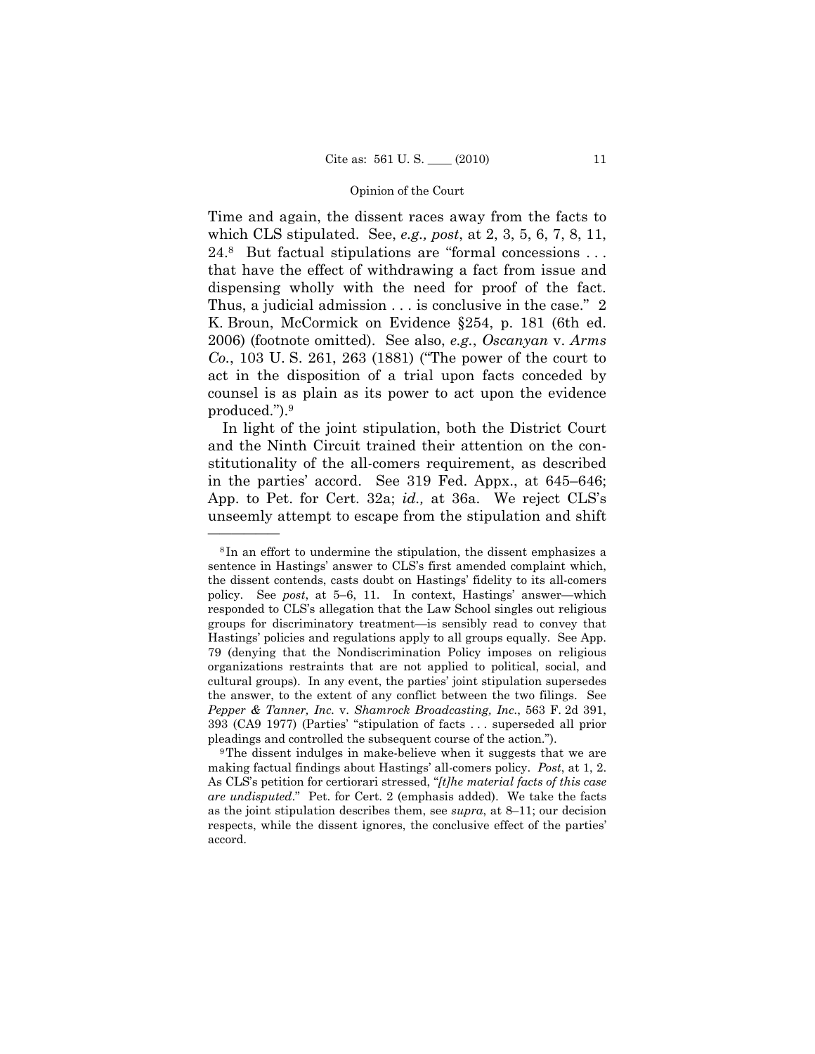Time and again, the dissent races away from the facts to which CLS stipulated. See, *e.g., post*, at 2, 3, 5, 6, 7, 8, 11, 24.8 But factual stipulations are "formal concessions . . . that have the effect of withdrawing a fact from issue and dispensing wholly with the need for proof of the fact. Thus, a judicial admission . . . is conclusive in the case." 2 K. Broun, McCormick on Evidence §254, p. 181 (6th ed. 2006) (footnote omitted). See also, *e.g.*, *Oscanyan* v. *Arms Co.*, 103 U. S. 261, 263 (1881) ("The power of the court to act in the disposition of a trial upon facts conceded by counsel is as plain as its power to act upon the evidence produced.").9

In light of the joint stipulation, both the District Court and the Ninth Circuit trained their attention on the constitutionality of the all-comers requirement, as described in the parties' accord. See 319 Fed. Appx., at 645–646; App. to Pet. for Cert. 32a; *id.,* at 36a. We reject CLS's unseemly attempt to escape from the stipulation and shift

<sup>8</sup> In an effort to undermine the stipulation, the dissent emphasizes a sentence in Hastings' answer to CLS's first amended complaint which, the dissent contends, casts doubt on Hastings' fidelity to its all-comers policy. See *post*, at 5–6, 11. In context, Hastings' answer—which responded to CLS's allegation that the Law School singles out religious groups for discriminatory treatment—is sensibly read to convey that Hastings' policies and regulations apply to all groups equally. See App. 79 (denying that the Nondiscrimination Policy imposes on religious organizations restraints that are not applied to political, social, and cultural groups). In any event, the parties' joint stipulation supersedes the answer, to the extent of any conflict between the two filings. See *Pepper & Tanner, Inc.* v. *Shamrock Broadcasting, Inc.*, 563 F. 2d 391, 393 (CA9 1977) (Parties' "stipulation of facts . . . superseded all prior pleadings and controlled the subsequent course of the action."). 9The dissent indulges in make-believe when it suggests that we are

making factual findings about Hastings' all-comers policy. *Post*, at 1, 2. As CLS's petition for certiorari stressed, "*[t]he material facts of this case are undisputed*." Pet. for Cert. 2 (emphasis added). We take the facts as the joint stipulation describes them, see *supra*, at 8–11; our decision respects, while the dissent ignores, the conclusive effect of the parties' accord.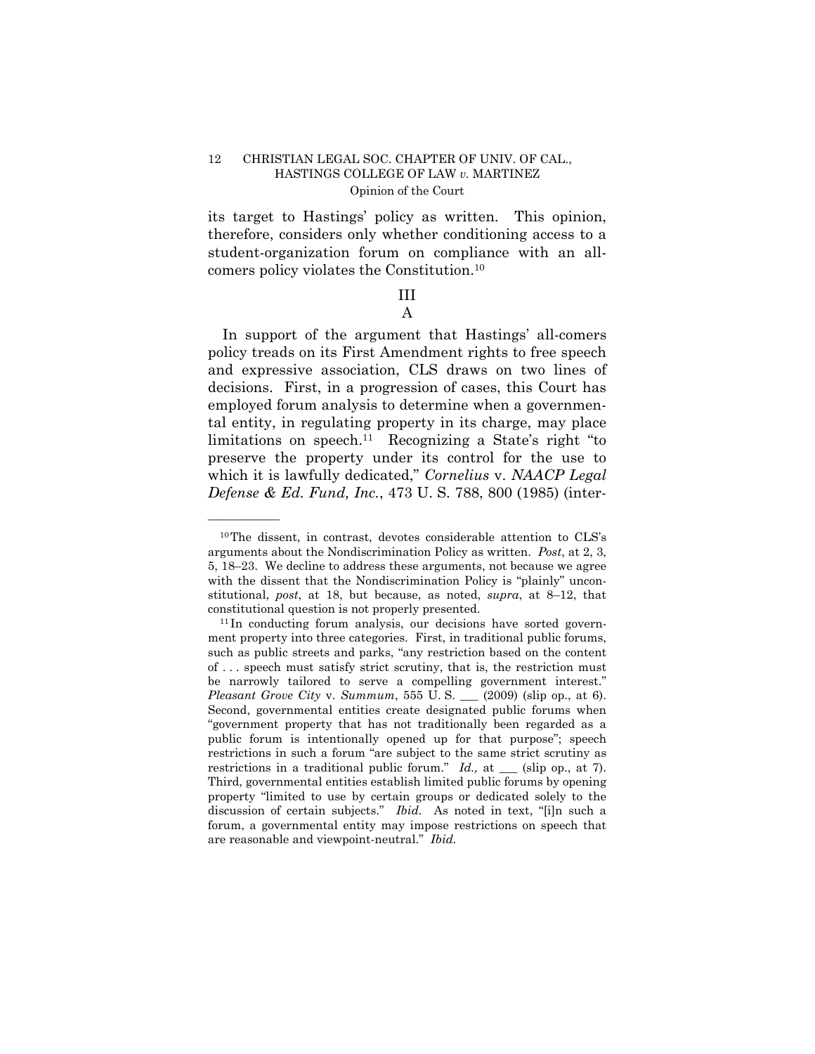its target to Hastings' policy as written. This opinion, therefore, considers only whether conditioning access to a student-organization forum on compliance with an allcomers policy violates the Constitution.10

### III A

In support of the argument that Hastings' all-comers policy treads on its First Amendment rights to free speech and expressive association, CLS draws on two lines of decisions. First, in a progression of cases, this Court has employed forum analysis to determine when a governmental entity, in regulating property in its charge, may place limitations on speech.<sup>11</sup> Recognizing a State's right "to" preserve the property under its control for the use to which it is lawfully dedicated," *Cornelius* v. *NAACP Legal Defense & Ed. Fund, Inc.*, 473 U. S. 788, 800 (1985) (inter

<sup>10</sup>The dissent, in contrast, devotes considerable attention to CLS's arguments about the Nondiscrimination Policy as written. *Post*, at 2, 3, 5, 18–23. We decline to address these arguments, not because we agree with the dissent that the Nondiscrimination Policy is "plainly" unconstitutional, *post*, at 18, but because, as noted, *supra*, at 8–12, that

constitutional question is not properly presented.<br><sup>11</sup> In conducting forum analysis, our decisions have sorted government property into three categories. First, in traditional public forums, such as public streets and parks, "any restriction based on the content of . . . speech must satisfy strict scrutiny, that is, the restriction must be narrowly tailored to serve a compelling government interest." *Pleasant Grove City* v. *Summum*, 555 U. S. \_\_\_ (2009) (slip op., at 6). Second, governmental entities create designated public forums when "government property that has not traditionally been regarded as a public forum is intentionally opened up for that purpose"; speech restrictions in such a forum "are subject to the same strict scrutiny as restrictions in a traditional public forum." *Id.*, at \_\_\_ (slip op., at 7). Third, governmental entities establish limited public forums by opening property "limited to use by certain groups or dedicated solely to the discussion of certain subjects." *Ibid.* As noted in text, "[i]n such a forum, a governmental entity may impose restrictions on speech that are reasonable and viewpoint-neutral." *Ibid.*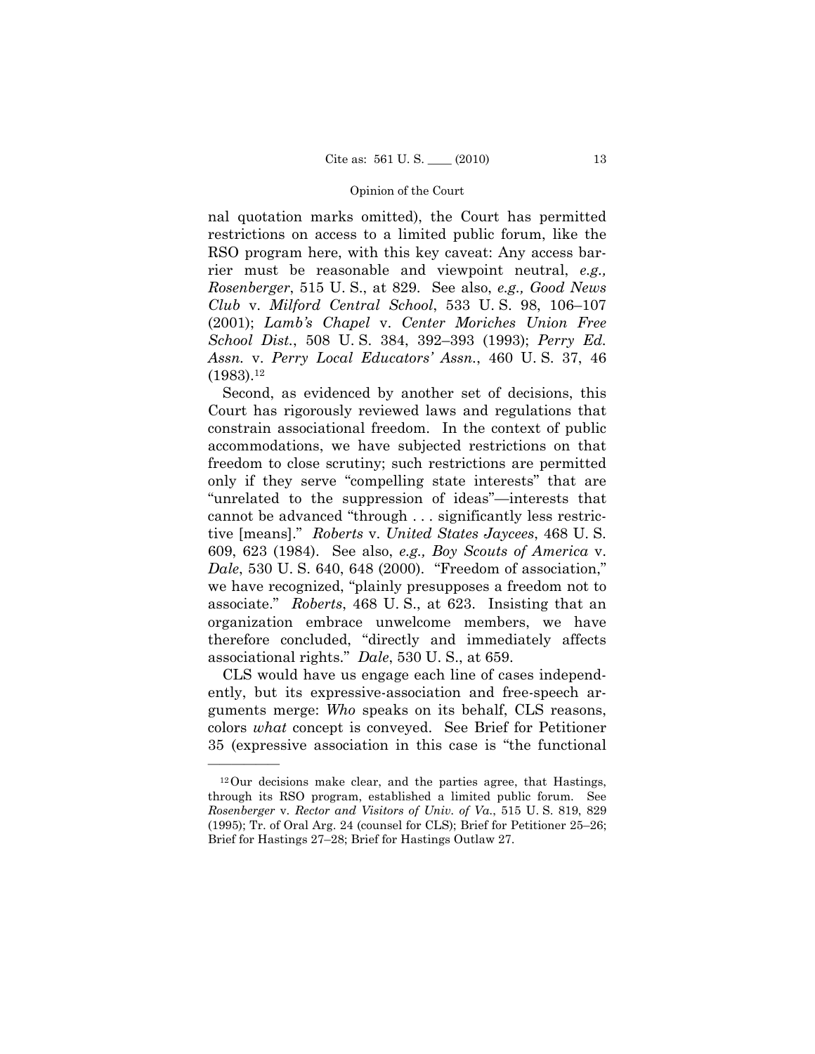nal quotation marks omitted), the Court has permitted restrictions on access to a limited public forum, like the RSO program here, with this key caveat: Any access barrier must be reasonable and viewpoint neutral, *e.g., Rosenberger*, 515 U. S., at 829. See also, *e.g., Good News Club* v. *Milford Central School*, 533 U. S. 98, 106–107 (2001); *Lamb's Chapel* v. *Center Moriches Union Free School Dist.*, 508 U. S. 384, 392–393 (1993); *Perry Ed. Assn.* v. *Perry Local Educators' Assn.*, 460 U. S. 37, 46  $(1983).<sup>12</sup>$ 

Second, as evidenced by another set of decisions, this Court has rigorously reviewed laws and regulations that constrain associational freedom. In the context of public accommodations, we have subjected restrictions on that freedom to close scrutiny; such restrictions are permitted only if they serve "compelling state interests" that are "unrelated to the suppression of ideas"—interests that cannot be advanced "through . . . significantly less restrictive [means]." *Roberts* v. *United States Jaycees*, 468 U. S. 609, 623 (1984). See also, *e.g., Boy Scouts of America* v. *Dale*, 530 U. S. 640, 648 (2000). "Freedom of association," we have recognized, "plainly presupposes a freedom not to associate." *Roberts*, 468 U. S., at 623. Insisting that an organization embrace unwelcome members, we have therefore concluded, "directly and immediately affects associational rights." *Dale*, 530 U. S., at 659.

CLS would have us engage each line of cases independently, but its expressive-association and free-speech arguments merge: *Who* speaks on its behalf, CLS reasons, colors *what* concept is conveyed. See Brief for Petitioner 35 (expressive association in this case is "the functional

<sup>12</sup>Our decisions make clear, and the parties agree, that Hastings, through its RSO program, established a limited public forum. See *Rosenberger* v. *Rector and Visitors of Univ. of Va.*, 515 U. S. 819, 829 (1995); Tr. of Oral Arg. 24 (counsel for CLS); Brief for Petitioner 25–26; Brief for Hastings 27–28; Brief for Hastings Outlaw 27.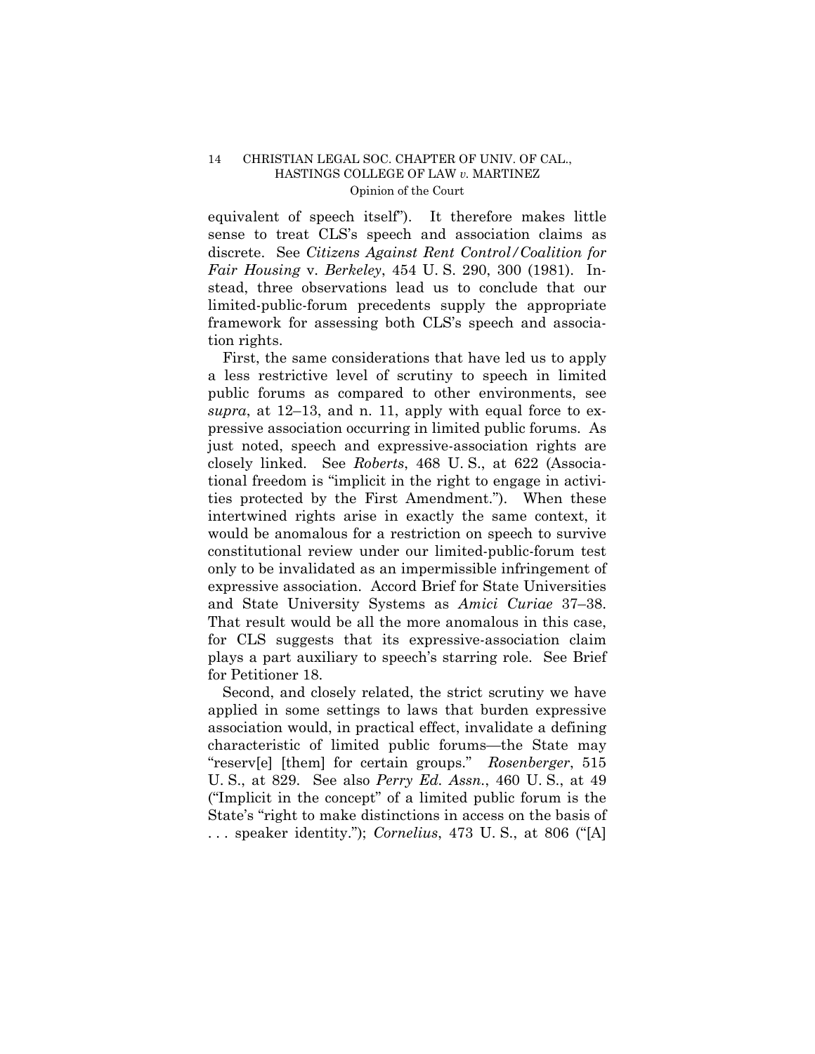equivalent of speech itself"). It therefore makes little sense to treat CLS's speech and association claims as discrete. See *Citizens Against Rent Control/Coalition for Fair Housing* v. *Berkeley*, 454 U. S. 290, 300 (1981). Instead, three observations lead us to conclude that our limited-public-forum precedents supply the appropriate framework for assessing both CLS's speech and association rights.

First, the same considerations that have led us to apply a less restrictive level of scrutiny to speech in limited public forums as compared to other environments, see *supra*, at 12–13, and n. 11, apply with equal force to expressive association occurring in limited public forums. As just noted, speech and expressive-association rights are closely linked. See *Roberts*, 468 U. S., at 622 (Associational freedom is "implicit in the right to engage in activities protected by the First Amendment."). When these intertwined rights arise in exactly the same context, it would be anomalous for a restriction on speech to survive constitutional review under our limited-public-forum test only to be invalidated as an impermissible infringement of expressive association. Accord Brief for State Universities and State University Systems as *Amici Curiae* 37–38. That result would be all the more anomalous in this case, for CLS suggests that its expressive-association claim plays a part auxiliary to speech's starring role. See Brief for Petitioner 18.

Second, and closely related, the strict scrutiny we have applied in some settings to laws that burden expressive association would, in practical effect, invalidate a defining characteristic of limited public forums—the State may "reserv[e] [them] for certain groups." *Rosenberger*, 515 U. S., at 829. See also *Perry Ed. Assn.*, 460 U. S., at 49 ("Implicit in the concept" of a limited public forum is the State's "right to make distinctions in access on the basis of . . . speaker identity."); *Cornelius*, 473 U. S., at 806 ("[A]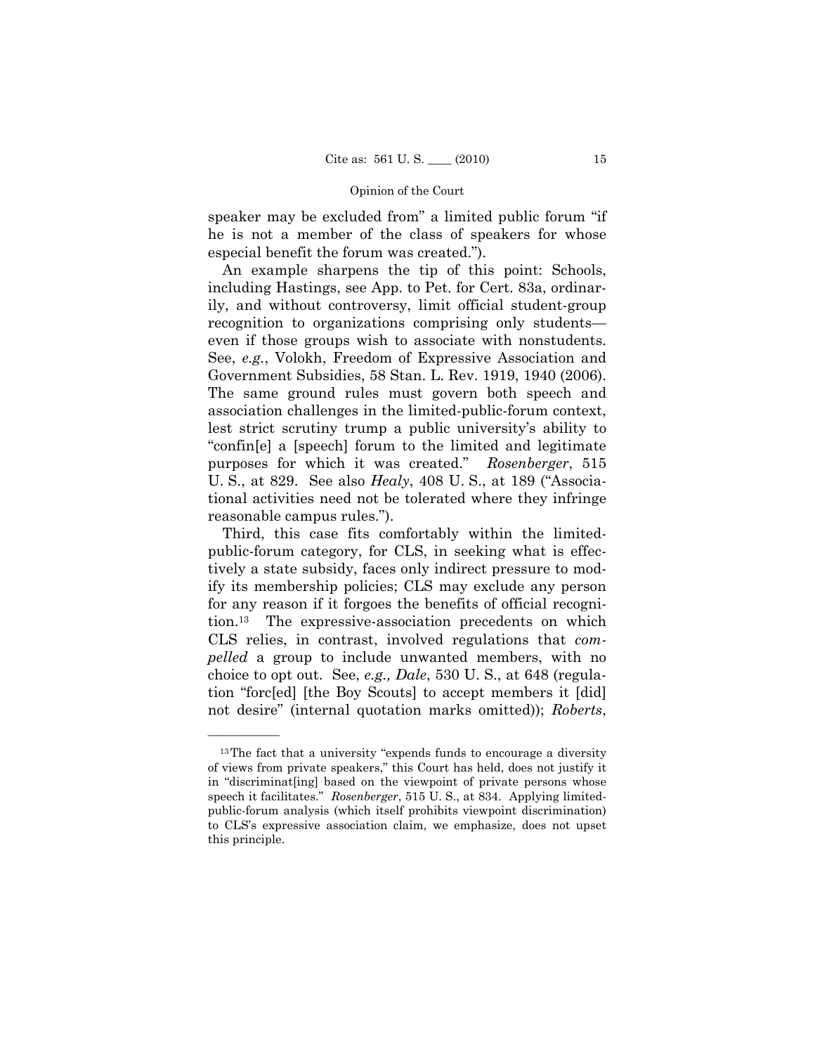speaker may be excluded from" a limited public forum "if he is not a member of the class of speakers for whose especial benefit the forum was created.").

An example sharpens the tip of this point: Schools, including Hastings, see App. to Pet. for Cert. 83a, ordinarily, and without controversy, limit official student-group recognition to organizations comprising only students even if those groups wish to associate with nonstudents. See, *e.g.*, Volokh, Freedom of Expressive Association and Government Subsidies, 58 Stan. L. Rev. 1919, 1940 (2006). The same ground rules must govern both speech and association challenges in the limited-public-forum context, lest strict scrutiny trump a public university's ability to "confin[e] a [speech] forum to the limited and legitimate purposes for which it was created." *Rosenberger*, 515 U. S., at 829. See also *Healy*, 408 U. S., at 189 ("Associational activities need not be tolerated where they infringe reasonable campus rules.").

Third, this case fits comfortably within the limitedpublic-forum category, for CLS, in seeking what is effectively a state subsidy, faces only indirect pressure to modify its membership policies; CLS may exclude any person for any reason if it forgoes the benefits of official recognition.13 The expressive-association precedents on which CLS relies, in contrast, involved regulations that *compelled* a group to include unwanted members, with no choice to opt out. See, *e.g., Dale*, 530 U. S., at 648 (regulation "forc[ed] [the Boy Scouts] to accept members it [did] not desire" (internal quotation marks omitted)); *Roberts*,

<sup>&</sup>lt;sup>13</sup>The fact that a university "expends funds to encourage a diversity of views from private speakers," this Court has held, does not justify it in "discriminat[ing] based on the viewpoint of private persons whose speech it facilitates." *Rosenberger*, 515 U. S., at 834. Applying limitedpublic-forum analysis (which itself prohibits viewpoint discrimination) to CLS's expressive association claim, we emphasize, does not upset this principle.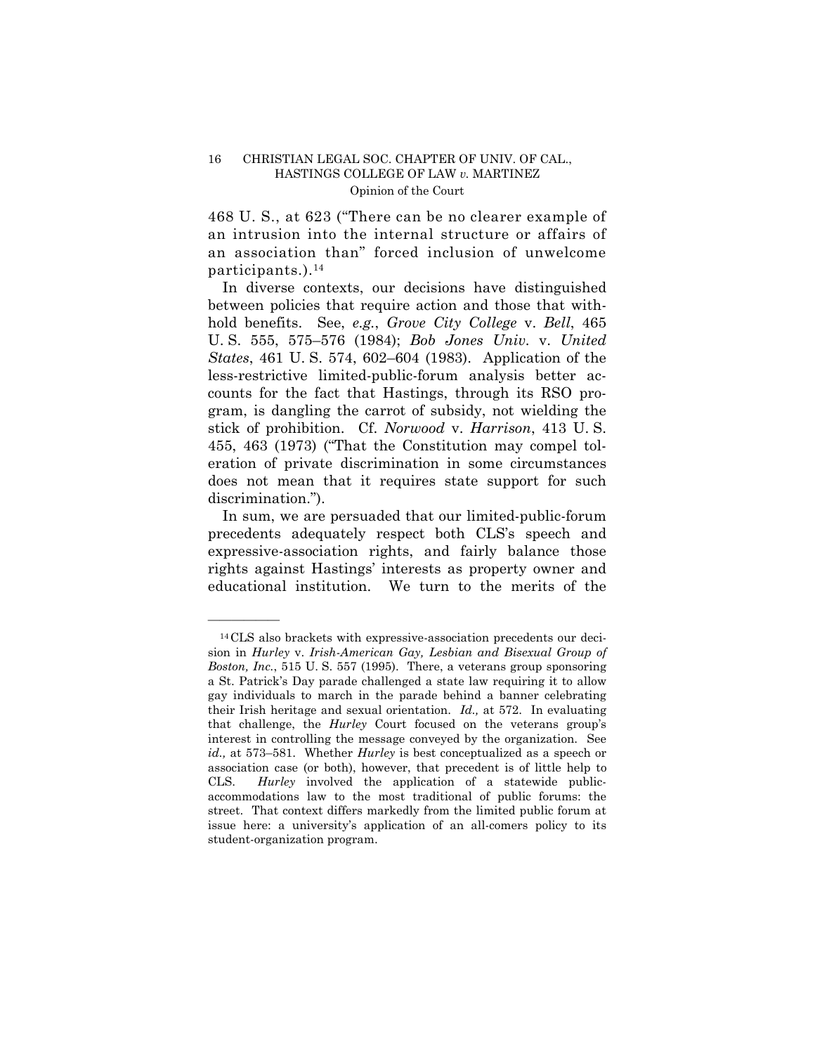468 U. S., at 623 ("There can be no clearer example of an intrusion into the internal structure or affairs of an association than" forced inclusion of unwelcome participants.).14

In diverse contexts, our decisions have distinguished between policies that require action and those that withhold benefits. See, *e.g.*, *Grove City College* v. *Bell*, 465 U. S. 555, 575–576 (1984); *Bob Jones Univ.* v. *United States*, 461 U. S. 574, 602–604 (1983). Application of the less-restrictive limited-public-forum analysis better accounts for the fact that Hastings, through its RSO program, is dangling the carrot of subsidy, not wielding the stick of prohibition. Cf. *Norwood* v. *Harrison*, 413 U. S. 455, 463 (1973) ("That the Constitution may compel toleration of private discrimination in some circumstances does not mean that it requires state support for such discrimination.").

In sum, we are persuaded that our limited-public-forum precedents adequately respect both CLS's speech and expressive-association rights, and fairly balance those rights against Hastings' interests as property owner and educational institution. We turn to the merits of the

<sup>14</sup>CLS also brackets with expressive-association precedents our decision in *Hurley* v. *Irish-American Gay, Lesbian and Bisexual Group of Boston, Inc.*, 515 U. S. 557 (1995). There, a veterans group sponsoring a St. Patrick's Day parade challenged a state law requiring it to allow gay individuals to march in the parade behind a banner celebrating their Irish heritage and sexual orientation. *Id.,* at 572. In evaluating that challenge, the *Hurley* Court focused on the veterans group's interest in controlling the message conveyed by the organization. See *id.,* at 573–581. Whether *Hurley* is best conceptualized as a speech or association case (or both), however, that precedent is of little help to CLS. *Hurley* involved the application of a statewide publicaccommodations law to the most traditional of public forums: the street. That context differs markedly from the limited public forum at issue here: a university's application of an all-comers policy to its student-organization program.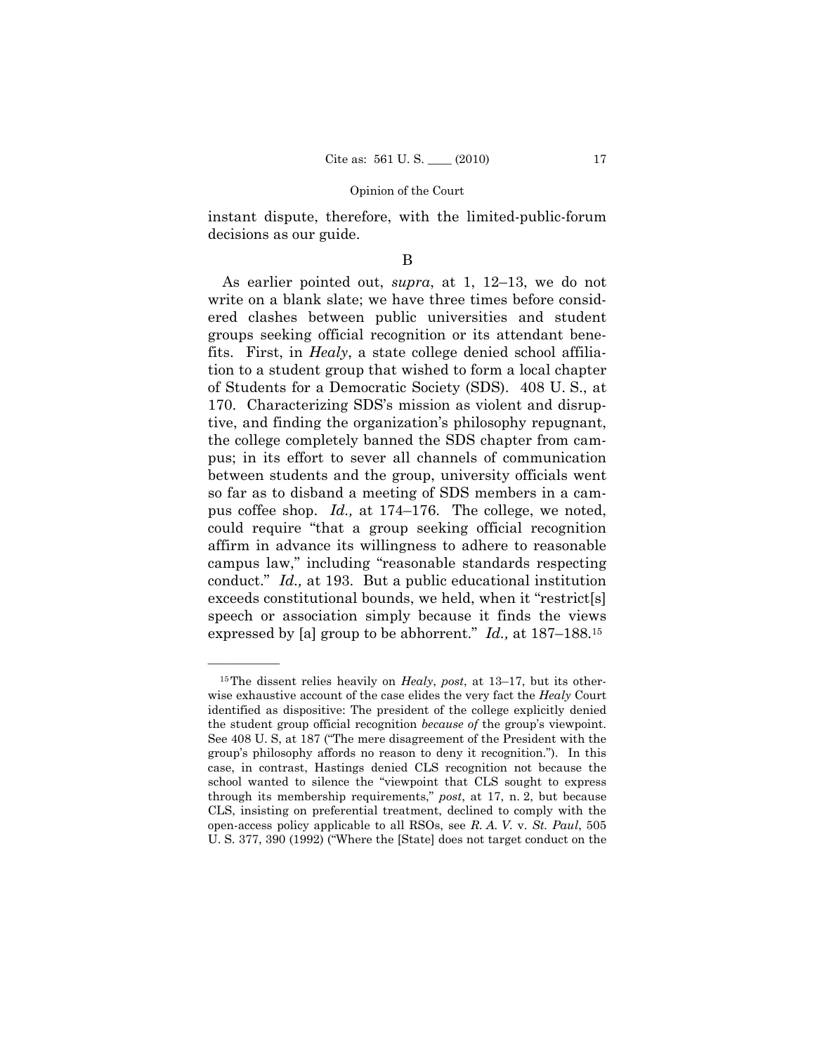instant dispute, therefore, with the limited-public-forum decisions as our guide.

#### B

As earlier pointed out, *supra*, at 1, 12–13, we do not write on a blank slate; we have three times before considered clashes between public universities and student groups seeking official recognition or its attendant benefits. First, in *Healy*, a state college denied school affiliation to a student group that wished to form a local chapter of Students for a Democratic Society (SDS). 408 U. S., at 170. Characterizing SDS's mission as violent and disruptive, and finding the organization's philosophy repugnant, the college completely banned the SDS chapter from campus; in its effort to sever all channels of communication between students and the group, university officials went so far as to disband a meeting of SDS members in a campus coffee shop. *Id.,* at 174–176. The college, we noted, could require "that a group seeking official recognition affirm in advance its willingness to adhere to reasonable campus law," including "reasonable standards respecting conduct." *Id.,* at 193. But a public educational institution exceeds constitutional bounds, we held, when it "restrict[s] speech or association simply because it finds the views expressed by [a] group to be abhorrent." *Id.,* at 187–188.15

<sup>15</sup>The dissent relies heavily on *Healy*, *post*, at 13–17, but its otherwise exhaustive account of the case elides the very fact the *Healy* Court identified as dispositive: The president of the college explicitly denied the student group official recognition *because of* the group's viewpoint. See 408 U. S, at 187 ("The mere disagreement of the President with the group's philosophy affords no reason to deny it recognition."). In this case, in contrast, Hastings denied CLS recognition not because the school wanted to silence the "viewpoint that CLS sought to express through its membership requirements," *post*, at 17, n. 2, but because CLS, insisting on preferential treatment, declined to comply with the open-access policy applicable to all RSOs, see *R. A. V.* v. *St. Paul*, 505 U. S. 377, 390 (1992) ("Where the [State] does not target conduct on the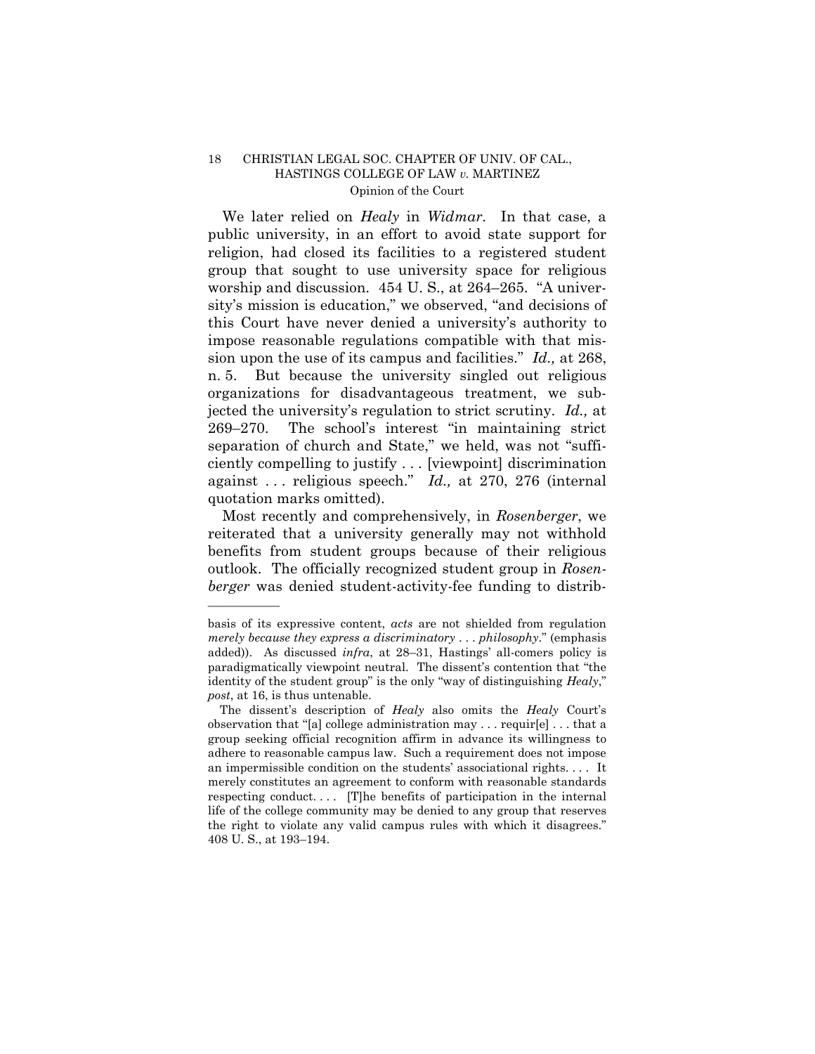We later relied on *Healy* in *Widmar*. In that case, a public university, in an effort to avoid state support for religion, had closed its facilities to a registered student group that sought to use university space for religious worship and discussion. 454 U. S., at 264–265. "A university's mission is education," we observed, "and decisions of this Court have never denied a university's authority to impose reasonable regulations compatible with that mission upon the use of its campus and facilities." *Id.,* at 268, n. 5. But because the university singled out religious organizations for disadvantageous treatment, we subjected the university's regulation to strict scrutiny. *Id.,* at 269–270. The school's interest "in maintaining strict separation of church and State," we held, was not "sufficiently compelling to justify . . . [viewpoint] discrimination against . . . religious speech." *Id.,* at 270, 276 (internal quotation marks omitted).

Most recently and comprehensively, in *Rosenberger*, we reiterated that a university generally may not withhold benefits from student groups because of their religious outlook. The officially recognized student group in *Rosenberger* was denied student-activity-fee funding to distrib

basis of its expressive content, *acts* are not shielded from regulation *merely because they express a discriminatory* . . . *philosophy*." (emphasis added)). As discussed *infra*, at 28–31, Hastings' all-comers policy is paradigmatically viewpoint neutral. The dissent's contention that "the identity of the student group" is the only "way of distinguishing *Healy*," *post*, at 16, is thus untenable.

The dissent's description of *Healy* also omits the *Healy* Court's observation that "[a] college administration may . . . requir[e] . . . that a group seeking official recognition affirm in advance its willingness to adhere to reasonable campus law. Such a requirement does not impose an impermissible condition on the students' associational rights. . . . It merely constitutes an agreement to conform with reasonable standards respecting conduct.... [T]he benefits of participation in the internal life of the college community may be denied to any group that reserves the right to violate any valid campus rules with which it disagrees." 408 U. S., at 193–194.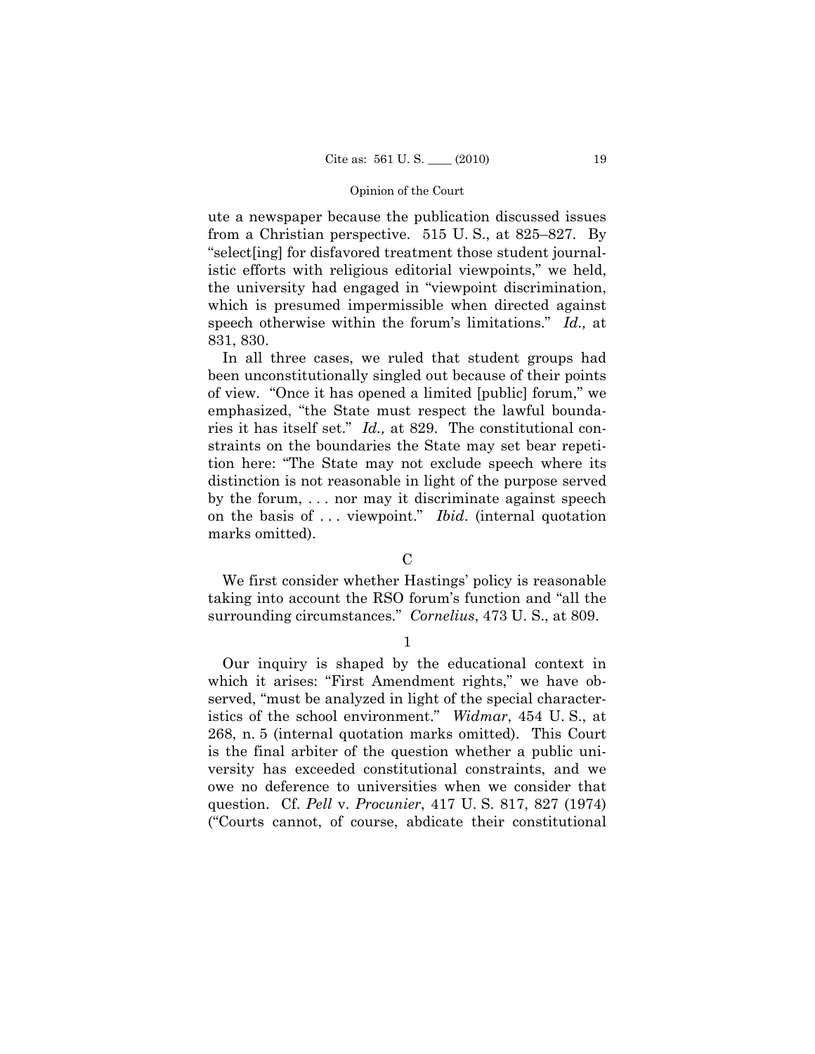ute a newspaper because the publication discussed issues from a Christian perspective. 515 U. S., at 825–827. By "select[ing] for disfavored treatment those student journalistic efforts with religious editorial viewpoints," we held, the university had engaged in "viewpoint discrimination, which is presumed impermissible when directed against speech otherwise within the forum's limitations." *Id.,* at 831, 830.

In all three cases, we ruled that student groups had been unconstitutionally singled out because of their points of view. "Once it has opened a limited [public] forum," we emphasized, "the State must respect the lawful boundaries it has itself set." *Id.,* at 829. The constitutional constraints on the boundaries the State may set bear repetition here: "The State may not exclude speech where its distinction is not reasonable in light of the purpose served by the forum, . . . nor may it discriminate against speech on the basis of . . . viewpoint." *Ibid*. (internal quotation marks omitted).

#### $\mathcal{C}$

We first consider whether Hastings' policy is reasonable taking into account the RSO forum's function and "all the surrounding circumstances." *Cornelius*, 473 U. S., at 809.

1

Our inquiry is shaped by the educational context in which it arises: "First Amendment rights," we have observed, "must be analyzed in light of the special characteristics of the school environment." *Widmar*, 454 U. S., at 268, n. 5 (internal quotation marks omitted). This Court is the final arbiter of the question whether a public university has exceeded constitutional constraints, and we owe no deference to universities when we consider that question. Cf. *Pell* v. *Procunier*, 417 U. S. 817, 827 (1974) ("Courts cannot, of course, abdicate their constitutional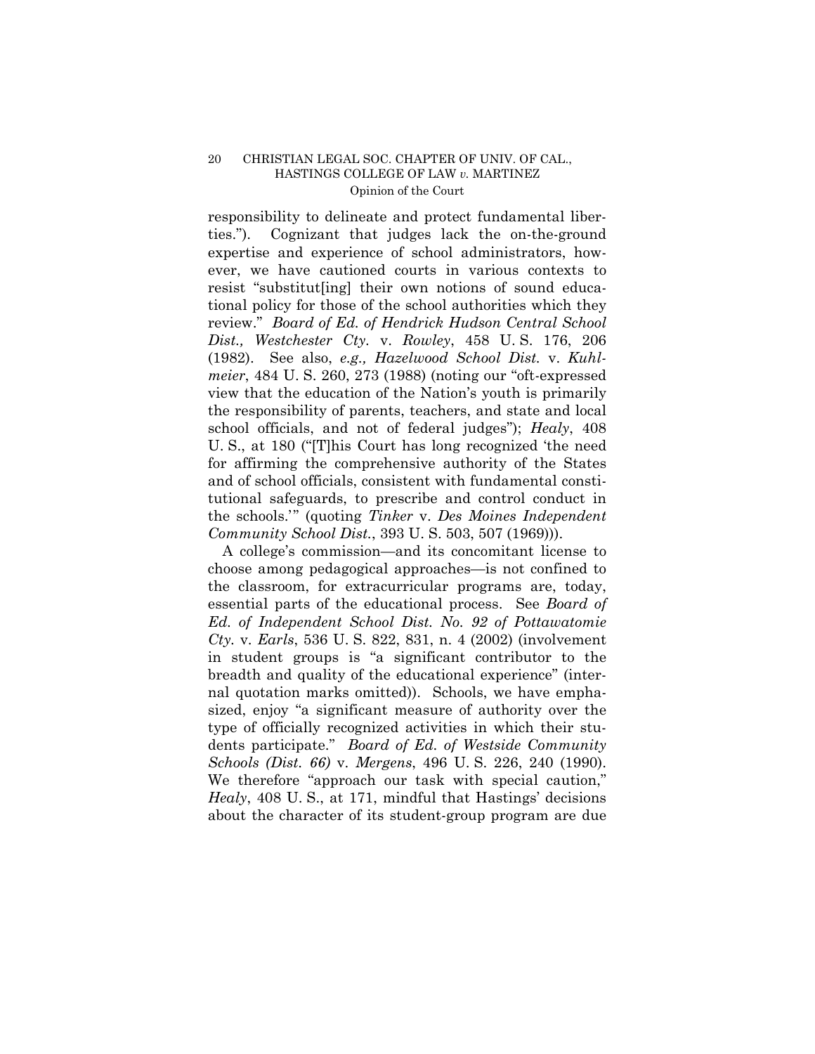responsibility to delineate and protect fundamental liberties."). Cognizant that judges lack the on-the-ground expertise and experience of school administrators, however, we have cautioned courts in various contexts to resist "substitut[ing] their own notions of sound educational policy for those of the school authorities which they review." *Board of Ed. of Hendrick Hudson Central School Dist., Westchester Cty.* v. *Rowley*, 458 U. S. 176, 206 (1982). See also, *e.g., Hazelwood School Dist.* v. *Kuhlmeier*, 484 U. S. 260, 273 (1988) (noting our "oft-expressed view that the education of the Nation's youth is primarily the responsibility of parents, teachers, and state and local school officials, and not of federal judges"); *Healy*, 408 U. S., at 180 ("[T]his Court has long recognized 'the need for affirming the comprehensive authority of the States and of school officials, consistent with fundamental constitutional safeguards, to prescribe and control conduct in the schools.'" (quoting *Tinker* v. *Des Moines Independent Community School Dist.*, 393 U. S. 503, 507 (1969))).

A college's commission—and its concomitant license to choose among pedagogical approaches—is not confined to the classroom, for extracurricular programs are, today, essential parts of the educational process. See *Board of Ed. of Independent School Dist. No. 92 of Pottawatomie Cty.* v. *Earls*, 536 U. S. 822, 831, n. 4 (2002) (involvement in student groups is "a significant contributor to the breadth and quality of the educational experience" (internal quotation marks omitted)). Schools, we have emphasized, enjoy "a significant measure of authority over the type of officially recognized activities in which their students participate." *Board of Ed. of Westside Community Schools (Dist. 66)* v. *Mergens*, 496 U. S. 226, 240 (1990). We therefore "approach our task with special caution," *Healy*, 408 U. S., at 171, mindful that Hastings' decisions about the character of its student-group program are due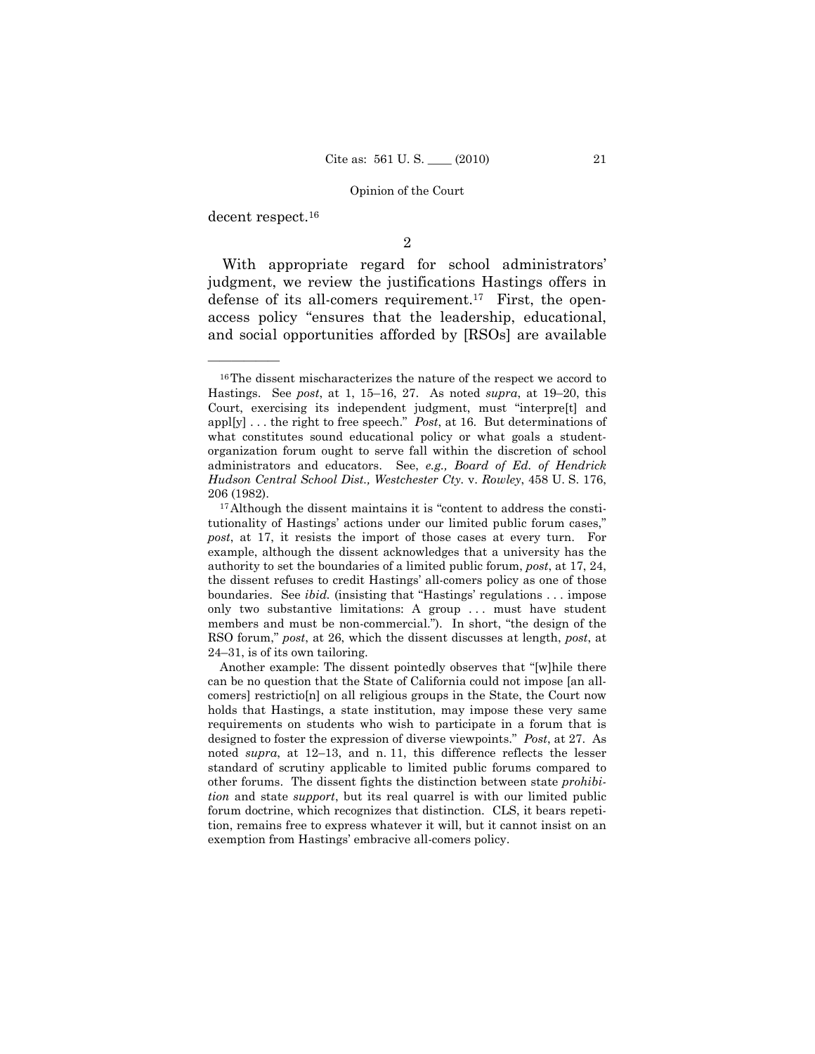decent respect.16

——————

2

With appropriate regard for school administrators' judgment, we review the justifications Hastings offers in defense of its all-comers requirement.17 First, the openaccess policy "ensures that the leadership, educational, and social opportunities afforded by [RSOs] are available

<sup>&</sup>lt;sup>16</sup>The dissent mischaracterizes the nature of the respect we accord to Hastings. See *post*, at 1, 15–16, 27. As noted *supra*, at 19–20, this Court, exercising its independent judgment, must "interpre[t] and appl[y] . . . the right to free speech." *Post*, at 16. But determinations of what constitutes sound educational policy or what goals a studentorganization forum ought to serve fall within the discretion of school administrators and educators. See, *e.g., Board of Ed. of Hendrick Hudson Central School Dist., Westchester Cty.* v. *Rowley*, 458 U. S. 176, 206 (1982). 17Although the dissent maintains it is "content to address the consti-

tutionality of Hastings' actions under our limited public forum cases," *post*, at 17, it resists the import of those cases at every turn. For example, although the dissent acknowledges that a university has the authority to set the boundaries of a limited public forum, *post*, at 17, 24, the dissent refuses to credit Hastings' all-comers policy as one of those boundaries. See *ibid.* (insisting that "Hastings' regulations . . . impose only two substantive limitations: A group . . . must have student members and must be non-commercial."). In short, "the design of the RSO forum," *post*, at 26, which the dissent discusses at length, *post*, at 24–31, is of its own tailoring.

Another example: The dissent pointedly observes that "[w]hile there can be no question that the State of California could not impose [an allcomers] restrictio[n] on all religious groups in the State, the Court now holds that Hastings, a state institution, may impose these very same requirements on students who wish to participate in a forum that is designed to foster the expression of diverse viewpoints." *Post*, at 27. As noted *supra*, at 12–13, and n. 11, this difference reflects the lesser standard of scrutiny applicable to limited public forums compared to other forums. The dissent fights the distinction between state *prohibition* and state *support*, but its real quarrel is with our limited public forum doctrine, which recognizes that distinction. CLS, it bears repetition, remains free to express whatever it will, but it cannot insist on an exemption from Hastings' embracive all-comers policy.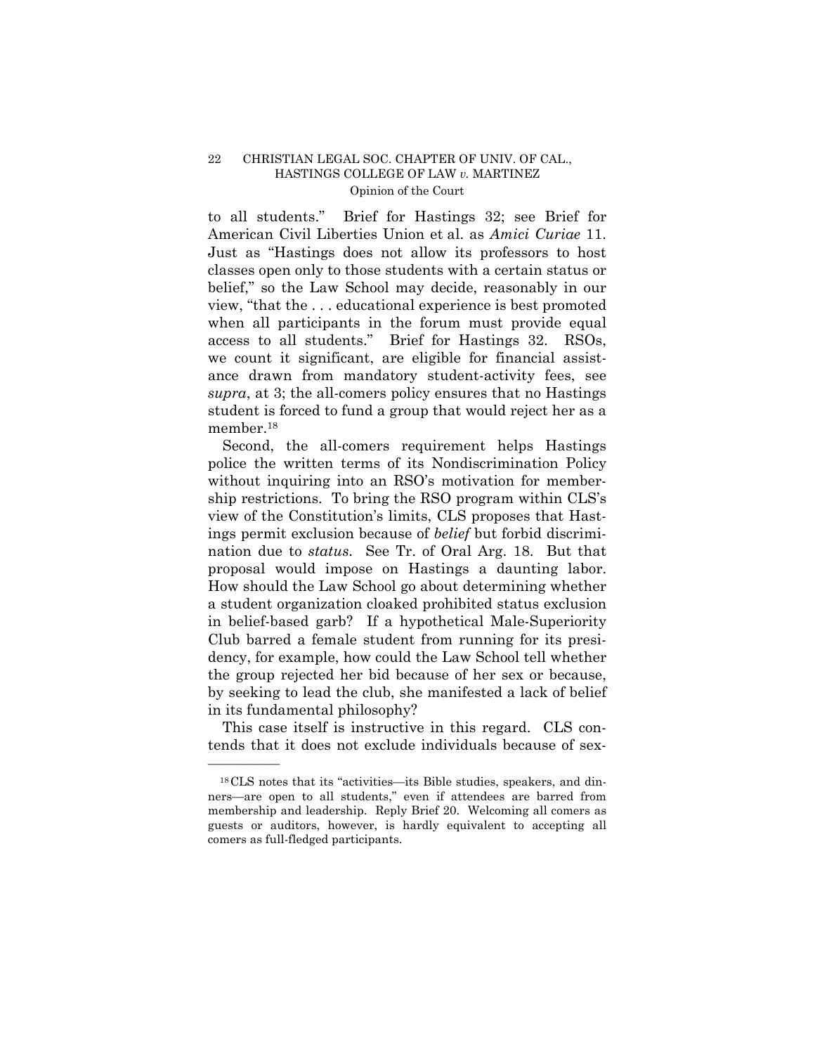to all students." Brief for Hastings 32; see Brief for American Civil Liberties Union et al. as *Amici Curiae* 11. Just as "Hastings does not allow its professors to host classes open only to those students with a certain status or belief," so the Law School may decide, reasonably in our view, "that the . . . educational experience is best promoted when all participants in the forum must provide equal access to all students." Brief for Hastings 32. RSOs, we count it significant, are eligible for financial assistance drawn from mandatory student-activity fees, see *supra*, at 3; the all-comers policy ensures that no Hastings student is forced to fund a group that would reject her as a member.18

Second, the all-comers requirement helps Hastings police the written terms of its Nondiscrimination Policy without inquiring into an RSO's motivation for membership restrictions. To bring the RSO program within CLS's view of the Constitution's limits, CLS proposes that Hastings permit exclusion because of *belief* but forbid discrimination due to *status*. See Tr. of Oral Arg. 18. But that proposal would impose on Hastings a daunting labor. How should the Law School go about determining whether a student organization cloaked prohibited status exclusion in belief-based garb? If a hypothetical Male-Superiority Club barred a female student from running for its presidency, for example, how could the Law School tell whether the group rejected her bid because of her sex or because, by seeking to lead the club, she manifested a lack of belief in its fundamental philosophy?

This case itself is instructive in this regard. CLS contends that it does not exclude individuals because of sex

<sup>18</sup>CLS notes that its "activities—its Bible studies, speakers, and dinners—are open to all students," even if attendees are barred from membership and leadership. Reply Brief 20. Welcoming all comers as guests or auditors, however, is hardly equivalent to accepting all comers as full-fledged participants.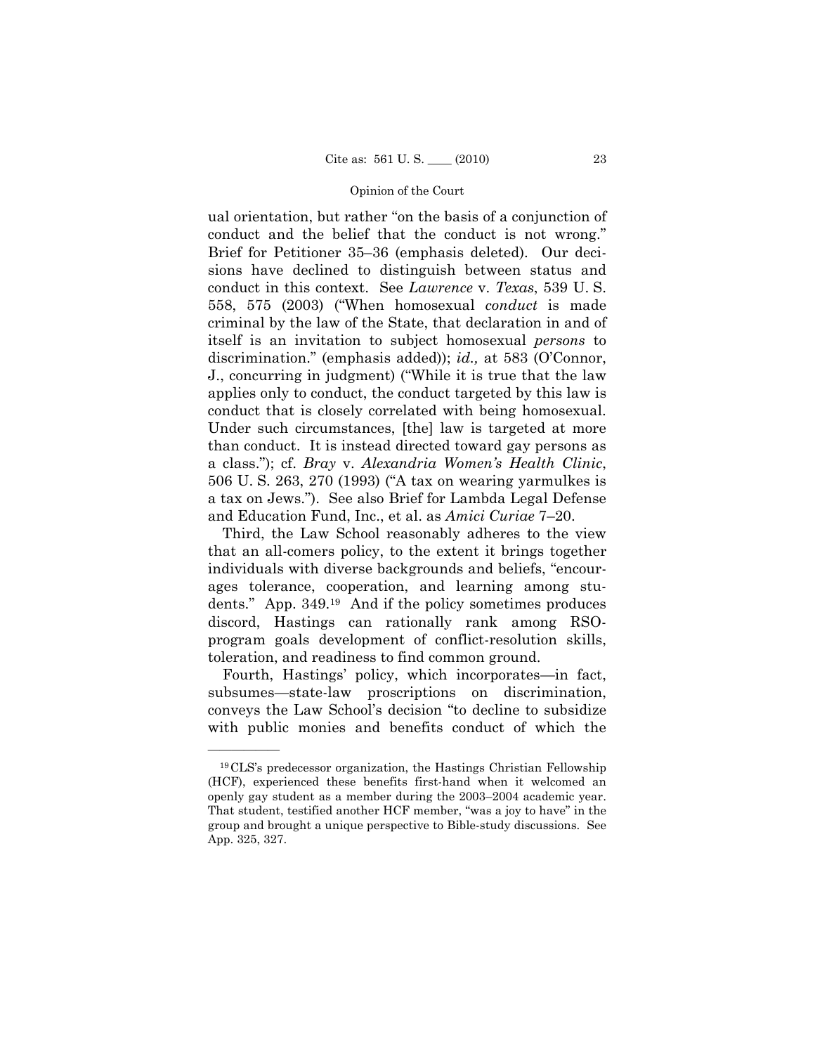ual orientation, but rather "on the basis of a conjunction of conduct and the belief that the conduct is not wrong." Brief for Petitioner 35–36 (emphasis deleted). Our decisions have declined to distinguish between status and conduct in this context. See *Lawrence* v. *Texas*, 539 U. S. 558, 575 (2003) ("When homosexual *conduct* is made criminal by the law of the State, that declaration in and of itself is an invitation to subject homosexual *persons* to discrimination." (emphasis added)); *id.,* at 583 (O'Connor, J., concurring in judgment) ("While it is true that the law applies only to conduct, the conduct targeted by this law is conduct that is closely correlated with being homosexual. Under such circumstances, [the] law is targeted at more than conduct. It is instead directed toward gay persons as a class."); cf. *Bray* v. *Alexandria Women's Health Clinic*, 506 U. S. 263, 270 (1993) ("A tax on wearing yarmulkes is a tax on Jews."). See also Brief for Lambda Legal Defense and Education Fund, Inc., et al. as *Amici Curiae* 7–20.

Third, the Law School reasonably adheres to the view that an all-comers policy, to the extent it brings together individuals with diverse backgrounds and beliefs, "encourages tolerance, cooperation, and learning among students." App. 349.19 And if the policy sometimes produces discord, Hastings can rationally rank among RSOprogram goals development of conflict-resolution skills, toleration, and readiness to find common ground.

Fourth, Hastings' policy, which incorporates—in fact, subsumes—state-law proscriptions on discrimination, conveys the Law School's decision "to decline to subsidize with public monies and benefits conduct of which the

<sup>19</sup>CLS's predecessor organization, the Hastings Christian Fellowship (HCF), experienced these benefits first-hand when it welcomed an openly gay student as a member during the 2003–2004 academic year. That student, testified another HCF member, "was a joy to have" in the group and brought a unique perspective to Bible-study discussions. See App. 325, 327.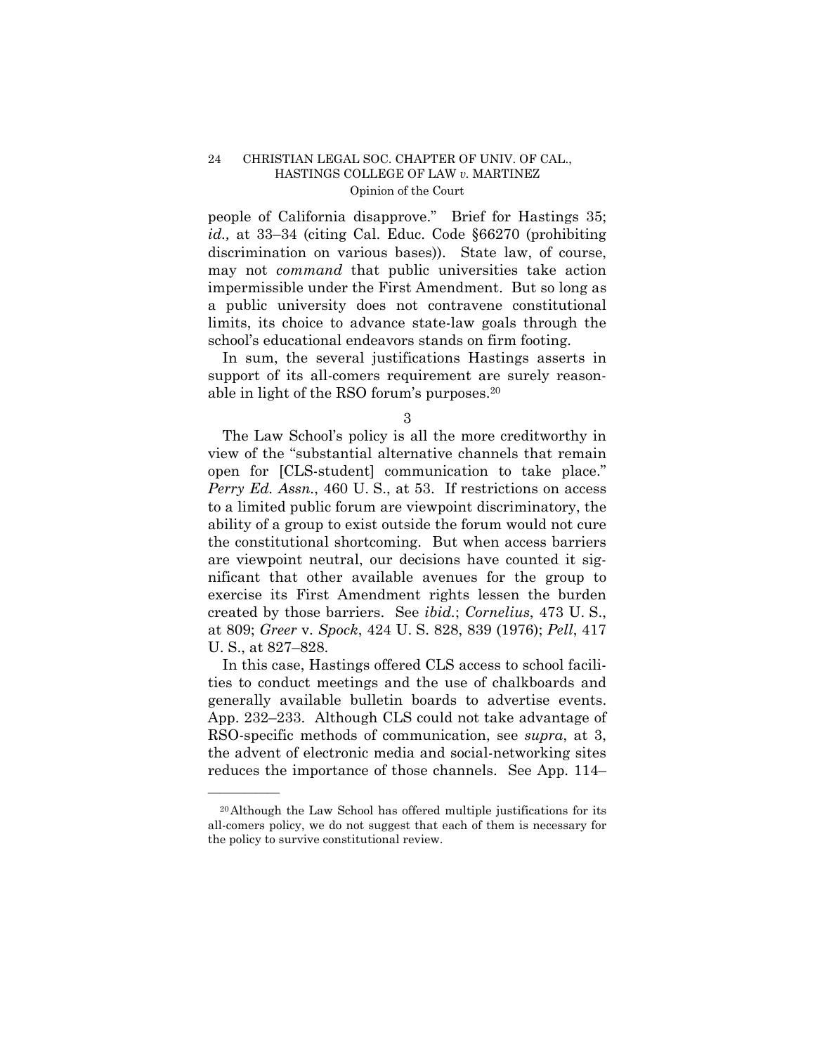people of California disapprove." Brief for Hastings 35; *id.,* at 33–34 (citing Cal. Educ. Code §66270 (prohibiting discrimination on various bases)). State law, of course, may not *command* that public universities take action impermissible under the First Amendment. But so long as a public university does not contravene constitutional limits, its choice to advance state-law goals through the school's educational endeavors stands on firm footing.

In sum, the several justifications Hastings asserts in support of its all-comers requirement are surely reasonable in light of the RSO forum's purposes.20

3

The Law School's policy is all the more creditworthy in view of the "substantial alternative channels that remain open for [CLS-student] communication to take place." *Perry Ed. Assn.*, 460 U.S., at 53. If restrictions on access to a limited public forum are viewpoint discriminatory, the ability of a group to exist outside the forum would not cure the constitutional shortcoming. But when access barriers are viewpoint neutral, our decisions have counted it significant that other available avenues for the group to exercise its First Amendment rights lessen the burden created by those barriers. See *ibid.*; *Cornelius*, 473 U. S., at 809; *Greer* v. *Spock*, 424 U. S. 828, 839 (1976); *Pell*, 417 U. S., at 827–828.

In this case, Hastings offered CLS access to school facilities to conduct meetings and the use of chalkboards and generally available bulletin boards to advertise events. App. 232–233. Although CLS could not take advantage of RSO-specific methods of communication, see *supra*, at 3, the advent of electronic media and social-networking sites reduces the importance of those channels. See App. 114–

<sup>20</sup>Although the Law School has offered multiple justifications for its all-comers policy, we do not suggest that each of them is necessary for the policy to survive constitutional review.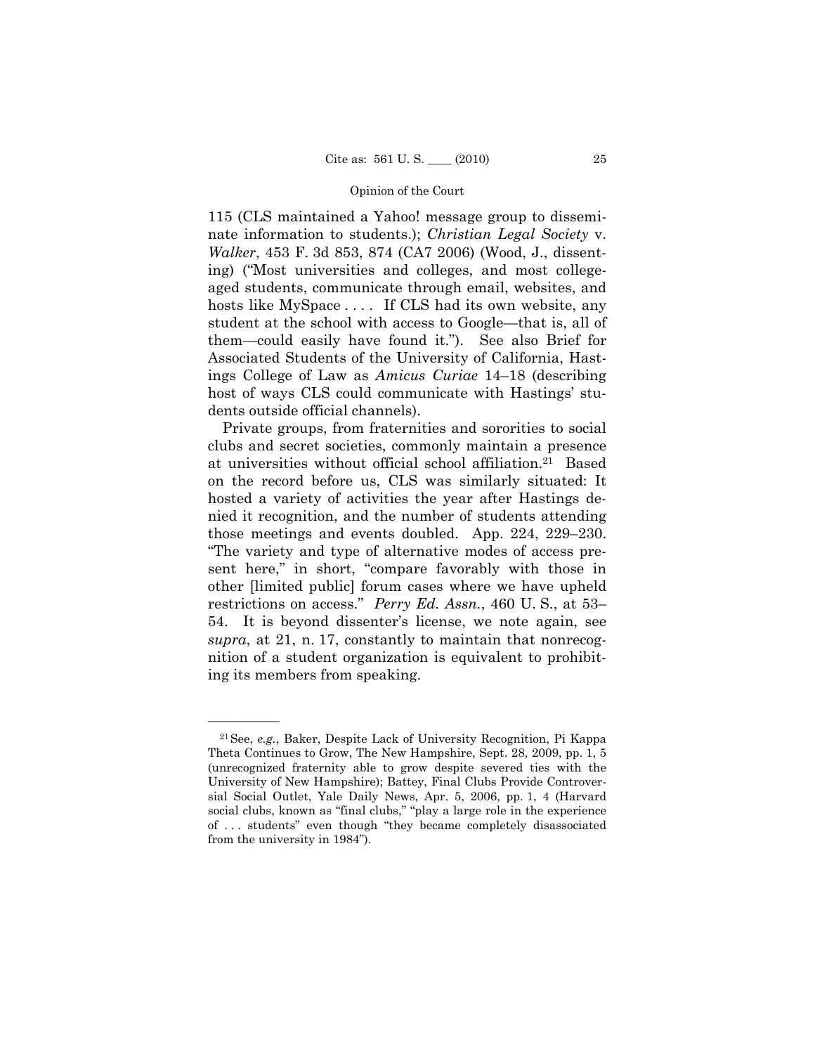115 (CLS maintained a Yahoo! message group to disseminate information to students.); *Christian Legal Society* v. *Walker*, 453 F. 3d 853, 874 (CA7 2006) (Wood, J., dissenting) ("Most universities and colleges, and most collegeaged students, communicate through email, websites, and hosts like MySpace .... If CLS had its own website, any student at the school with access to Google—that is, all of them—could easily have found it."). See also Brief for Associated Students of the University of California, Hastings College of Law as *Amicus Curiae* 14–18 (describing host of ways CLS could communicate with Hastings' students outside official channels).

Private groups, from fraternities and sororities to social clubs and secret societies, commonly maintain a presence at universities without official school affiliation.21 Based on the record before us, CLS was similarly situated: It hosted a variety of activities the year after Hastings denied it recognition, and the number of students attending those meetings and events doubled. App. 224, 229–230. "The variety and type of alternative modes of access present here," in short, "compare favorably with those in other [limited public] forum cases where we have upheld restrictions on access." *Perry Ed. Assn.*, 460 U. S., at 53– 54. It is beyond dissenter's license, we note again, see *supra*, at 21, n. 17, constantly to maintain that nonrecognition of a student organization is equivalent to prohibiting its members from speaking.

<sup>21</sup>See, *e.g.*, Baker, Despite Lack of University Recognition, Pi Kappa Theta Continues to Grow, The New Hampshire, Sept. 28, 2009, pp. 1, 5 (unrecognized fraternity able to grow despite severed ties with the University of New Hampshire); Battey, Final Clubs Provide Controversial Social Outlet, Yale Daily News, Apr. 5, 2006, pp. 1, 4 (Harvard social clubs, known as "final clubs," "play a large role in the experience of . . . students" even though "they became completely disassociated from the university in 1984").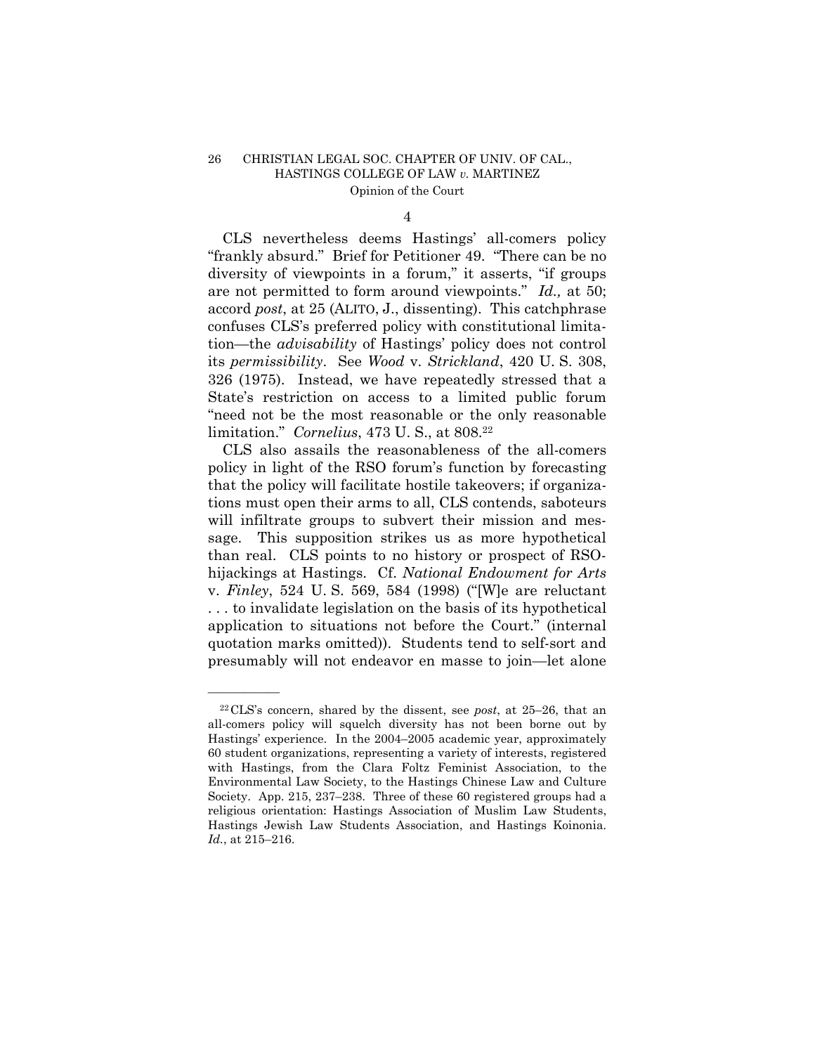4

CLS nevertheless deems Hastings' all-comers policy "frankly absurd." Brief for Petitioner 49. "There can be no diversity of viewpoints in a forum," it asserts, "if groups are not permitted to form around viewpoints." *Id.,* at 50; accord *post*, at 25 (ALITO, J., dissenting). This catchphrase confuses CLS's preferred policy with constitutional limitation—the *advisability* of Hastings' policy does not control its *permissibility*. See *Wood* v. *Strickland*, 420 U. S. 308, 326 (1975). Instead, we have repeatedly stressed that a State's restriction on access to a limited public forum "need not be the most reasonable or the only reasonable limitation." *Cornelius*, 473 U. S., at 808.22

CLS also assails the reasonableness of the all-comers policy in light of the RSO forum's function by forecasting that the policy will facilitate hostile takeovers; if organizations must open their arms to all, CLS contends, saboteurs will infiltrate groups to subvert their mission and message. This supposition strikes us as more hypothetical than real. CLS points to no history or prospect of RSOhijackings at Hastings. Cf. *National Endowment for Arts*  v. *Finley*, 524 U. S. 569, 584 (1998) ("[W]e are reluctant . . . to invalidate legislation on the basis of its hypothetical application to situations not before the Court." (internal quotation marks omitted)). Students tend to self-sort and presumably will not endeavor en masse to join—let alone

<sup>22</sup>CLS's concern, shared by the dissent, see *post*, at 25–26, that an all-comers policy will squelch diversity has not been borne out by Hastings' experience. In the 2004–2005 academic year, approximately 60 student organizations, representing a variety of interests, registered with Hastings, from the Clara Foltz Feminist Association, to the Environmental Law Society, to the Hastings Chinese Law and Culture Society. App. 215, 237–238. Three of these 60 registered groups had a religious orientation: Hastings Association of Muslim Law Students, Hastings Jewish Law Students Association, and Hastings Koinonia. *Id.*, at 215–216.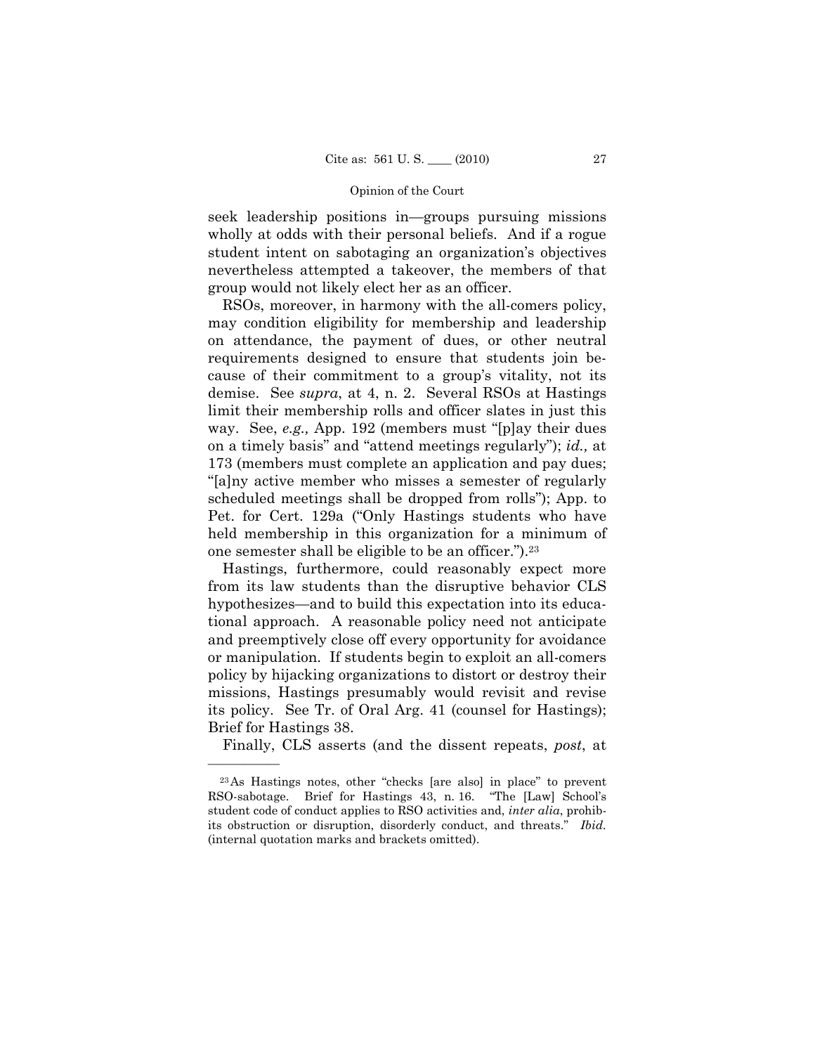seek leadership positions in—groups pursuing missions wholly at odds with their personal beliefs. And if a rogue student intent on sabotaging an organization's objectives nevertheless attempted a takeover, the members of that group would not likely elect her as an officer.

RSOs, moreover, in harmony with the all-comers policy, may condition eligibility for membership and leadership on attendance, the payment of dues, or other neutral requirements designed to ensure that students join because of their commitment to a group's vitality, not its demise. See *supra*, at 4, n. 2. Several RSOs at Hastings limit their membership rolls and officer slates in just this way. See, *e.g.,* App. 192 (members must "[p]ay their dues on a timely basis" and "attend meetings regularly"); *id.,* at 173 (members must complete an application and pay dues; "[a]ny active member who misses a semester of regularly scheduled meetings shall be dropped from rolls"); App. to Pet. for Cert. 129a ("Only Hastings students who have held membership in this organization for a minimum of one semester shall be eligible to be an officer.").23

Hastings, furthermore, could reasonably expect more from its law students than the disruptive behavior CLS hypothesizes—and to build this expectation into its educational approach. A reasonable policy need not anticipate and preemptively close off every opportunity for avoidance or manipulation. If students begin to exploit an all-comers policy by hijacking organizations to distort or destroy their missions, Hastings presumably would revisit and revise its policy. See Tr. of Oral Arg. 41 (counsel for Hastings); Brief for Hastings 38.

Finally, CLS asserts (and the dissent repeats, *post*, at

<sup>23</sup>As Hastings notes, other "checks [are also] in place" to prevent RSO-sabotage. Brief for Hastings 43, n. 16. "The [Law] School's student code of conduct applies to RSO activities and, *inter alia*, prohibits obstruction or disruption, disorderly conduct, and threats." *Ibid.*  (internal quotation marks and brackets omitted).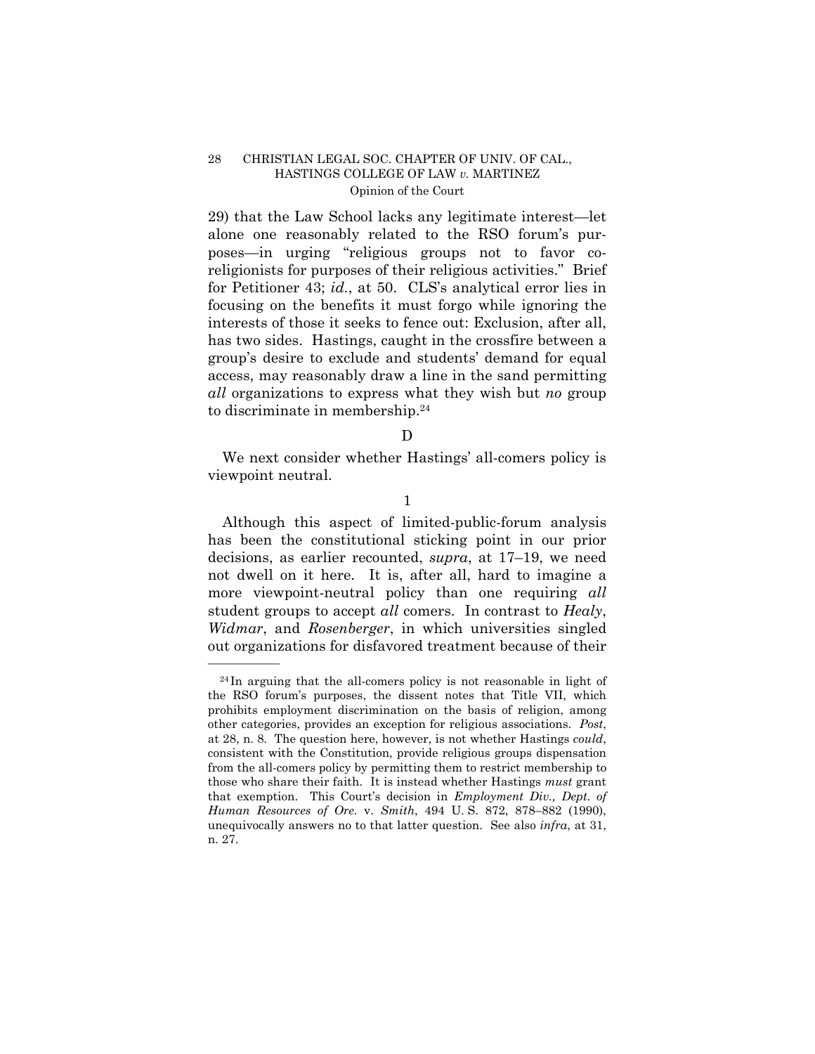29) that the Law School lacks any legitimate interest—let alone one reasonably related to the RSO forum's purposes—in urging "religious groups not to favor coreligionists for purposes of their religious activities." Brief for Petitioner 43; *id.*, at 50. CLS's analytical error lies in focusing on the benefits it must forgo while ignoring the interests of those it seeks to fence out: Exclusion, after all, has two sides. Hastings, caught in the crossfire between a group's desire to exclude and students' demand for equal access, may reasonably draw a line in the sand permitting *all* organizations to express what they wish but *no* group to discriminate in membership.24

D

We next consider whether Hastings' all-comers policy is viewpoint neutral.

1

Although this aspect of limited-public-forum analysis has been the constitutional sticking point in our prior decisions, as earlier recounted, *supra*, at 17–19, we need not dwell on it here. It is, after all, hard to imagine a more viewpoint-neutral policy than one requiring *all*  student groups to accept *all* comers. In contrast to *Healy*, *Widmar*, and *Rosenberger*, in which universities singled out organizations for disfavored treatment because of their

<sup>24</sup> In arguing that the all-comers policy is not reasonable in light of the RSO forum's purposes, the dissent notes that Title VII, which prohibits employment discrimination on the basis of religion, among other categories, provides an exception for religious associations. *Post*, at 28, n. 8. The question here, however, is not whether Hastings *could*, consistent with the Constitution, provide religious groups dispensation from the all-comers policy by permitting them to restrict membership to those who share their faith. It is instead whether Hastings *must* grant that exemption. This Court's decision in *Employment Div., Dept. of Human Resources of Ore.* v. *Smith*, 494 U. S. 872, 878–882 (1990), unequivocally answers no to that latter question. See also *infra*, at 31, n. 27.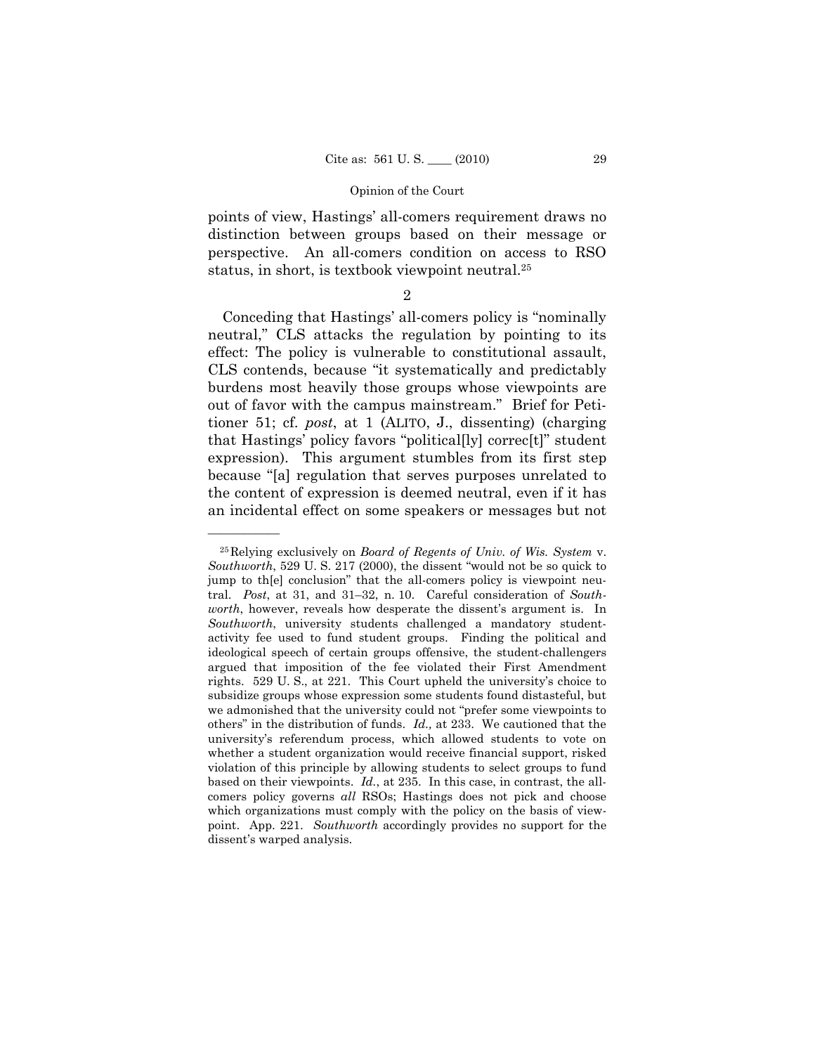points of view, Hastings' all-comers requirement draws no distinction between groups based on their message or perspective. An all-comers condition on access to RSO status, in short, is textbook viewpoint neutral.25

2

Conceding that Hastings' all-comers policy is "nominally neutral," CLS attacks the regulation by pointing to its effect: The policy is vulnerable to constitutional assault, CLS contends, because "it systematically and predictably burdens most heavily those groups whose viewpoints are out of favor with the campus mainstream." Brief for Petitioner 51; cf. *post*, at 1 (ALITO, J., dissenting) (charging that Hastings' policy favors "political[ly] correc[t]" student expression). This argument stumbles from its first step because "[a] regulation that serves purposes unrelated to the content of expression is deemed neutral, even if it has an incidental effect on some speakers or messages but not

<sup>25</sup>Relying exclusively on *Board of Regents of Univ. of Wis. System* v. *Southworth*, 529 U. S. 217 (2000), the dissent "would not be so quick to jump to th[e] conclusion" that the all-comers policy is viewpoint neutral. *Post*, at 31, and 31–32, n. 10. Careful consideration of *Southworth*, however, reveals how desperate the dissent's argument is. In *Southworth*, university students challenged a mandatory studentactivity fee used to fund student groups. Finding the political and ideological speech of certain groups offensive, the student-challengers argued that imposition of the fee violated their First Amendment rights. 529 U. S., at 221. This Court upheld the university's choice to subsidize groups whose expression some students found distasteful, but we admonished that the university could not "prefer some viewpoints to others" in the distribution of funds. *Id.,* at 233. We cautioned that the university's referendum process, which allowed students to vote on whether a student organization would receive financial support, risked violation of this principle by allowing students to select groups to fund based on their viewpoints. *Id.*, at 235. In this case, in contrast, the allcomers policy governs *all* RSOs; Hastings does not pick and choose which organizations must comply with the policy on the basis of viewpoint. App. 221. *Southworth* accordingly provides no support for the dissent's warped analysis.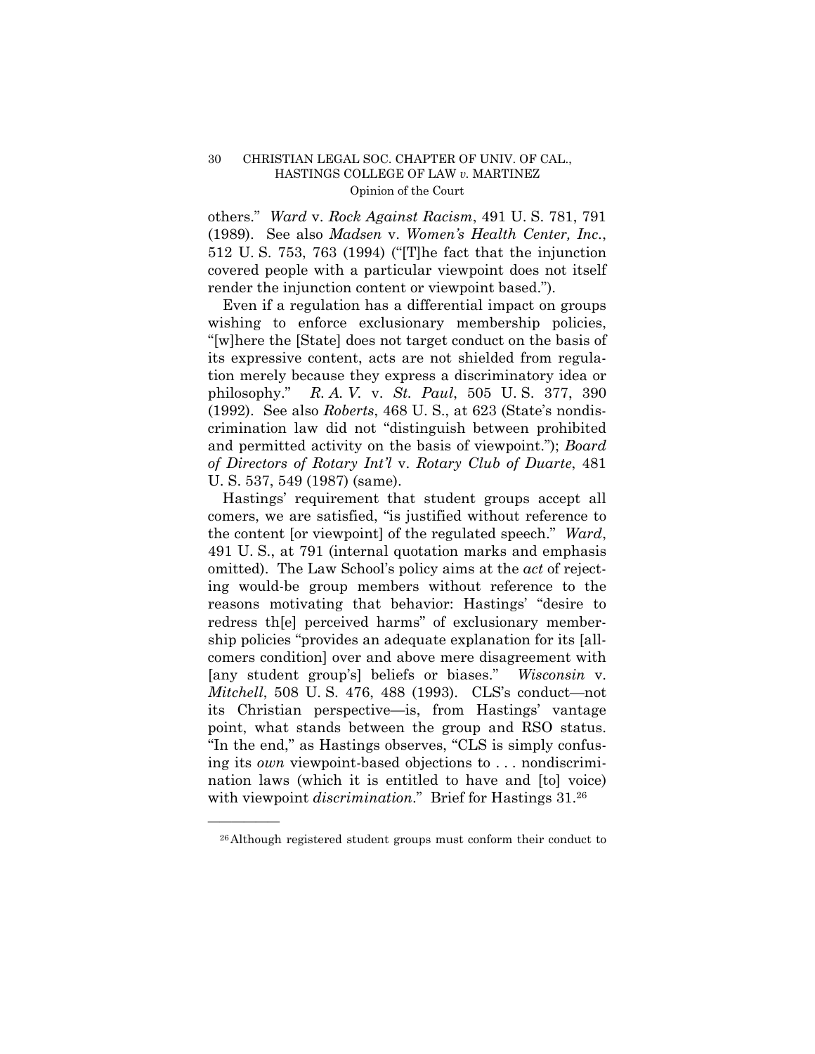others." *Ward* v. *Rock Against Racism*, 491 U. S. 781, 791 (1989). See also *Madsen* v. *Women's Health Center, Inc.*, 512 U. S. 753, 763 (1994) ("[T]he fact that the injunction covered people with a particular viewpoint does not itself render the injunction content or viewpoint based.").

Even if a regulation has a differential impact on groups wishing to enforce exclusionary membership policies, "[w]here the [State] does not target conduct on the basis of its expressive content, acts are not shielded from regulation merely because they express a discriminatory idea or philosophy." *R. A. V.* v. *St. Paul*, 505 U. S. 377, 390 (1992). See also *Roberts*, 468 U. S., at 623 (State's nondiscrimination law did not "distinguish between prohibited and permitted activity on the basis of viewpoint."); *Board of Directors of Rotary Int'l* v. *Rotary Club of Duarte*, 481 U. S. 537, 549 (1987) (same).

Hastings' requirement that student groups accept all comers, we are satisfied, "is justified without reference to the content [or viewpoint] of the regulated speech." *Ward*, 491 U. S., at 791 (internal quotation marks and emphasis omitted). The Law School's policy aims at the *act* of rejecting would-be group members without reference to the reasons motivating that behavior: Hastings' "desire to redress th[e] perceived harms" of exclusionary membership policies "provides an adequate explanation for its [allcomers condition] over and above mere disagreement with [any student group's] beliefs or biases." *Wisconsin* v. *Mitchell*, 508 U. S. 476, 488 (1993). CLS's conduct—not its Christian perspective—is, from Hastings' vantage point, what stands between the group and RSO status. "In the end," as Hastings observes, "CLS is simply confusing its *own* viewpoint-based objections to . . . nondiscrimination laws (which it is entitled to have and [to] voice) with viewpoint *discrimination*." Brief for Hastings 31.26

<sup>26</sup>Although registered student groups must conform their conduct to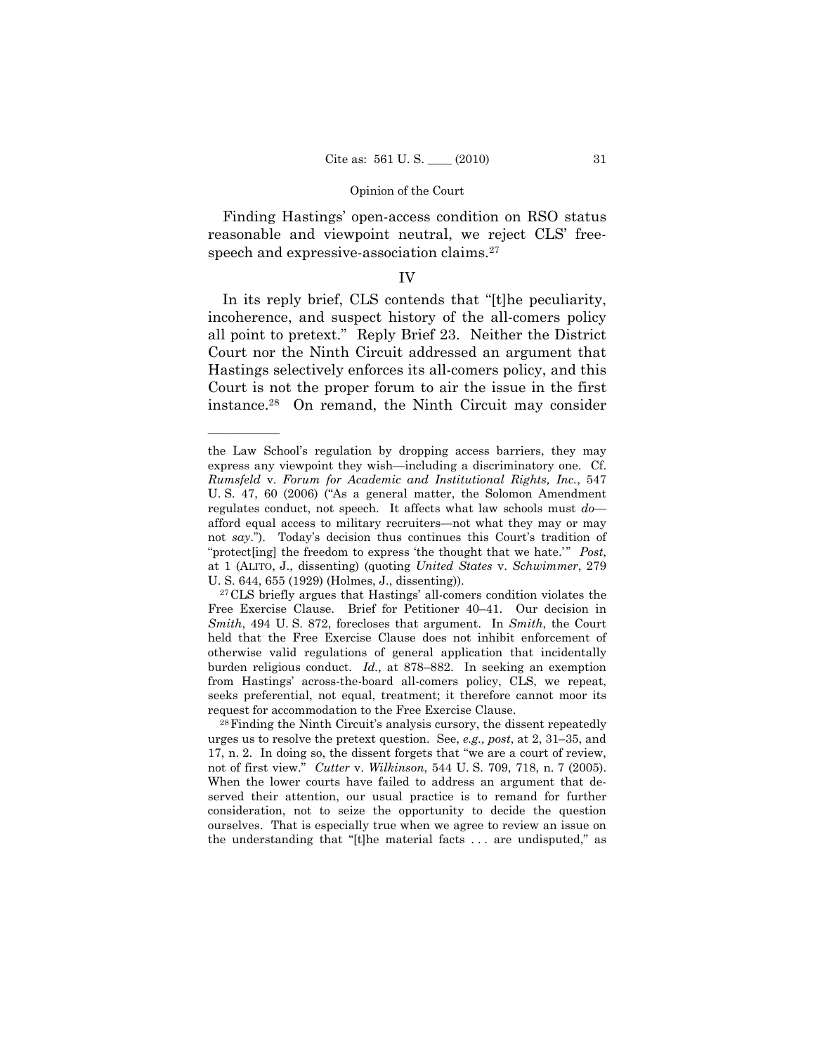#### Opinion of the Court

 Finding Hastings' open-access condition on RSO status reasonable and viewpoint neutral, we reject CLS' freespeech and expressive-association claims.<sup>27</sup>

# IV

In its reply brief, CLS contends that "[t]he peculiarity, incoherence, and suspect history of the all-comers policy all point to pretext." Reply Brief 23. Neither the District Court nor the Ninth Circuit addressed an argument that Hastings selectively enforces its all-comers policy, and this Court is not the proper forum to air the issue in the first instance.28 On remand, the Ninth Circuit may consider

the Law School's regulation by dropping access barriers, they may express any viewpoint they wish—including a discriminatory one. Cf. *Rumsfeld* v. *Forum for Academic and Institutional Rights, Inc.*, 547 U. S. 47, 60 (2006) ("As a general matter, the Solomon Amendment regulates conduct, not speech. It affects what law schools must *do* afford equal access to military recruiters—not what they may or may not *say*."). Today's decision thus continues this Court's tradition of "protect ling the freedom to express 'the thought that we hate.'" *Post*, at 1 (ALITO, J., dissenting) (quoting *United States* v. *Schwimmer*, 279 U. S. 644, 655 (1929) (Holmes, J., dissenting)).<br><sup>27</sup>CLS briefly argues that Hastings' all-comers condition violates the

Free Exercise Clause. Brief for Petitioner 40–41. Our decision in *Smith*, 494 U. S. 872, forecloses that argument. In *Smith*, the Court held that the Free Exercise Clause does not inhibit enforcement of otherwise valid regulations of general application that incidentally burden religious conduct. *Id.,* at 878–882. In seeking an exemption from Hastings' across-the-board all-comers policy, CLS, we repeat, seeks preferential, not equal, treatment; it therefore cannot moor its request for accommodation to the Free Exercise Clause. 28Finding the Ninth Circuit's analysis cursory, the dissent repeatedly

urges us to resolve the pretext question. See, *e.g., post*, at 2, 31–35, and 17, n. 2. In doing so, the dissent forgets that "we are a court of review, not of first view." *Cutter* v. *Wilkinson*, 544 U. S. 709, 718, n. 7 (2005). When the lower courts have failed to address an argument that deserved their attention, our usual practice is to remand for further consideration, not to seize the opportunity to decide the question ourselves. That is especially true when we agree to review an issue on the understanding that "[t]he material facts . . . are undisputed," as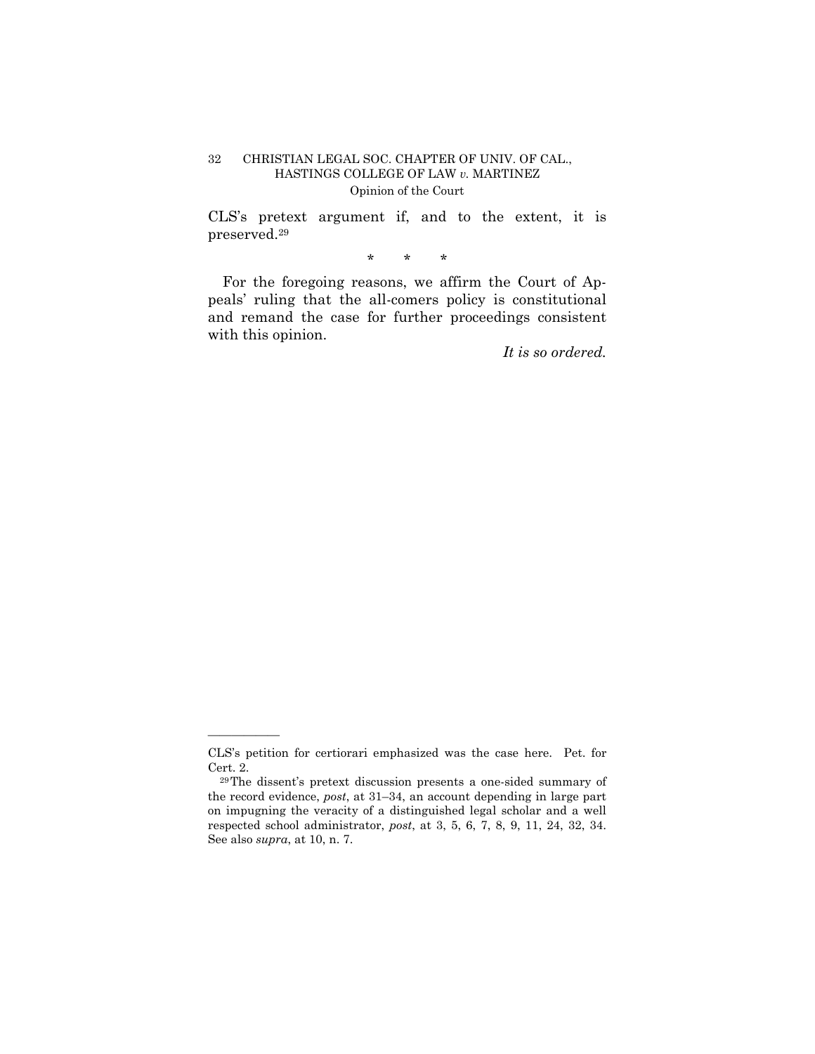## 32 CHRISTIAN LEGAL SOC. CHAPTER OF UNIV. OF CAL., HASTINGS COLLEGE OF LAW *v.* MARTINEZ Opinion of the Court

CLS's pretext argument if, and to the extent, it is preserved.29

\* \* \*

For the foregoing reasons, we affirm the Court of Appeals' ruling that the all-comers policy is constitutional and remand the case for further proceedings consistent with this opinion.

*It is so ordered.* 

CLS's petition for certiorari emphasized was the case here. Pet. for

<sup>&</sup>lt;sup>29</sup>The dissent's pretext discussion presents a one-sided summary of the record evidence, *post*, at 31–34, an account depending in large part on impugning the veracity of a distinguished legal scholar and a well respected school administrator, *post*, at 3, 5, 6, 7, 8, 9, 11, 24, 32, 34. See also *supra*, at 10, n. 7.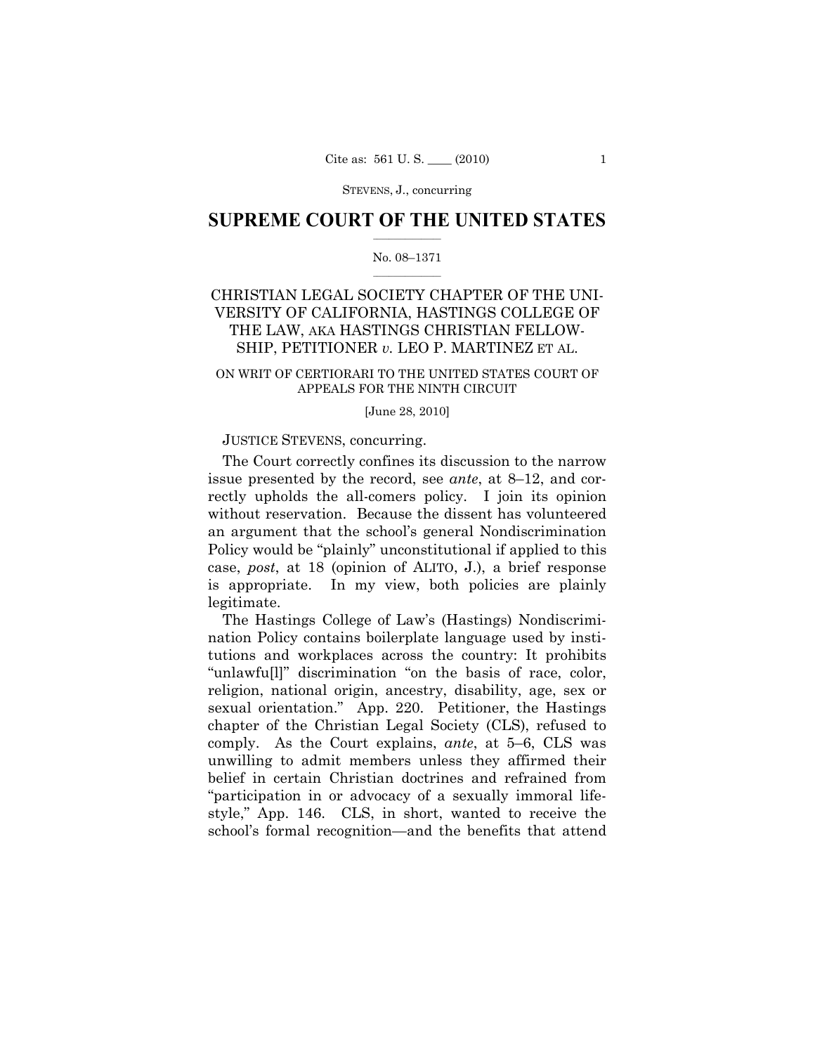#### STEVENS, J., concurring

### $\frac{1}{2}$  , where  $\frac{1}{2}$ **SUPREME COURT OF THE UNITED STATES**

### $\frac{1}{2}$  ,  $\frac{1}{2}$  ,  $\frac{1}{2}$  ,  $\frac{1}{2}$  ,  $\frac{1}{2}$  ,  $\frac{1}{2}$ No. 08–1371

# CHRISTIAN LEGAL SOCIETY CHAPTER OF THE UNI-VERSITY OF CALIFORNIA, HASTINGS COLLEGE OF THE LAW, AKA HASTINGS CHRISTIAN FELLOW-SHIP, PETITIONER *v.* LEO P. MARTINEZ ET AL.

### ON WRIT OF CERTIORARI TO THE UNITED STATES COURT OF APPEALS FOR THE NINTH CIRCUIT

#### [June 28, 2010]

### JUSTICE STEVENS, concurring.

The Court correctly confines its discussion to the narrow issue presented by the record, see *ante*, at 8–12, and correctly upholds the all-comers policy. I join its opinion without reservation. Because the dissent has volunteered an argument that the school's general Nondiscrimination Policy would be "plainly" unconstitutional if applied to this case, *post*, at 18 (opinion of ALITO, J.), a brief response is appropriate. In my view, both policies are plainly legitimate.

The Hastings College of Law's (Hastings) Nondiscrimination Policy contains boilerplate language used by institutions and workplaces across the country: It prohibits "unlawfu[l]" discrimination "on the basis of race, color, religion, national origin, ancestry, disability, age, sex or sexual orientation." App. 220. Petitioner, the Hastings chapter of the Christian Legal Society (CLS), refused to comply. As the Court explains, *ante*, at 5–6, CLS was unwilling to admit members unless they affirmed their belief in certain Christian doctrines and refrained from "participation in or advocacy of a sexually immoral lifestyle," App. 146. CLS, in short, wanted to receive the school's formal recognition—and the benefits that attend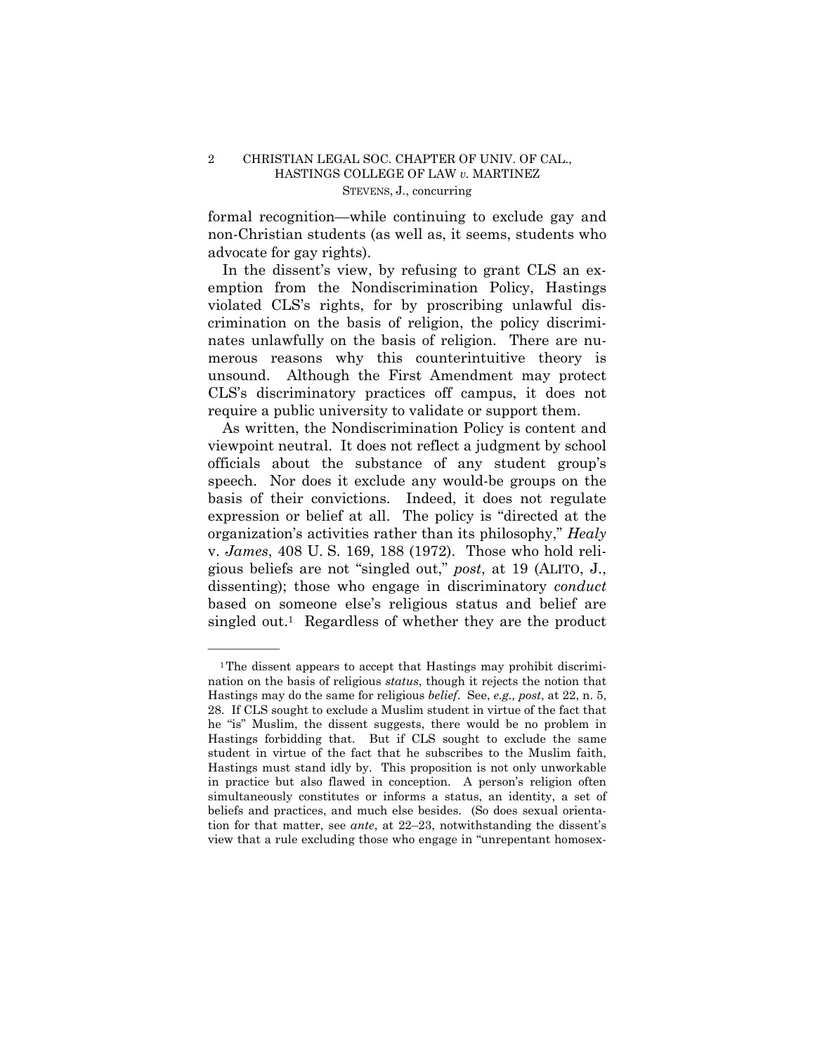## 2 CHRISTIAN LEGAL SOC. CHAPTER OF UNIV. OF CAL., HASTINGS COLLEGE OF LAW *v.* MARTINEZ STEVENS, J., concurring

formal recognition—while continuing to exclude gay and non-Christian students (as well as, it seems, students who advocate for gay rights).

In the dissent's view, by refusing to grant CLS an exemption from the Nondiscrimination Policy, Hastings violated CLS's rights, for by proscribing unlawful discrimination on the basis of religion, the policy discriminates unlawfully on the basis of religion. There are numerous reasons why this counterintuitive theory is unsound. Although the First Amendment may protect CLS's discriminatory practices off campus, it does not require a public university to validate or support them.

As written, the Nondiscrimination Policy is content and viewpoint neutral. It does not reflect a judgment by school officials about the substance of any student group's speech. Nor does it exclude any would-be groups on the basis of their convictions. Indeed, it does not regulate expression or belief at all. The policy is "directed at the organization's activities rather than its philosophy," *Healy*  v. *James*, 408 U. S. 169, 188 (1972). Those who hold religious beliefs are not "singled out," *post*, at 19 (ALITO, J., dissenting); those who engage in discriminatory *conduct*  based on someone else's religious status and belief are singled out.<sup>1</sup> Regardless of whether they are the product

<sup>1</sup>The dissent appears to accept that Hastings may prohibit discrimination on the basis of religious *status*, though it rejects the notion that Hastings may do the same for religious *belief*. See, *e.g., post*, at 22, n. 5, 28. If CLS sought to exclude a Muslim student in virtue of the fact that he "is" Muslim, the dissent suggests, there would be no problem in Hastings forbidding that. But if CLS sought to exclude the same student in virtue of the fact that he subscribes to the Muslim faith, Hastings must stand idly by. This proposition is not only unworkable in practice but also flawed in conception. A person's religion often simultaneously constitutes or informs a status, an identity, a set of beliefs and practices, and much else besides. (So does sexual orientation for that matter, see *ante*, at 22–23, notwithstanding the dissent's view that a rule excluding those who engage in "unrepentant homosex-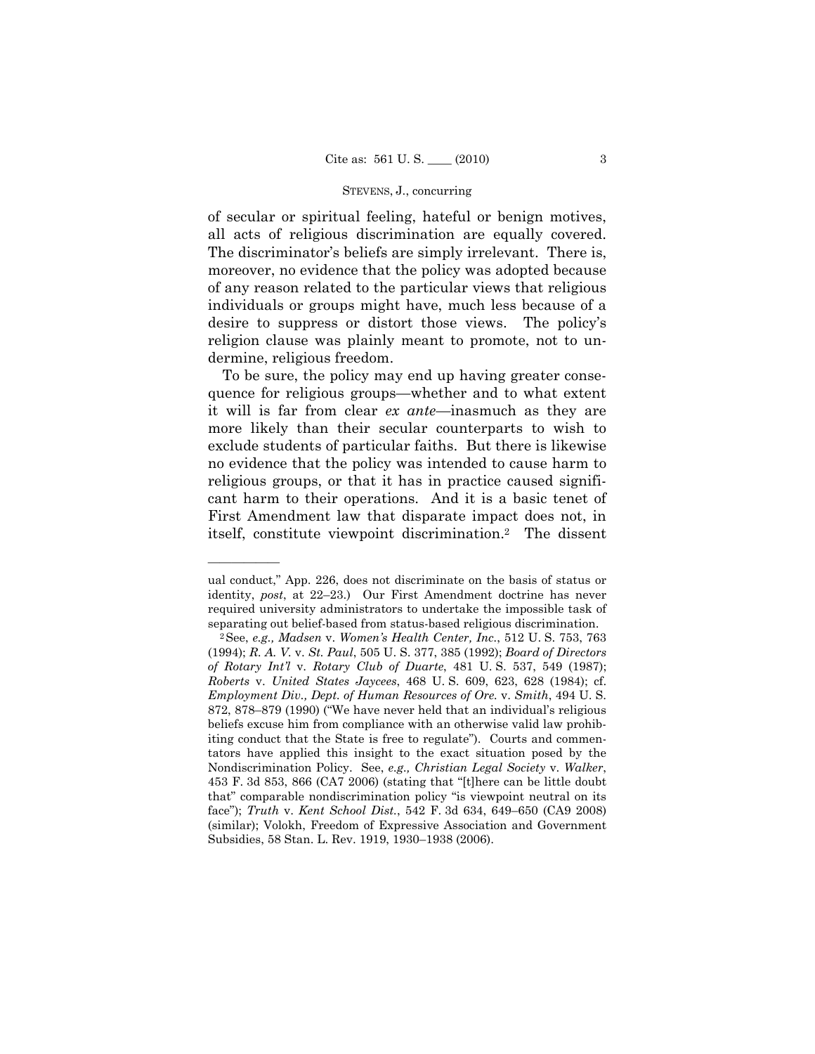#### STEVENS, J., concurring

of secular or spiritual feeling, hateful or benign motives, all acts of religious discrimination are equally covered. The discriminator's beliefs are simply irrelevant. There is, moreover, no evidence that the policy was adopted because of any reason related to the particular views that religious individuals or groups might have, much less because of a desire to suppress or distort those views. The policy's religion clause was plainly meant to promote, not to undermine, religious freedom.

To be sure, the policy may end up having greater consequence for religious groups—whether and to what extent it will is far from clear *ex ante*—inasmuch as they are more likely than their secular counterparts to wish to exclude students of particular faiths. But there is likewise no evidence that the policy was intended to cause harm to religious groups, or that it has in practice caused significant harm to their operations. And it is a basic tenet of First Amendment law that disparate impact does not, in itself, constitute viewpoint discrimination.2 The dissent

ual conduct," App. 226, does not discriminate on the basis of status or identity, *post*, at 22–23.) Our First Amendment doctrine has never required university administrators to undertake the impossible task of separating out belief-based from status-based religious discrimination. 2See, *e.g., Madsen* v. *Women's Health Center, Inc.*, 512 U. S. 753, 763

<sup>(1994);</sup> *R. A. V.* v. *St. Paul*, 505 U. S. 377, 385 (1992); *Board of Directors of Rotary Int'l* v. *Rotary Club of Duarte*, 481 U. S. 537, 549 (1987); *Roberts* v. *United States Jaycees*, 468 U. S. 609, 623, 628 (1984); cf. *Employment Div., Dept. of Human Resources of Ore.* v. *Smith*, 494 U. S. 872, 878–879 (1990) ("We have never held that an individual's religious beliefs excuse him from compliance with an otherwise valid law prohibiting conduct that the State is free to regulate"). Courts and commentators have applied this insight to the exact situation posed by the Nondiscrimination Policy. See, *e.g., Christian Legal Society* v. *Walker*, 453 F. 3d 853, 866 (CA7 2006) (stating that "[t]here can be little doubt that" comparable nondiscrimination policy "is viewpoint neutral on its face"); *Truth* v. *Kent School Dist.*, 542 F. 3d 634, 649–650 (CA9 2008) (similar); Volokh, Freedom of Expressive Association and Government Subsidies, 58 Stan. L. Rev. 1919, 1930–1938 (2006).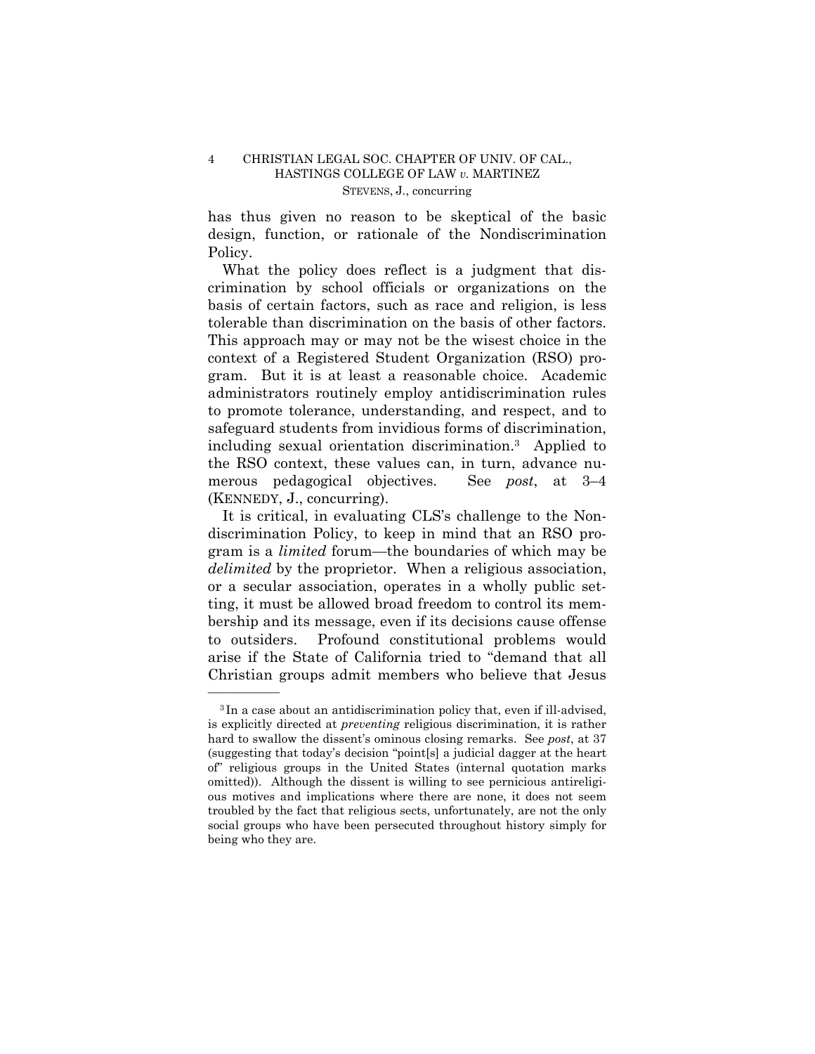## 4 CHRISTIAN LEGAL SOC. CHAPTER OF UNIV. OF CAL., HASTINGS COLLEGE OF LAW *v.* MARTINEZ STEVENS, J., concurring

has thus given no reason to be skeptical of the basic design, function, or rationale of the Nondiscrimination Policy.

What the policy does reflect is a judgment that discrimination by school officials or organizations on the basis of certain factors, such as race and religion, is less tolerable than discrimination on the basis of other factors. This approach may or may not be the wisest choice in the context of a Registered Student Organization (RSO) program. But it is at least a reasonable choice. Academic administrators routinely employ antidiscrimination rules to promote tolerance, understanding, and respect, and to safeguard students from invidious forms of discrimination, including sexual orientation discrimination.3 Applied to the RSO context, these values can, in turn, advance numerous pedagogical objectives. See *post*, at 3–4 (KENNEDY, J., concurring).

It is critical, in evaluating CLS's challenge to the Nondiscrimination Policy, to keep in mind that an RSO program is a *limited* forum—the boundaries of which may be *delimited* by the proprietor. When a religious association, or a secular association, operates in a wholly public setting, it must be allowed broad freedom to control its membership and its message, even if its decisions cause offense to outsiders. Profound constitutional problems would arise if the State of California tried to "demand that all Christian groups admit members who believe that Jesus

<sup>3</sup> In a case about an antidiscrimination policy that, even if ill-advised, is explicitly directed at *preventing* religious discrimination, it is rather hard to swallow the dissent's ominous closing remarks. See *post*, at 37 (suggesting that today's decision "point[s] a judicial dagger at the heart of" religious groups in the United States (internal quotation marks omitted)). Although the dissent is willing to see pernicious antireligious motives and implications where there are none, it does not seem troubled by the fact that religious sects, unfortunately, are not the only social groups who have been persecuted throughout history simply for being who they are.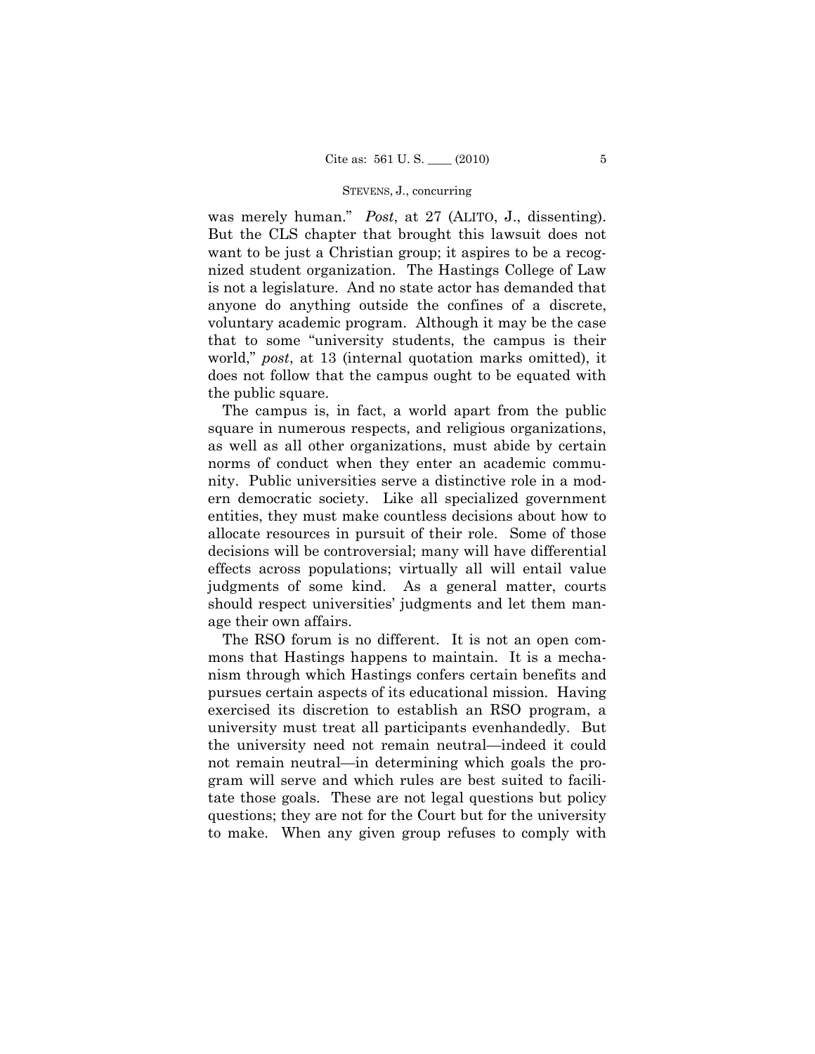### STEVENS, J., concurring

was merely human." *Post*, at 27 (ALITO, J., dissenting). But the CLS chapter that brought this lawsuit does not want to be just a Christian group; it aspires to be a recognized student organization. The Hastings College of Law is not a legislature. And no state actor has demanded that anyone do anything outside the confines of a discrete, voluntary academic program. Although it may be the case that to some "university students, the campus is their world," *post*, at 13 (internal quotation marks omitted), it does not follow that the campus ought to be equated with the public square.

The campus is, in fact, a world apart from the public square in numerous respects, and religious organizations, as well as all other organizations, must abide by certain norms of conduct when they enter an academic community. Public universities serve a distinctive role in a modern democratic society. Like all specialized government entities, they must make countless decisions about how to allocate resources in pursuit of their role. Some of those decisions will be controversial; many will have differential effects across populations; virtually all will entail value judgments of some kind. As a general matter, courts should respect universities' judgments and let them manage their own affairs.

The RSO forum is no different. It is not an open commons that Hastings happens to maintain. It is a mechanism through which Hastings confers certain benefits and pursues certain aspects of its educational mission. Having exercised its discretion to establish an RSO program, a university must treat all participants evenhandedly. But the university need not remain neutral—indeed it could not remain neutral—in determining which goals the program will serve and which rules are best suited to facilitate those goals. These are not legal questions but policy questions; they are not for the Court but for the university to make. When any given group refuses to comply with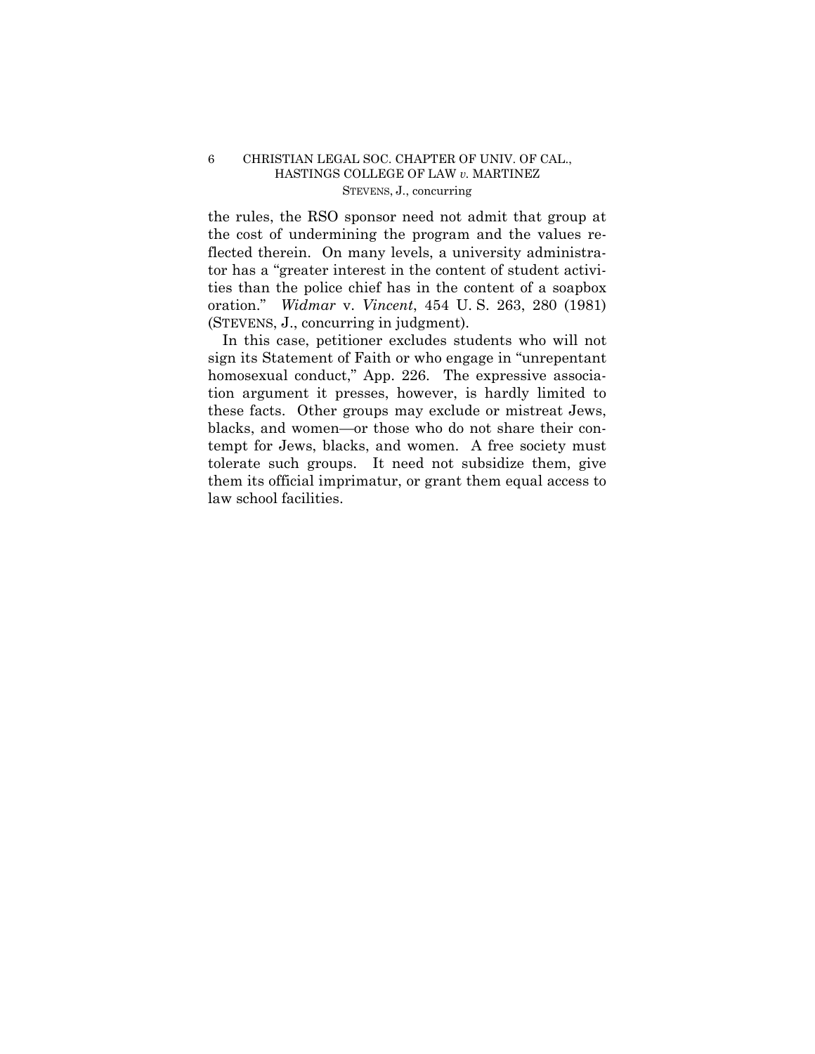# 6 CHRISTIAN LEGAL SOC. CHAPTER OF UNIV. OF CAL., HASTINGS COLLEGE OF LAW *v.* MARTINEZ STEVENS, J., concurring

the rules, the RSO sponsor need not admit that group at the cost of undermining the program and the values reflected therein. On many levels, a university administrator has a "greater interest in the content of student activities than the police chief has in the content of a soapbox oration." *Widmar* v. *Vincent*, 454 U. S. 263, 280 (1981) (STEVENS, J., concurring in judgment).

In this case, petitioner excludes students who will not sign its Statement of Faith or who engage in "unrepentant homosexual conduct," App. 226. The expressive association argument it presses, however, is hardly limited to these facts. Other groups may exclude or mistreat Jews, blacks, and women—or those who do not share their contempt for Jews, blacks, and women. A free society must tolerate such groups. It need not subsidize them, give them its official imprimatur, or grant them equal access to law school facilities.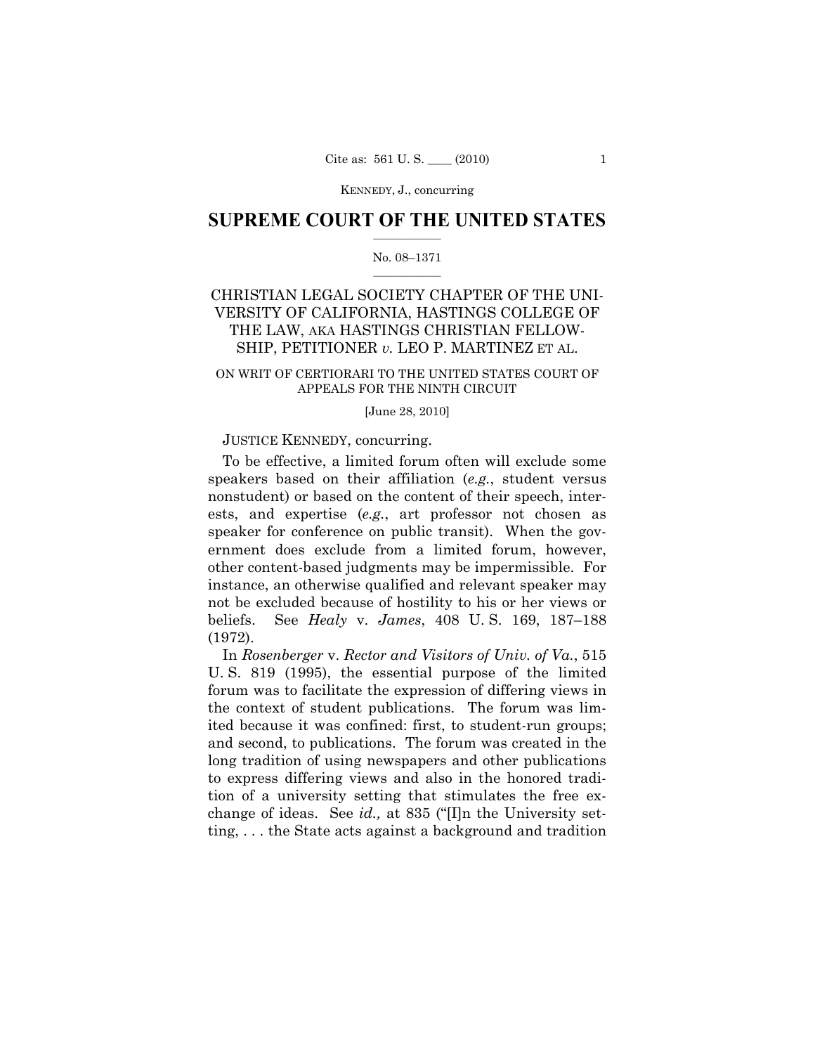KENNEDY, J., concurring

### $\frac{1}{2}$  , where  $\frac{1}{2}$ **SUPREME COURT OF THE UNITED STATES**

### $\frac{1}{2}$  ,  $\frac{1}{2}$  ,  $\frac{1}{2}$  ,  $\frac{1}{2}$  ,  $\frac{1}{2}$  ,  $\frac{1}{2}$ No. 08–1371

# CHRISTIAN LEGAL SOCIETY CHAPTER OF THE UNI-VERSITY OF CALIFORNIA, HASTINGS COLLEGE OF THE LAW, AKA HASTINGS CHRISTIAN FELLOW-SHIP, PETITIONER *v.* LEO P. MARTINEZ ET AL.

## ON WRIT OF CERTIORARI TO THE UNITED STATES COURT OF APPEALS FOR THE NINTH CIRCUIT

#### [June 28, 2010]

## JUSTICE KENNEDY, concurring.

To be effective, a limited forum often will exclude some speakers based on their affiliation (*e.g.*, student versus nonstudent) or based on the content of their speech, interests, and expertise (*e.g.*, art professor not chosen as speaker for conference on public transit). When the government does exclude from a limited forum, however, other content-based judgments may be impermissible. For instance, an otherwise qualified and relevant speaker may not be excluded because of hostility to his or her views or beliefs. See *Healy* v. *James*, 408 U. S. 169, 187–188 (1972).

In *Rosenberger* v. *Rector and Visitors of Univ. of Va.*, 515 U. S. 819 (1995), the essential purpose of the limited forum was to facilitate the expression of differing views in the context of student publications. The forum was limited because it was confined: first, to student-run groups; and second, to publications. The forum was created in the long tradition of using newspapers and other publications to express differing views and also in the honored tradition of a university setting that stimulates the free exchange of ideas. See *id.,* at 835 ("[I]n the University setting, . . . the State acts against a background and tradition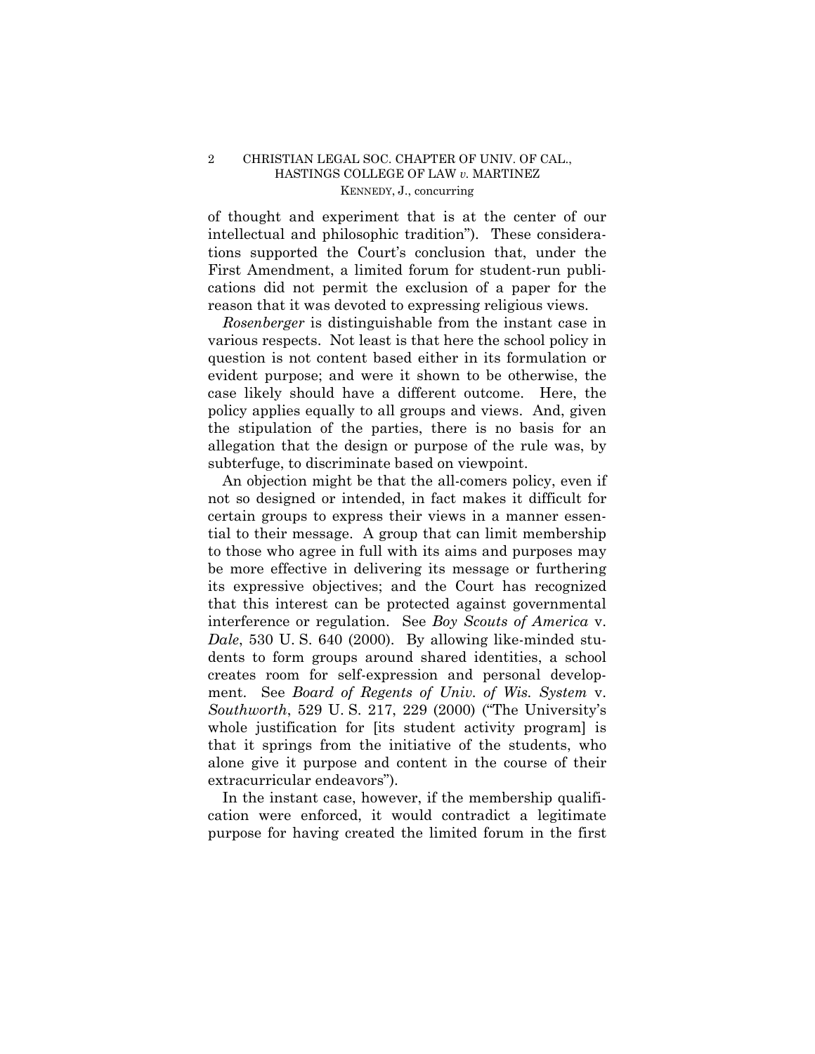# 2 CHRISTIAN LEGAL SOC. CHAPTER OF UNIV. OF CAL., HASTINGS COLLEGE OF LAW *v.* MARTINEZ KENNEDY, J., concurring

of thought and experiment that is at the center of our intellectual and philosophic tradition"). These considerations supported the Court's conclusion that, under the First Amendment, a limited forum for student-run publications did not permit the exclusion of a paper for the reason that it was devoted to expressing religious views.

*Rosenberger* is distinguishable from the instant case in various respects. Not least is that here the school policy in question is not content based either in its formulation or evident purpose; and were it shown to be otherwise, the case likely should have a different outcome. Here, the policy applies equally to all groups and views. And, given the stipulation of the parties, there is no basis for an allegation that the design or purpose of the rule was, by subterfuge, to discriminate based on viewpoint.

An objection might be that the all-comers policy, even if not so designed or intended, in fact makes it difficult for certain groups to express their views in a manner essential to their message. A group that can limit membership to those who agree in full with its aims and purposes may be more effective in delivering its message or furthering its expressive objectives; and the Court has recognized that this interest can be protected against governmental interference or regulation. See *Boy Scouts of America* v. *Dale*, 530 U. S. 640 (2000). By allowing like-minded students to form groups around shared identities, a school creates room for self-expression and personal development. See *Board of Regents of Univ. of Wis. System* v. *Southworth*, 529 U. S. 217, 229 (2000) ("The University's whole justification for [its student activity program] is that it springs from the initiative of the students, who alone give it purpose and content in the course of their extracurricular endeavors").

In the instant case, however, if the membership qualification were enforced, it would contradict a legitimate purpose for having created the limited forum in the first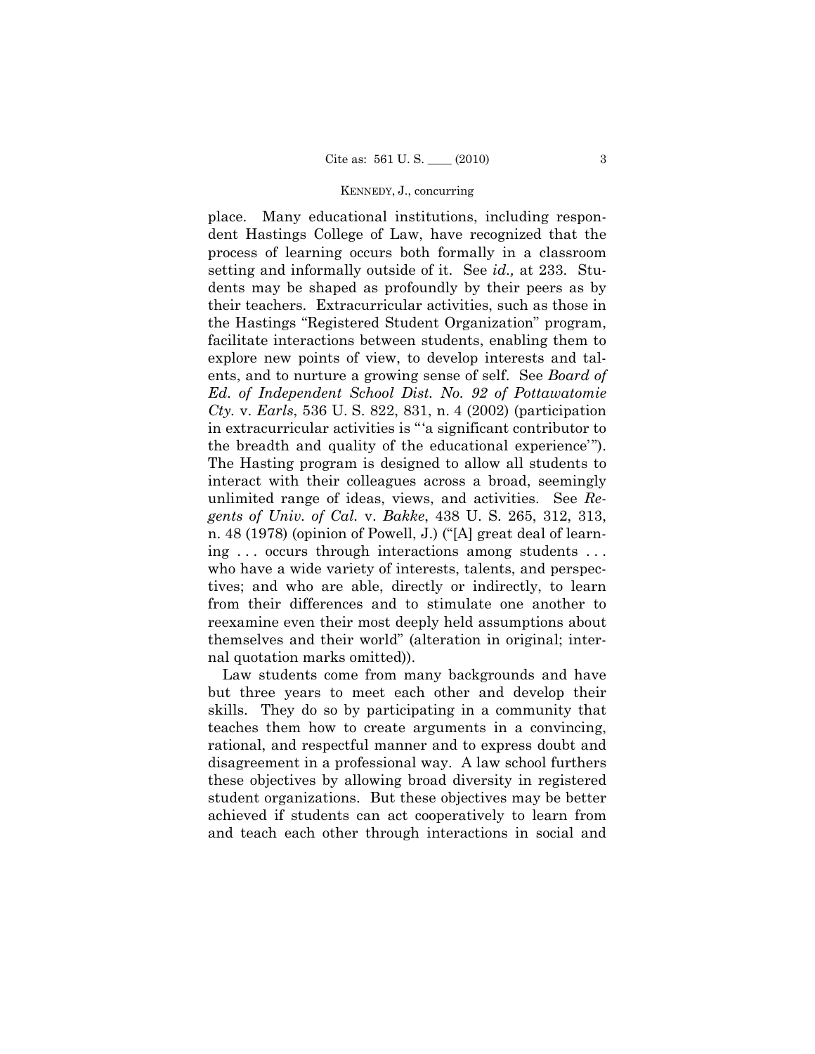#### KENNEDY, J., concurring

place. Many educational institutions, including respondent Hastings College of Law, have recognized that the process of learning occurs both formally in a classroom setting and informally outside of it. See *id.,* at 233. Students may be shaped as profoundly by their peers as by their teachers. Extracurricular activities, such as those in the Hastings "Registered Student Organization" program, facilitate interactions between students, enabling them to explore new points of view, to develop interests and talents, and to nurture a growing sense of self. See *Board of Ed. of Independent School Dist. No. 92 of Pottawatomie Cty.* v. *Earls*, 536 U. S. 822, 831, n. 4 (2002) (participation in extracurricular activities is "'a significant contributor to the breadth and quality of the educational experience'"). The Hasting program is designed to allow all students to interact with their colleagues across a broad, seemingly unlimited range of ideas, views, and activities. See *Regents of Univ. of Cal.* v. *Bakke*, 438 U. S. 265, 312, 313, n. 48 (1978) (opinion of Powell, J.) ("[A] great deal of learning . . . occurs through interactions among students . . . who have a wide variety of interests, talents, and perspectives; and who are able, directly or indirectly, to learn from their differences and to stimulate one another to reexamine even their most deeply held assumptions about themselves and their world" (alteration in original; internal quotation marks omitted)).

Law students come from many backgrounds and have but three years to meet each other and develop their skills. They do so by participating in a community that teaches them how to create arguments in a convincing, rational, and respectful manner and to express doubt and disagreement in a professional way. A law school furthers these objectives by allowing broad diversity in registered student organizations. But these objectives may be better achieved if students can act cooperatively to learn from and teach each other through interactions in social and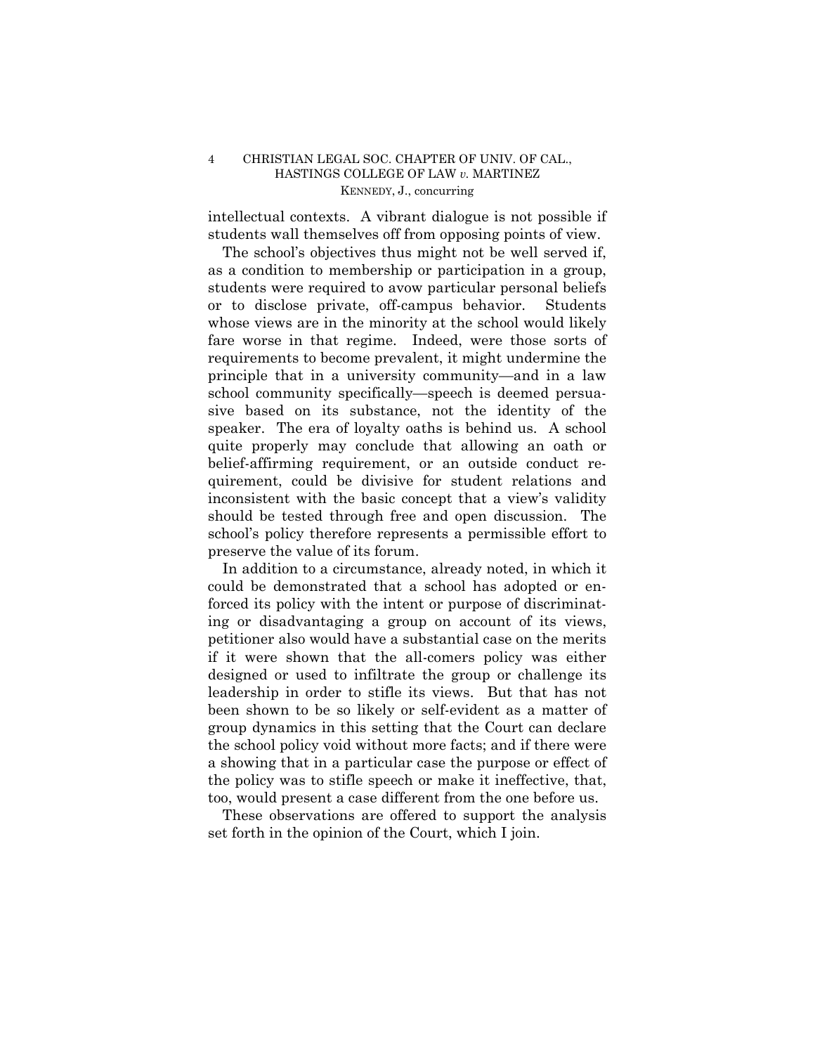## 4 CHRISTIAN LEGAL SOC. CHAPTER OF UNIV. OF CAL., HASTINGS COLLEGE OF LAW *v.* MARTINEZ KENNEDY, J., concurring

intellectual contexts. A vibrant dialogue is not possible if students wall themselves off from opposing points of view.

The school's objectives thus might not be well served if, as a condition to membership or participation in a group, students were required to avow particular personal beliefs or to disclose private, off-campus behavior. Students whose views are in the minority at the school would likely fare worse in that regime. Indeed, were those sorts of requirements to become prevalent, it might undermine the principle that in a university community—and in a law school community specifically—speech is deemed persuasive based on its substance, not the identity of the speaker. The era of loyalty oaths is behind us. A school quite properly may conclude that allowing an oath or belief-affirming requirement, or an outside conduct requirement, could be divisive for student relations and inconsistent with the basic concept that a view's validity should be tested through free and open discussion. The school's policy therefore represents a permissible effort to preserve the value of its forum.

In addition to a circumstance, already noted, in which it could be demonstrated that a school has adopted or enforced its policy with the intent or purpose of discriminating or disadvantaging a group on account of its views, petitioner also would have a substantial case on the merits if it were shown that the all-comers policy was either designed or used to infiltrate the group or challenge its leadership in order to stifle its views. But that has not been shown to be so likely or self-evident as a matter of group dynamics in this setting that the Court can declare the school policy void without more facts; and if there were a showing that in a particular case the purpose or effect of the policy was to stifle speech or make it ineffective, that, too, would present a case different from the one before us.

These observations are offered to support the analysis set forth in the opinion of the Court, which I join.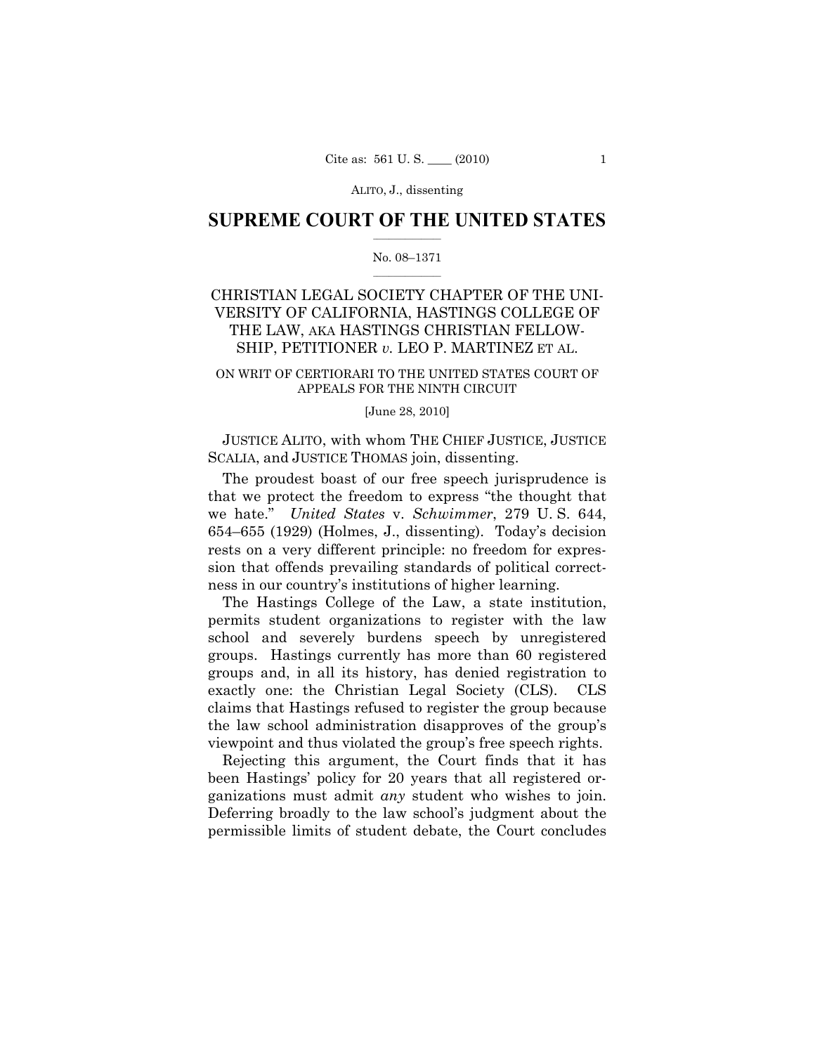### $\frac{1}{2}$  , where  $\frac{1}{2}$ **SUPREME COURT OF THE UNITED STATES**

### $\frac{1}{2}$  ,  $\frac{1}{2}$  ,  $\frac{1}{2}$  ,  $\frac{1}{2}$  ,  $\frac{1}{2}$  ,  $\frac{1}{2}$ No. 08–1371

# CHRISTIAN LEGAL SOCIETY CHAPTER OF THE UNI-VERSITY OF CALIFORNIA, HASTINGS COLLEGE OF THE LAW, AKA HASTINGS CHRISTIAN FELLOW-SHIP, PETITIONER *v.* LEO P. MARTINEZ ET AL.

# ON WRIT OF CERTIORARI TO THE UNITED STATES COURT OF APPEALS FOR THE NINTH CIRCUIT

#### [June 28, 2010]

JUSTICE ALITO, with whom THE CHIEF JUSTICE, JUSTICE SCALIA, and JUSTICE THOMAS join, dissenting.

The proudest boast of our free speech jurisprudence is that we protect the freedom to express "the thought that we hate." *United States* v. *Schwimmer*, 279 U. S. 644, 654–655 (1929) (Holmes, J., dissenting). Today's decision rests on a very different principle: no freedom for expression that offends prevailing standards of political correctness in our country's institutions of higher learning.

The Hastings College of the Law, a state institution, permits student organizations to register with the law school and severely burdens speech by unregistered groups. Hastings currently has more than 60 registered groups and, in all its history, has denied registration to exactly one: the Christian Legal Society (CLS). CLS claims that Hastings refused to register the group because the law school administration disapproves of the group's viewpoint and thus violated the group's free speech rights.

Rejecting this argument, the Court finds that it has been Hastings' policy for 20 years that all registered organizations must admit *any* student who wishes to join. Deferring broadly to the law school's judgment about the permissible limits of student debate, the Court concludes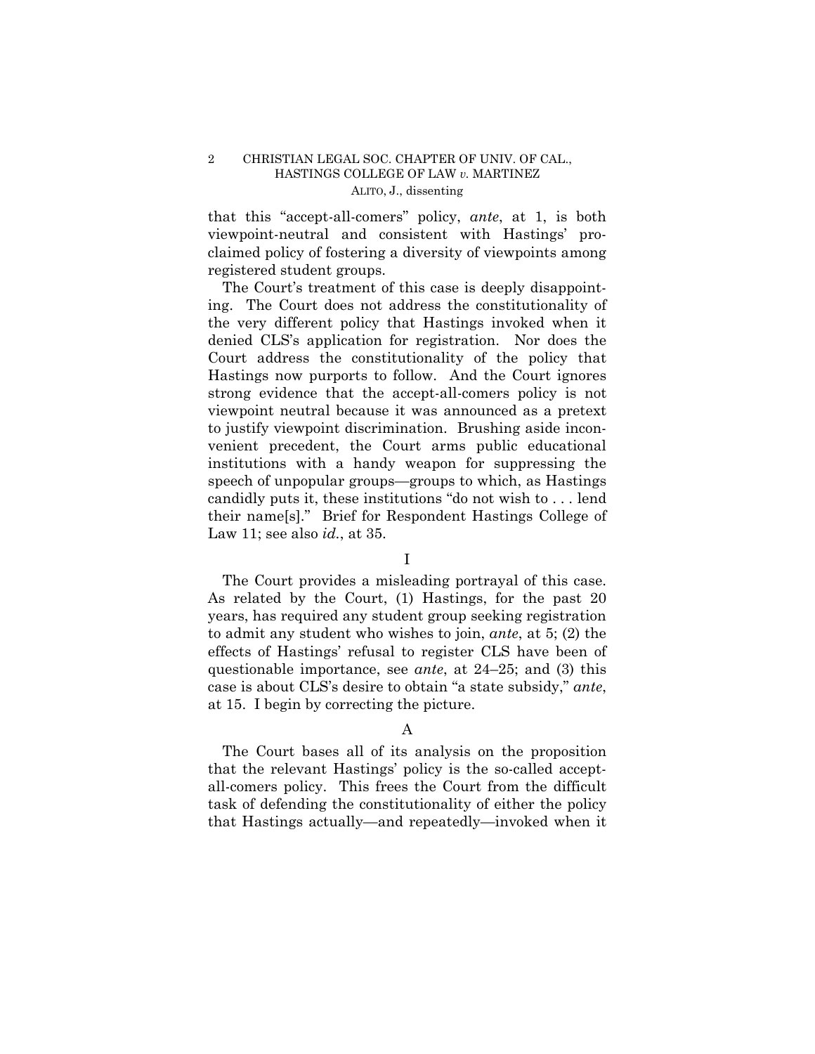that this "accept-all-comers" policy, *ante*, at 1, is both viewpoint-neutral and consistent with Hastings' proclaimed policy of fostering a diversity of viewpoints among registered student groups.

The Court's treatment of this case is deeply disappointing. The Court does not address the constitutionality of the very different policy that Hastings invoked when it denied CLS's application for registration. Nor does the Court address the constitutionality of the policy that Hastings now purports to follow. And the Court ignores strong evidence that the accept-all-comers policy is not viewpoint neutral because it was announced as a pretext to justify viewpoint discrimination. Brushing aside inconvenient precedent, the Court arms public educational institutions with a handy weapon for suppressing the speech of unpopular groups—groups to which, as Hastings candidly puts it, these institutions "do not wish to . . . lend their name[s]." Brief for Respondent Hastings College of Law 11; see also *id.*, at 35.

The Court provides a misleading portrayal of this case. As related by the Court, (1) Hastings, for the past 20 years, has required any student group seeking registration to admit any student who wishes to join, *ante*, at 5; (2) the effects of Hastings' refusal to register CLS have been of questionable importance, see *ante*, at 24–25; and (3) this case is about CLS's desire to obtain "a state subsidy," *ante*, at 15. I begin by correcting the picture.

# A

The Court bases all of its analysis on the proposition that the relevant Hastings' policy is the so-called acceptall-comers policy. This frees the Court from the difficult task of defending the constitutionality of either the policy that Hastings actually—and repeatedly—invoked when it

I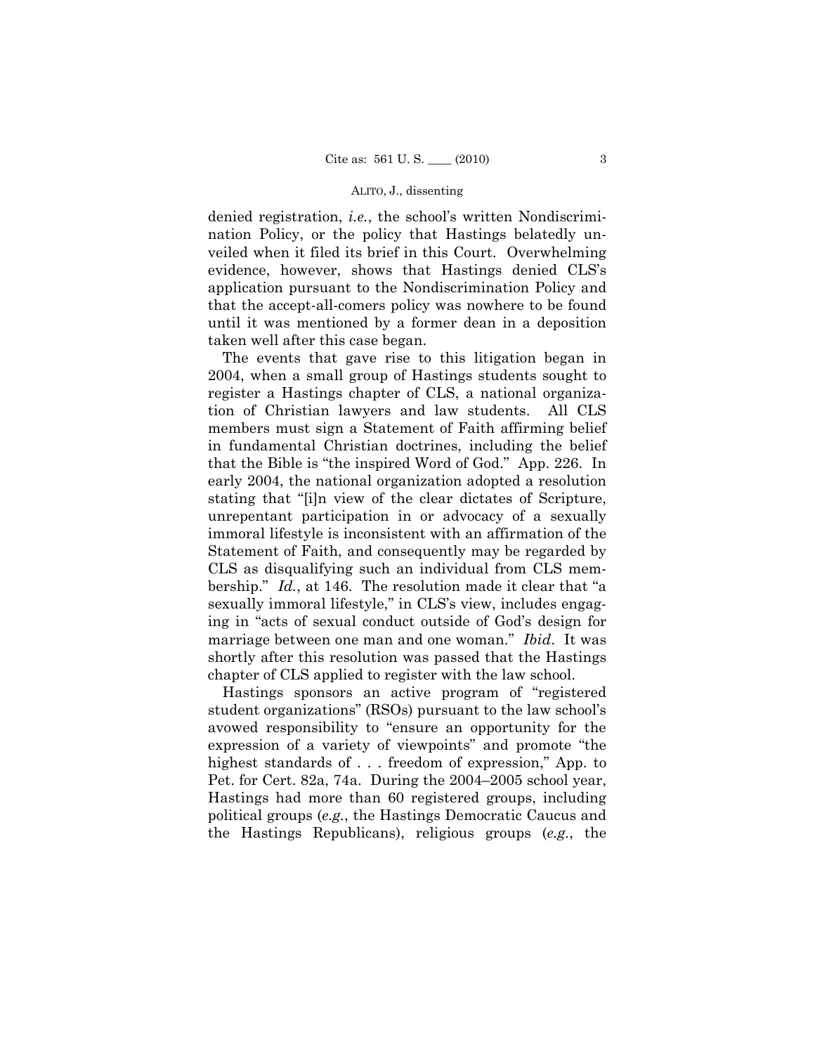denied registration, *i.e.*, the school's written Nondiscrimination Policy, or the policy that Hastings belatedly unveiled when it filed its brief in this Court. Overwhelming evidence, however, shows that Hastings denied CLS's application pursuant to the Nondiscrimination Policy and that the accept-all-comers policy was nowhere to be found until it was mentioned by a former dean in a deposition taken well after this case began.

The events that gave rise to this litigation began in 2004, when a small group of Hastings students sought to register a Hastings chapter of CLS, a national organization of Christian lawyers and law students. All CLS members must sign a Statement of Faith affirming belief in fundamental Christian doctrines, including the belief that the Bible is "the inspired Word of God." App. 226. In early 2004, the national organization adopted a resolution stating that "[i]n view of the clear dictates of Scripture, unrepentant participation in or advocacy of a sexually immoral lifestyle is inconsistent with an affirmation of the Statement of Faith, and consequently may be regarded by CLS as disqualifying such an individual from CLS membership." *Id.*, at 146. The resolution made it clear that "a sexually immoral lifestyle," in CLS's view, includes engaging in "acts of sexual conduct outside of God's design for marriage between one man and one woman." *Ibid*. It was shortly after this resolution was passed that the Hastings chapter of CLS applied to register with the law school.

Hastings sponsors an active program of "registered student organizations" (RSOs) pursuant to the law school's avowed responsibility to "ensure an opportunity for the expression of a variety of viewpoints" and promote "the highest standards of . . . freedom of expression," App. to Pet. for Cert. 82a, 74a. During the 2004–2005 school year, Hastings had more than 60 registered groups, including political groups (*e.g.*, the Hastings Democratic Caucus and the Hastings Republicans), religious groups (*e.g.*, the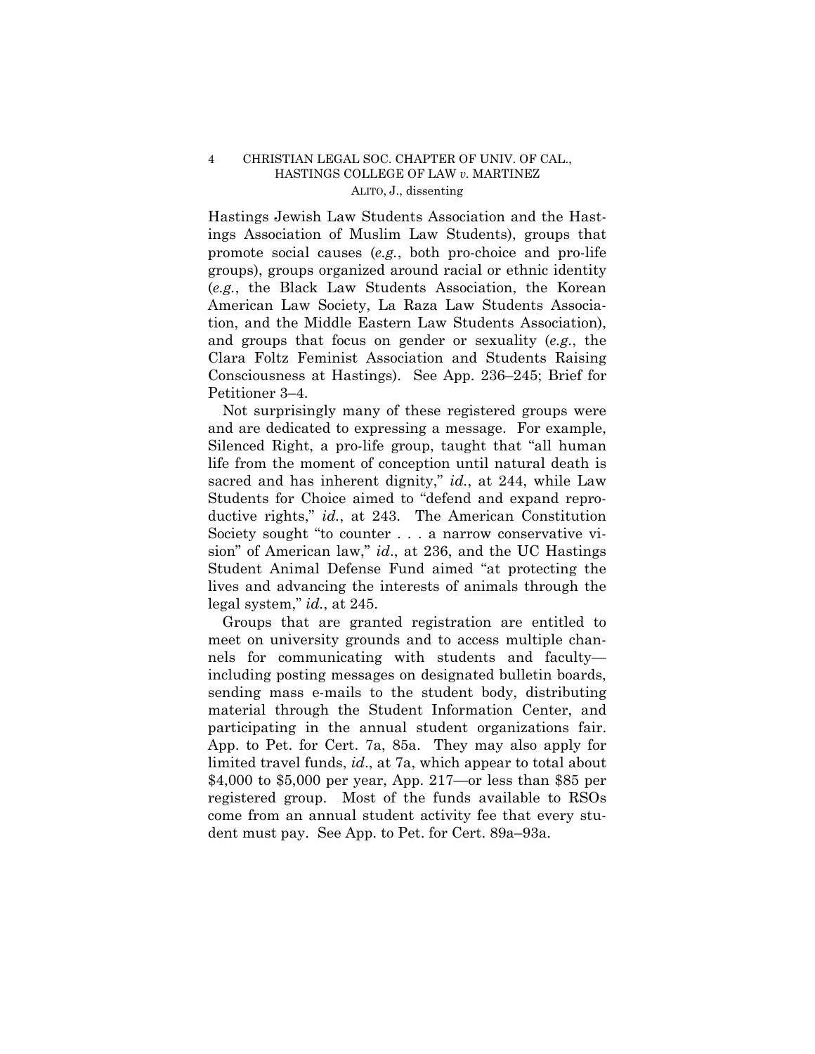Hastings Jewish Law Students Association and the Hastings Association of Muslim Law Students), groups that promote social causes (*e.g.*, both pro-choice and pro-life groups), groups organized around racial or ethnic identity (*e.g.*, the Black Law Students Association, the Korean American Law Society, La Raza Law Students Association, and the Middle Eastern Law Students Association), and groups that focus on gender or sexuality (*e.g.*, the Clara Foltz Feminist Association and Students Raising Consciousness at Hastings). See App. 236–245; Brief for Petitioner 3–4.

Not surprisingly many of these registered groups were and are dedicated to expressing a message. For example, Silenced Right, a pro-life group, taught that "all human life from the moment of conception until natural death is sacred and has inherent dignity," *id.*, at 244, while Law Students for Choice aimed to "defend and expand reproductive rights," *id.*, at 243. The American Constitution Society sought "to counter . . . a narrow conservative vision" of American law," *id*., at 236, and the UC Hastings Student Animal Defense Fund aimed "at protecting the lives and advancing the interests of animals through the legal system," *id.*, at 245.

Groups that are granted registration are entitled to meet on university grounds and to access multiple channels for communicating with students and faculty including posting messages on designated bulletin boards, sending mass e-mails to the student body, distributing material through the Student Information Center, and participating in the annual student organizations fair. App. to Pet. for Cert. 7a, 85a. They may also apply for limited travel funds, *id*., at 7a, which appear to total about \$4,000 to \$5,000 per year, App. 217—or less than \$85 per registered group. Most of the funds available to RSOs come from an annual student activity fee that every student must pay. See App. to Pet. for Cert. 89a–93a.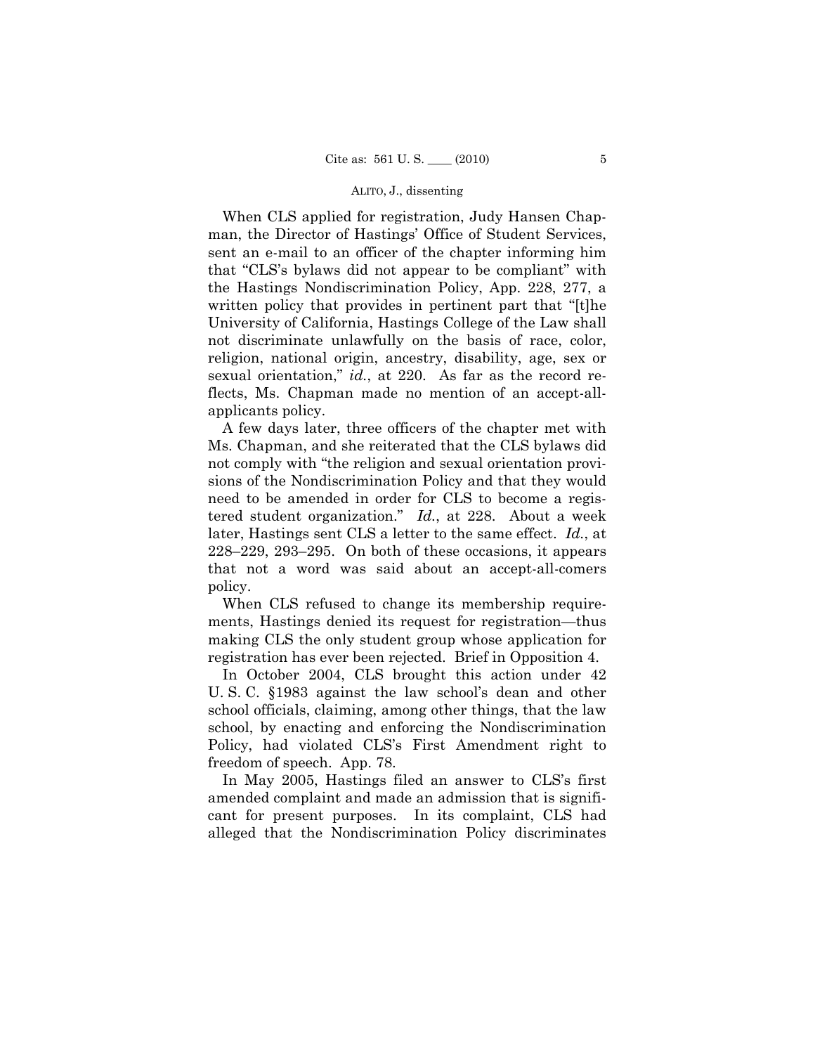When CLS applied for registration, Judy Hansen Chapman, the Director of Hastings' Office of Student Services, sent an e-mail to an officer of the chapter informing him that "CLS's bylaws did not appear to be compliant" with the Hastings Nondiscrimination Policy, App. 228, 277, a written policy that provides in pertinent part that "[t]he University of California, Hastings College of the Law shall not discriminate unlawfully on the basis of race, color, religion, national origin, ancestry, disability, age, sex or sexual orientation," *id.*, at 220. As far as the record reflects, Ms. Chapman made no mention of an accept-allapplicants policy.

A few days later, three officers of the chapter met with Ms. Chapman, and she reiterated that the CLS bylaws did not comply with "the religion and sexual orientation provisions of the Nondiscrimination Policy and that they would need to be amended in order for CLS to become a registered student organization." *Id.*, at 228. About a week later, Hastings sent CLS a letter to the same effect. *Id.*, at 228–229, 293–295. On both of these occasions, it appears that not a word was said about an accept-all-comers policy.

When CLS refused to change its membership requirements, Hastings denied its request for registration—thus making CLS the only student group whose application for registration has ever been rejected. Brief in Opposition 4.

In October 2004, CLS brought this action under 42 U. S. C. §1983 against the law school's dean and other school officials, claiming, among other things, that the law school, by enacting and enforcing the Nondiscrimination Policy, had violated CLS's First Amendment right to freedom of speech. App. 78.

In May 2005, Hastings filed an answer to CLS's first amended complaint and made an admission that is significant for present purposes. In its complaint, CLS had alleged that the Nondiscrimination Policy discriminates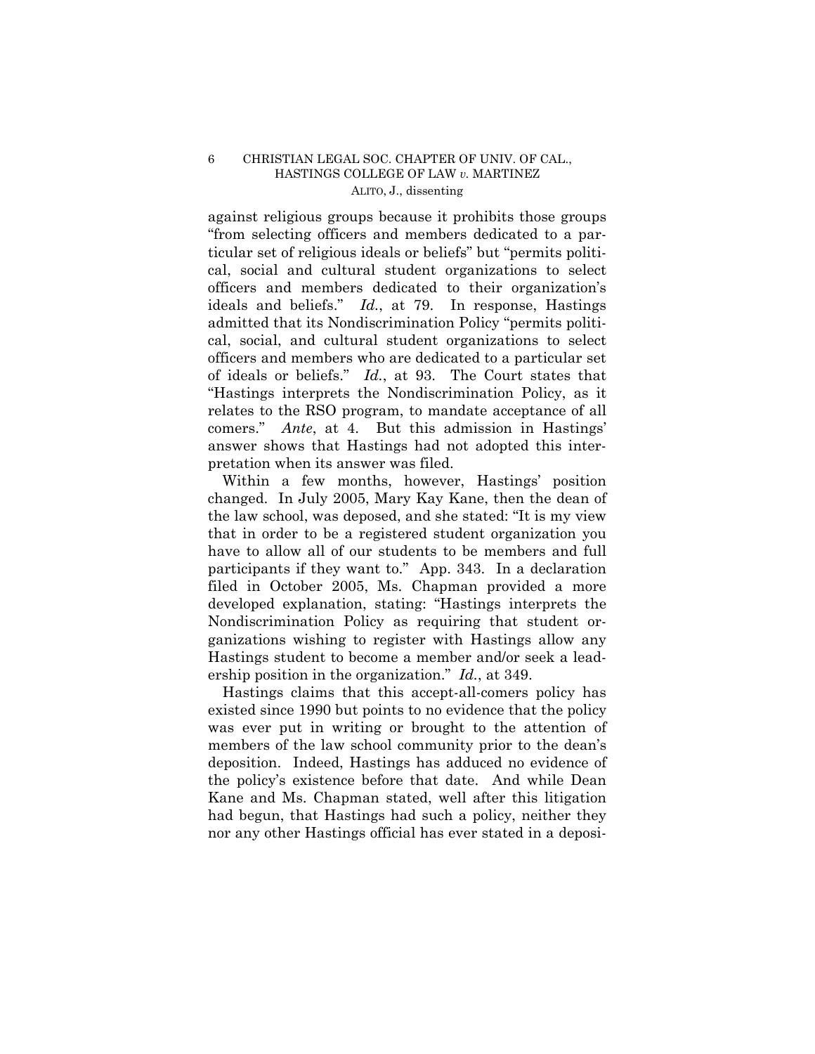against religious groups because it prohibits those groups "from selecting officers and members dedicated to a particular set of religious ideals or beliefs" but "permits political, social and cultural student organizations to select officers and members dedicated to their organization's ideals and beliefs." *Id.*, at 79. In response, Hastings admitted that its Nondiscrimination Policy "permits political, social, and cultural student organizations to select officers and members who are dedicated to a particular set of ideals or beliefs." *Id.*, at 93. The Court states that "Hastings interprets the Nondiscrimination Policy, as it relates to the RSO program, to mandate acceptance of all comers." *Ante*, at 4. But this admission in Hastings' answer shows that Hastings had not adopted this interpretation when its answer was filed.

Within a few months, however, Hastings' position changed. In July 2005, Mary Kay Kane, then the dean of the law school, was deposed, and she stated: "It is my view that in order to be a registered student organization you have to allow all of our students to be members and full participants if they want to." App. 343. In a declaration filed in October 2005, Ms. Chapman provided a more developed explanation, stating: "Hastings interprets the Nondiscrimination Policy as requiring that student organizations wishing to register with Hastings allow any Hastings student to become a member and/or seek a leadership position in the organization." *Id.*, at 349.

Hastings claims that this accept-all-comers policy has existed since 1990 but points to no evidence that the policy was ever put in writing or brought to the attention of members of the law school community prior to the dean's deposition. Indeed, Hastings has adduced no evidence of the policy's existence before that date. And while Dean Kane and Ms. Chapman stated, well after this litigation had begun, that Hastings had such a policy, neither they nor any other Hastings official has ever stated in a deposi-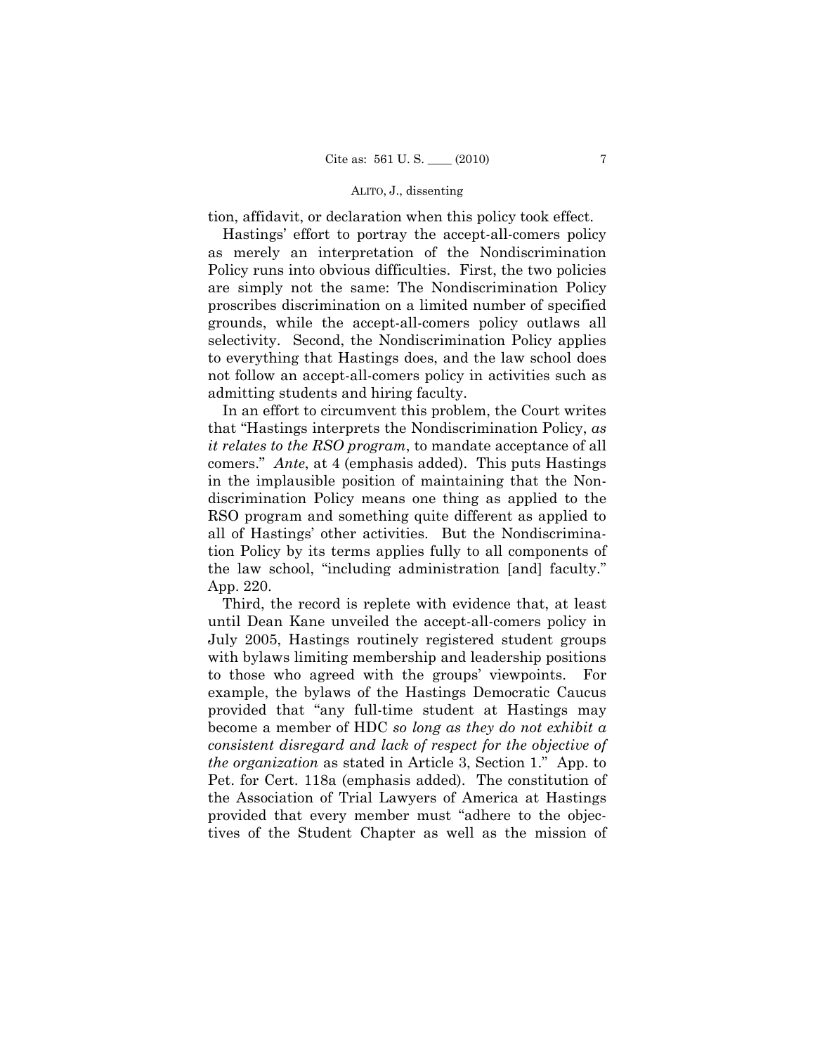tion, affidavit, or declaration when this policy took effect.

Hastings' effort to portray the accept-all-comers policy as merely an interpretation of the Nondiscrimination Policy runs into obvious difficulties. First, the two policies are simply not the same: The Nondiscrimination Policy proscribes discrimination on a limited number of specified grounds, while the accept-all-comers policy outlaws all selectivity. Second, the Nondiscrimination Policy applies to everything that Hastings does, and the law school does not follow an accept-all-comers policy in activities such as admitting students and hiring faculty.

In an effort to circumvent this problem, the Court writes that "Hastings interprets the Nondiscrimination Policy, *as it relates to the RSO program*, to mandate acceptance of all comers." *Ante*, at 4 (emphasis added). This puts Hastings in the implausible position of maintaining that the Nondiscrimination Policy means one thing as applied to the RSO program and something quite different as applied to all of Hastings' other activities. But the Nondiscrimination Policy by its terms applies fully to all components of the law school, "including administration [and] faculty." App. 220.

Third, the record is replete with evidence that, at least until Dean Kane unveiled the accept-all-comers policy in July 2005, Hastings routinely registered student groups with bylaws limiting membership and leadership positions to those who agreed with the groups' viewpoints. For example, the bylaws of the Hastings Democratic Caucus provided that "any full-time student at Hastings may become a member of HDC *so long as they do not exhibit a consistent disregard and lack of respect for the objective of the organization* as stated in Article 3, Section 1." App. to Pet. for Cert. 118a (emphasis added). The constitution of the Association of Trial Lawyers of America at Hastings provided that every member must "adhere to the objectives of the Student Chapter as well as the mission of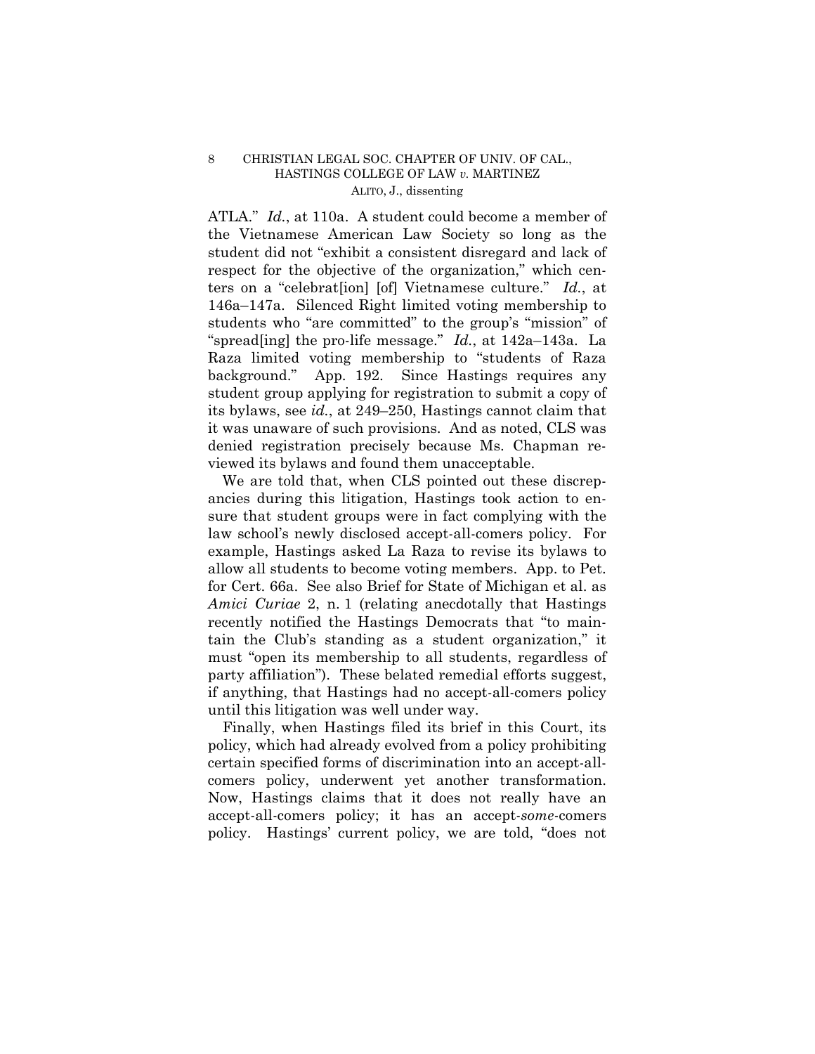ATLA." *Id.*, at 110a. A student could become a member of the Vietnamese American Law Society so long as the student did not "exhibit a consistent disregard and lack of respect for the objective of the organization," which centers on a "celebrat[ion] [of] Vietnamese culture." *Id.*, at 146a–147a. Silenced Right limited voting membership to students who "are committed" to the group's "mission" of "spread[ing] the pro-life message." *Id.*, at 142a–143a. La Raza limited voting membership to "students of Raza background." App. 192. Since Hastings requires any student group applying for registration to submit a copy of its bylaws, see *id.*, at 249–250, Hastings cannot claim that it was unaware of such provisions. And as noted, CLS was denied registration precisely because Ms. Chapman reviewed its bylaws and found them unacceptable.

We are told that, when CLS pointed out these discrepancies during this litigation, Hastings took action to ensure that student groups were in fact complying with the law school's newly disclosed accept-all-comers policy. For example, Hastings asked La Raza to revise its bylaws to allow all students to become voting members. App. to Pet. for Cert. 66a. See also Brief for State of Michigan et al. as *Amici Curiae* 2, n. 1 (relating anecdotally that Hastings recently notified the Hastings Democrats that "to maintain the Club's standing as a student organization," it must "open its membership to all students, regardless of party affiliation"). These belated remedial efforts suggest, if anything, that Hastings had no accept-all-comers policy until this litigation was well under way.

Finally, when Hastings filed its brief in this Court, its policy, which had already evolved from a policy prohibiting certain specified forms of discrimination into an accept-allcomers policy, underwent yet another transformation. Now, Hastings claims that it does not really have an accept-all-comers policy; it has an accept-*some*-comers policy. Hastings' current policy, we are told, "does not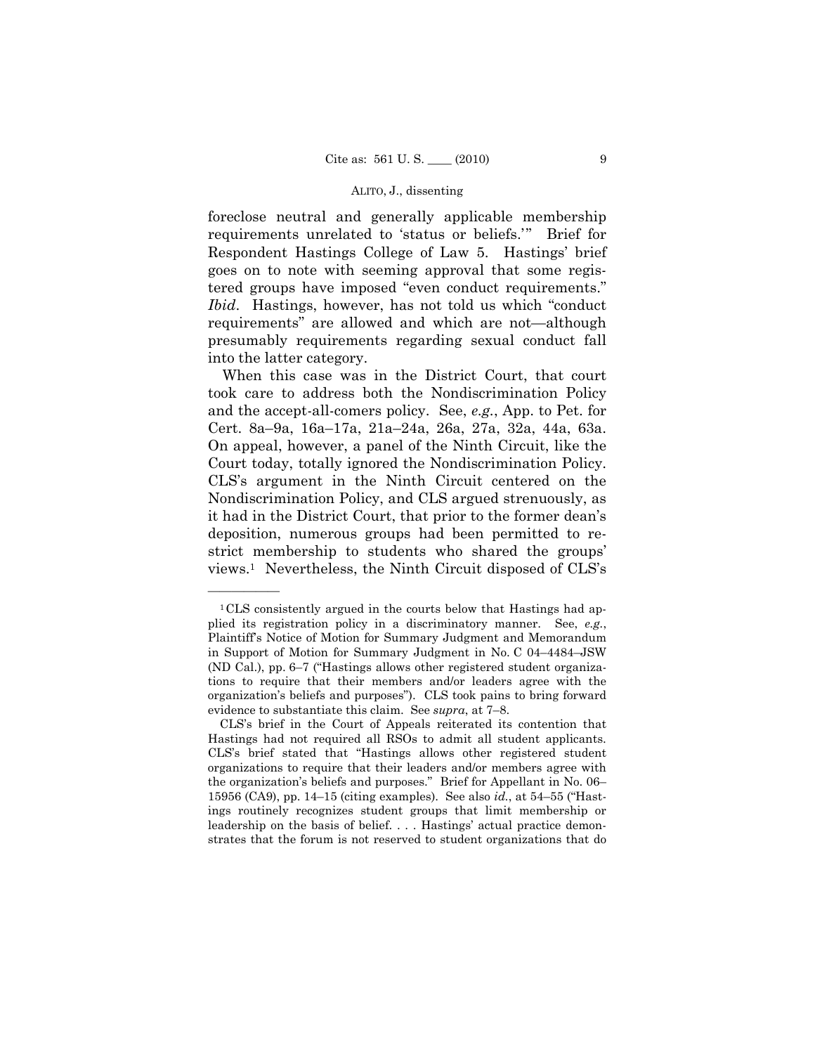foreclose neutral and generally applicable membership requirements unrelated to 'status or beliefs.'" Brief for Respondent Hastings College of Law 5. Hastings' brief goes on to note with seeming approval that some registered groups have imposed "even conduct requirements." *Ibid*. Hastings, however, has not told us which "conduct requirements" are allowed and which are not—although presumably requirements regarding sexual conduct fall into the latter category.

When this case was in the District Court, that court took care to address both the Nondiscrimination Policy and the accept-all-comers policy. See, *e.g.*, App. to Pet. for Cert. 8a–9a, 16a–17a, 21a–24a, 26a, 27a, 32a, 44a, 63a. On appeal, however, a panel of the Ninth Circuit, like the Court today, totally ignored the Nondiscrimination Policy. CLS's argument in the Ninth Circuit centered on the Nondiscrimination Policy, and CLS argued strenuously, as it had in the District Court, that prior to the former dean's deposition, numerous groups had been permitted to restrict membership to students who shared the groups' views.1 Nevertheless, the Ninth Circuit disposed of CLS's

<sup>1</sup>CLS consistently argued in the courts below that Hastings had applied its registration policy in a discriminatory manner. See, *e.g.*, Plaintiff's Notice of Motion for Summary Judgment and Memorandum in Support of Motion for Summary Judgment in No. C 04–4484–JSW (ND Cal.), pp. 6–7 ("Hastings allows other registered student organizations to require that their members and/or leaders agree with the organization's beliefs and purposes"). CLS took pains to bring forward evidence to substantiate this claim. See *supra*, at 7–8.

CLS's brief in the Court of Appeals reiterated its contention that Hastings had not required all RSOs to admit all student applicants. CLS's brief stated that "Hastings allows other registered student organizations to require that their leaders and/or members agree with the organization's beliefs and purposes." Brief for Appellant in No. 06– 15956 (CA9), pp. 14–15 (citing examples). See also *id.*, at 54–55 ("Hastings routinely recognizes student groups that limit membership or leadership on the basis of belief. . . . Hastings' actual practice demonstrates that the forum is not reserved to student organizations that do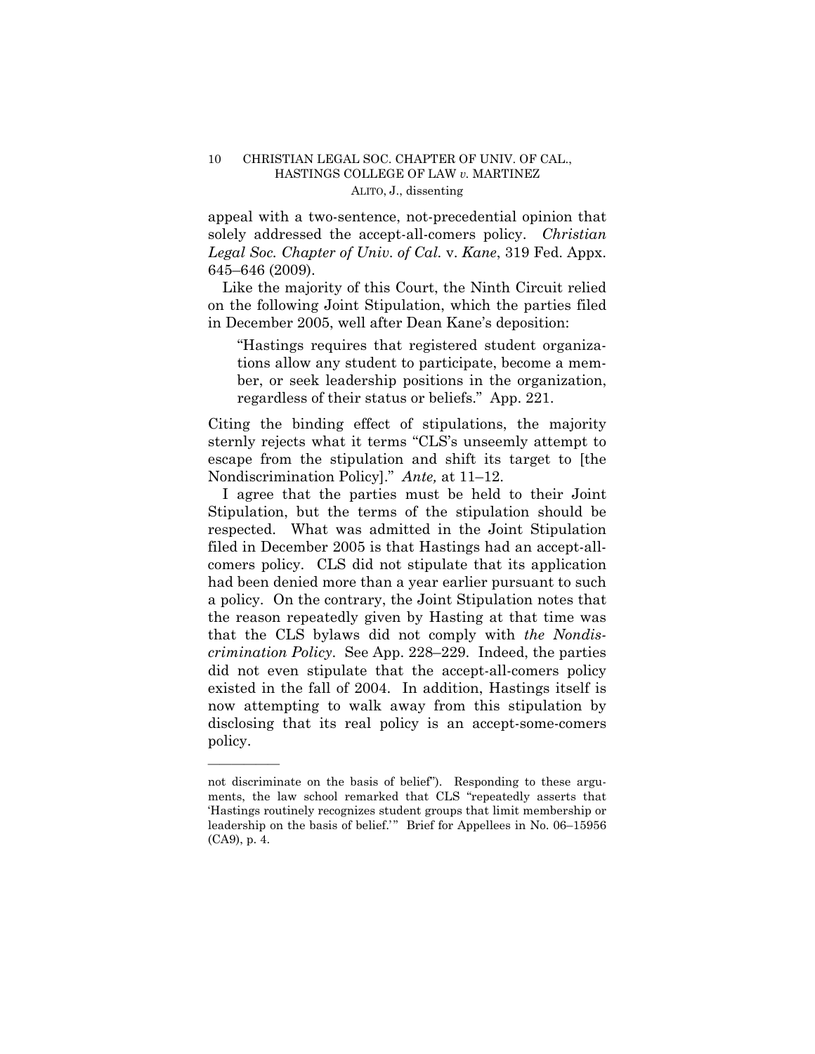appeal with a two-sentence, not-precedential opinion that solely addressed the accept-all-comers policy. *Christian Legal Soc. Chapter of Univ. of Cal.* v. *Kane*, 319 Fed. Appx. 645–646 (2009).

Like the majority of this Court, the Ninth Circuit relied on the following Joint Stipulation, which the parties filed in December 2005, well after Dean Kane's deposition:

"Hastings requires that registered student organizations allow any student to participate, become a member, or seek leadership positions in the organization, regardless of their status or beliefs." App. 221.

Citing the binding effect of stipulations, the majority sternly rejects what it terms "CLS's unseemly attempt to escape from the stipulation and shift its target to [the Nondiscrimination Policy]." *Ante,* at 11–12.

I agree that the parties must be held to their Joint Stipulation, but the terms of the stipulation should be respected. What was admitted in the Joint Stipulation filed in December 2005 is that Hastings had an accept-allcomers policy. CLS did not stipulate that its application had been denied more than a year earlier pursuant to such a policy. On the contrary, the Joint Stipulation notes that the reason repeatedly given by Hasting at that time was that the CLS bylaws did not comply with *the Nondiscrimination Policy*. See App. 228–229. Indeed, the parties did not even stipulate that the accept-all-comers policy existed in the fall of 2004. In addition, Hastings itself is now attempting to walk away from this stipulation by disclosing that its real policy is an accept-some-comers policy.

not discriminate on the basis of belief"). Responding to these arguments, the law school remarked that CLS "repeatedly asserts that 'Hastings routinely recognizes student groups that limit membership or leadership on the basis of belief.'" Brief for Appellees in No. 06–15956 (CA9), p. 4.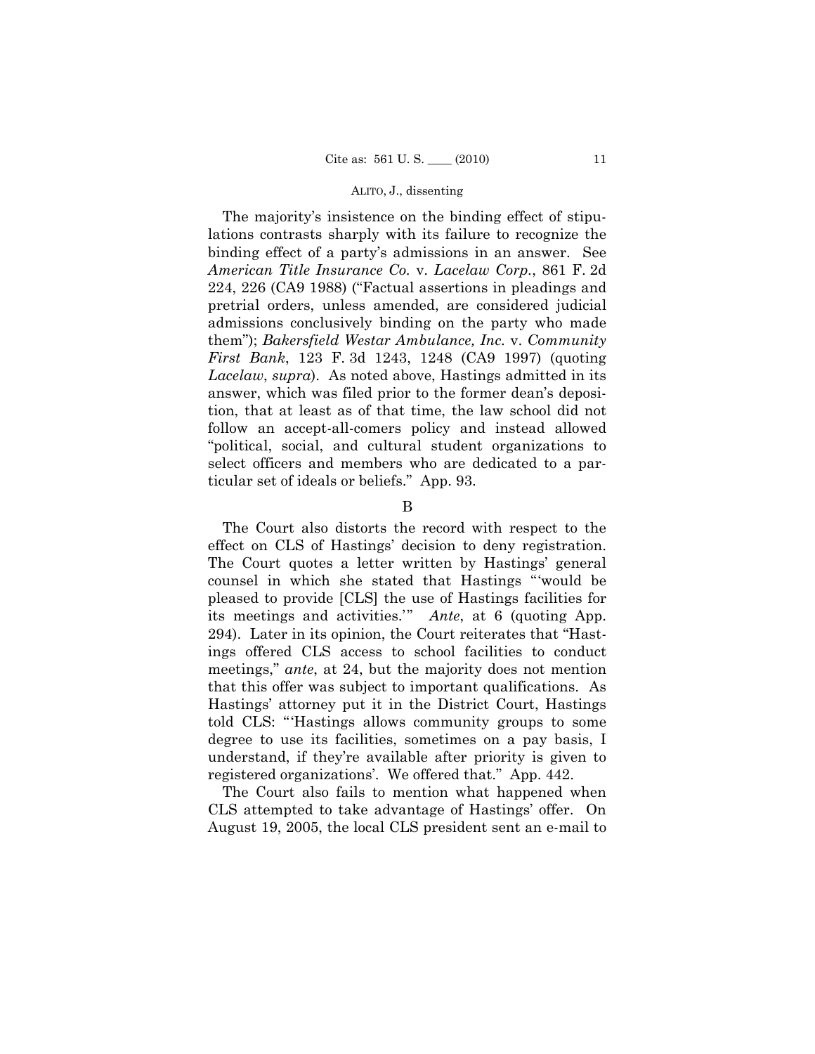The majority's insistence on the binding effect of stipulations contrasts sharply with its failure to recognize the binding effect of a party's admissions in an answer. See *American Title Insurance Co.* v. *Lacelaw Corp.*, 861 F. 2d 224, 226 (CA9 1988) ("Factual assertions in pleadings and pretrial orders, unless amended, are considered judicial admissions conclusively binding on the party who made them"); *Bakersfield Westar Ambulance, Inc.* v. *Community First Bank*, 123 F. 3d 1243, 1248 (CA9 1997) (quoting *Lacelaw*, *supra*). As noted above, Hastings admitted in its answer, which was filed prior to the former dean's deposition, that at least as of that time, the law school did not follow an accept-all-comers policy and instead allowed "political, social, and cultural student organizations to select officers and members who are dedicated to a particular set of ideals or beliefs." App. 93.

# B

The Court also distorts the record with respect to the effect on CLS of Hastings' decision to deny registration. The Court quotes a letter written by Hastings' general counsel in which she stated that Hastings "'would be pleased to provide [CLS] the use of Hastings facilities for its meetings and activities.'" *Ante*, at 6 (quoting App. 294). Later in its opinion, the Court reiterates that "Hastings offered CLS access to school facilities to conduct meetings," *ante*, at 24, but the majority does not mention that this offer was subject to important qualifications. As Hastings' attorney put it in the District Court, Hastings told CLS: "'Hastings allows community groups to some degree to use its facilities, sometimes on a pay basis, I understand, if they're available after priority is given to registered organizations'. We offered that." App. 442.

The Court also fails to mention what happened when CLS attempted to take advantage of Hastings' offer. On August 19, 2005, the local CLS president sent an e-mail to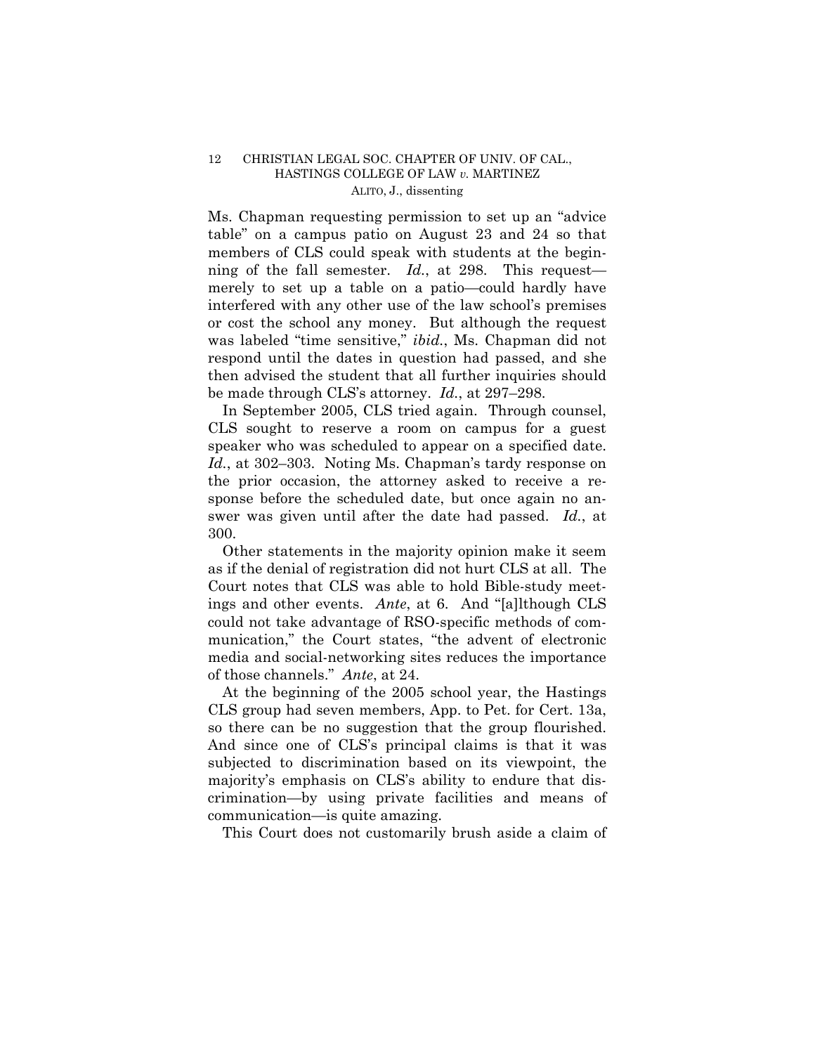Ms. Chapman requesting permission to set up an "advice table" on a campus patio on August 23 and 24 so that members of CLS could speak with students at the beginning of the fall semester. *Id.*, at 298. This request merely to set up a table on a patio—could hardly have interfered with any other use of the law school's premises or cost the school any money. But although the request was labeled "time sensitive," *ibid.*, Ms. Chapman did not respond until the dates in question had passed, and she then advised the student that all further inquiries should be made through CLS's attorney. *Id.*, at 297–298.

In September 2005, CLS tried again. Through counsel, CLS sought to reserve a room on campus for a guest speaker who was scheduled to appear on a specified date. *Id.*, at 302–303. Noting Ms. Chapman's tardy response on the prior occasion, the attorney asked to receive a response before the scheduled date, but once again no answer was given until after the date had passed. *Id.*, at 300.

Other statements in the majority opinion make it seem as if the denial of registration did not hurt CLS at all. The Court notes that CLS was able to hold Bible-study meetings and other events. *Ante*, at 6. And "[a]lthough CLS could not take advantage of RSO-specific methods of communication," the Court states, "the advent of electronic media and social-networking sites reduces the importance of those channels." *Ante*, at 24.

At the beginning of the 2005 school year, the Hastings CLS group had seven members, App. to Pet. for Cert. 13a, so there can be no suggestion that the group flourished. And since one of CLS's principal claims is that it was subjected to discrimination based on its viewpoint, the majority's emphasis on CLS's ability to endure that discrimination—by using private facilities and means of communication—is quite amazing.

This Court does not customarily brush aside a claim of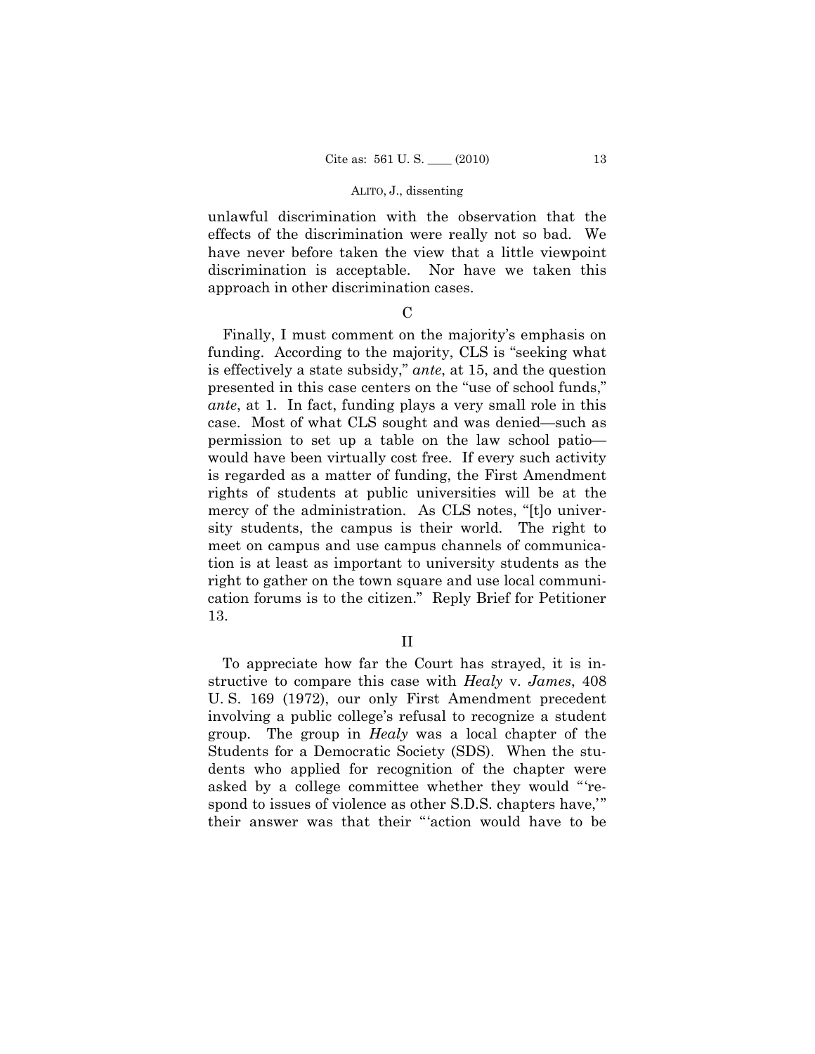unlawful discrimination with the observation that the effects of the discrimination were really not so bad. We have never before taken the view that a little viewpoint discrimination is acceptable. Nor have we taken this approach in other discrimination cases.

C

Finally, I must comment on the majority's emphasis on funding. According to the majority, CLS is "seeking what is effectively a state subsidy," *ante*, at 15, and the question presented in this case centers on the "use of school funds," *ante*, at 1. In fact, funding plays a very small role in this case. Most of what CLS sought and was denied—such as permission to set up a table on the law school patio would have been virtually cost free. If every such activity is regarded as a matter of funding, the First Amendment rights of students at public universities will be at the mercy of the administration. As CLS notes, "[t]o university students, the campus is their world. The right to meet on campus and use campus channels of communication is at least as important to university students as the right to gather on the town square and use local communication forums is to the citizen." Reply Brief for Petitioner 13.

II

To appreciate how far the Court has strayed, it is instructive to compare this case with *Healy* v. *James*, 408 U. S. 169 (1972), our only First Amendment precedent involving a public college's refusal to recognize a student group. The group in *Healy* was a local chapter of the Students for a Democratic Society (SDS). When the students who applied for recognition of the chapter were asked by a college committee whether they would "'respond to issues of violence as other S.D.S. chapters have,'" their answer was that their "'action would have to be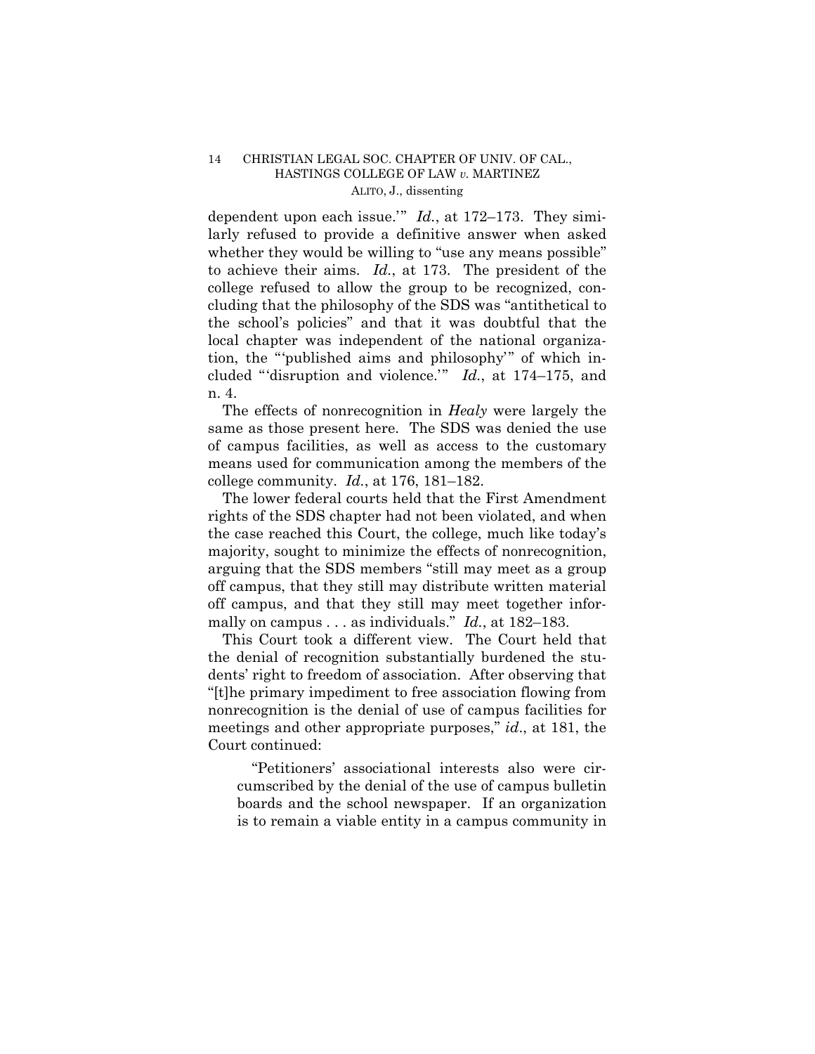dependent upon each issue.'" *Id.*, at 172–173. They similarly refused to provide a definitive answer when asked whether they would be willing to "use any means possible" to achieve their aims. *Id.*, at 173. The president of the college refused to allow the group to be recognized, concluding that the philosophy of the SDS was "antithetical to the school's policies" and that it was doubtful that the local chapter was independent of the national organization, the "'published aims and philosophy'" of which included "'disruption and violence.'" *Id.*, at 174–175, and n. 4.

The effects of nonrecognition in *Healy* were largely the same as those present here. The SDS was denied the use of campus facilities, as well as access to the customary means used for communication among the members of the college community. *Id.*, at 176, 181–182.

The lower federal courts held that the First Amendment rights of the SDS chapter had not been violated, and when the case reached this Court, the college, much like today's majority, sought to minimize the effects of nonrecognition, arguing that the SDS members "still may meet as a group off campus, that they still may distribute written material off campus, and that they still may meet together informally on campus . . . as individuals." *Id.*, at 182–183.

This Court took a different view. The Court held that the denial of recognition substantially burdened the students' right to freedom of association. After observing that "[t]he primary impediment to free association flowing from nonrecognition is the denial of use of campus facilities for meetings and other appropriate purposes," *id*., at 181, the Court continued:

 "Petitioners' associational interests also were circumscribed by the denial of the use of campus bulletin boards and the school newspaper. If an organization is to remain a viable entity in a campus community in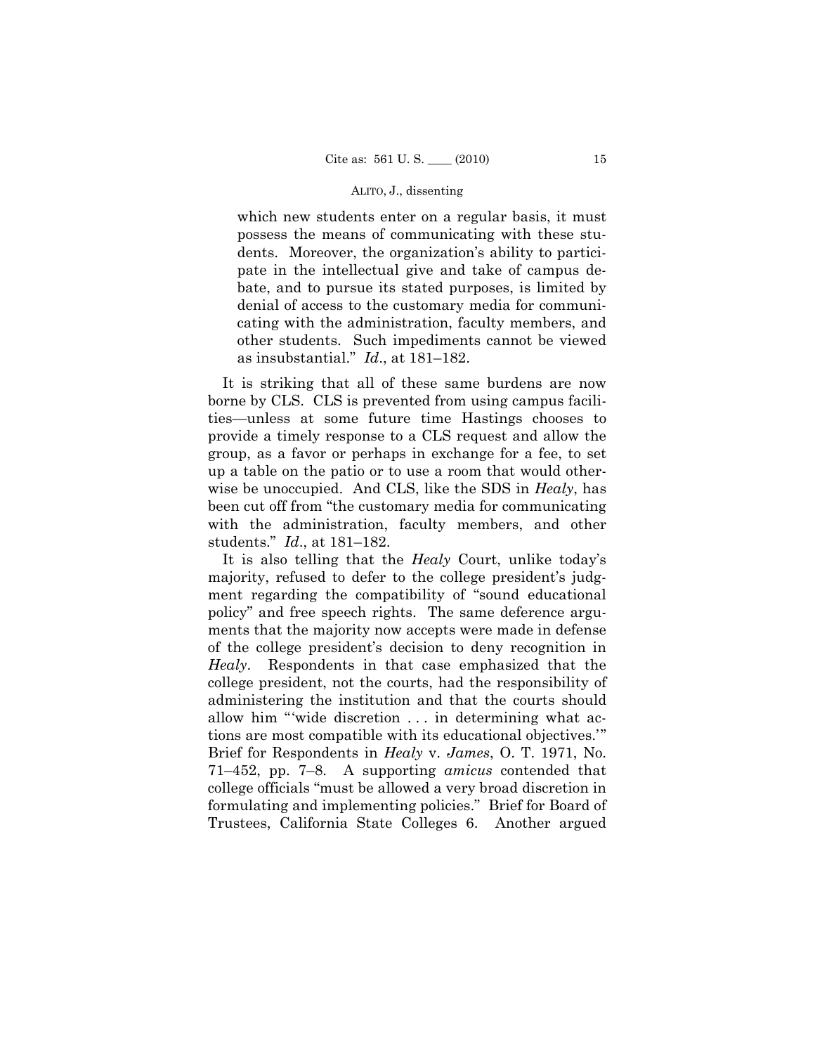which new students enter on a regular basis, it must possess the means of communicating with these students. Moreover, the organization's ability to participate in the intellectual give and take of campus debate, and to pursue its stated purposes, is limited by denial of access to the customary media for communicating with the administration, faculty members, and other students. Such impediments cannot be viewed as insubstantial." *Id*., at 181–182.

It is striking that all of these same burdens are now borne by CLS. CLS is prevented from using campus facilities—unless at some future time Hastings chooses to provide a timely response to a CLS request and allow the group, as a favor or perhaps in exchange for a fee, to set up a table on the patio or to use a room that would otherwise be unoccupied. And CLS, like the SDS in *Healy*, has been cut off from "the customary media for communicating with the administration, faculty members, and other students." *Id*., at 181–182.

It is also telling that the *Healy* Court, unlike today's majority, refused to defer to the college president's judgment regarding the compatibility of "sound educational policy" and free speech rights. The same deference arguments that the majority now accepts were made in defense of the college president's decision to deny recognition in *Healy*. Respondents in that case emphasized that the college president, not the courts, had the responsibility of administering the institution and that the courts should allow him "'wide discretion . . . in determining what actions are most compatible with its educational objectives.'" Brief for Respondents in *Healy* v. *James*, O. T. 1971, No. 71–452, pp. 7–8. A supporting *amicus* contended that college officials "must be allowed a very broad discretion in formulating and implementing policies." Brief for Board of Trustees, California State Colleges 6. Another argued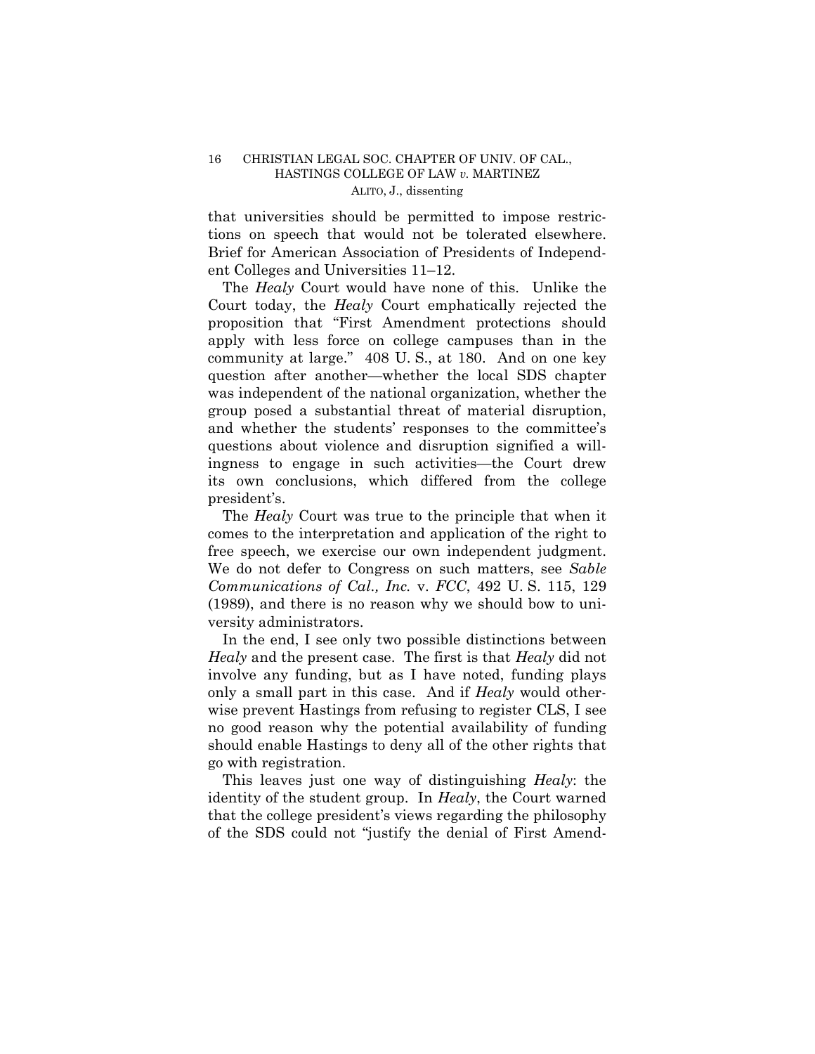that universities should be permitted to impose restrictions on speech that would not be tolerated elsewhere. Brief for American Association of Presidents of Independent Colleges and Universities 11–12.

The *Healy* Court would have none of this. Unlike the Court today, the *Healy* Court emphatically rejected the proposition that "First Amendment protections should apply with less force on college campuses than in the community at large." 408 U. S., at 180. And on one key question after another—whether the local SDS chapter was independent of the national organization, whether the group posed a substantial threat of material disruption, and whether the students' responses to the committee's questions about violence and disruption signified a willingness to engage in such activities—the Court drew its own conclusions, which differed from the college president's.

The *Healy* Court was true to the principle that when it comes to the interpretation and application of the right to free speech, we exercise our own independent judgment. We do not defer to Congress on such matters, see *Sable Communications of Cal., Inc.* v. *FCC*, 492 U. S. 115, 129 (1989), and there is no reason why we should bow to university administrators.

In the end, I see only two possible distinctions between *Healy* and the present case. The first is that *Healy* did not involve any funding, but as I have noted, funding plays only a small part in this case. And if *Healy* would otherwise prevent Hastings from refusing to register CLS, I see no good reason why the potential availability of funding should enable Hastings to deny all of the other rights that go with registration.

This leaves just one way of distinguishing *Healy*: the identity of the student group. In *Healy*, the Court warned that the college president's views regarding the philosophy of the SDS could not "justify the denial of First Amend-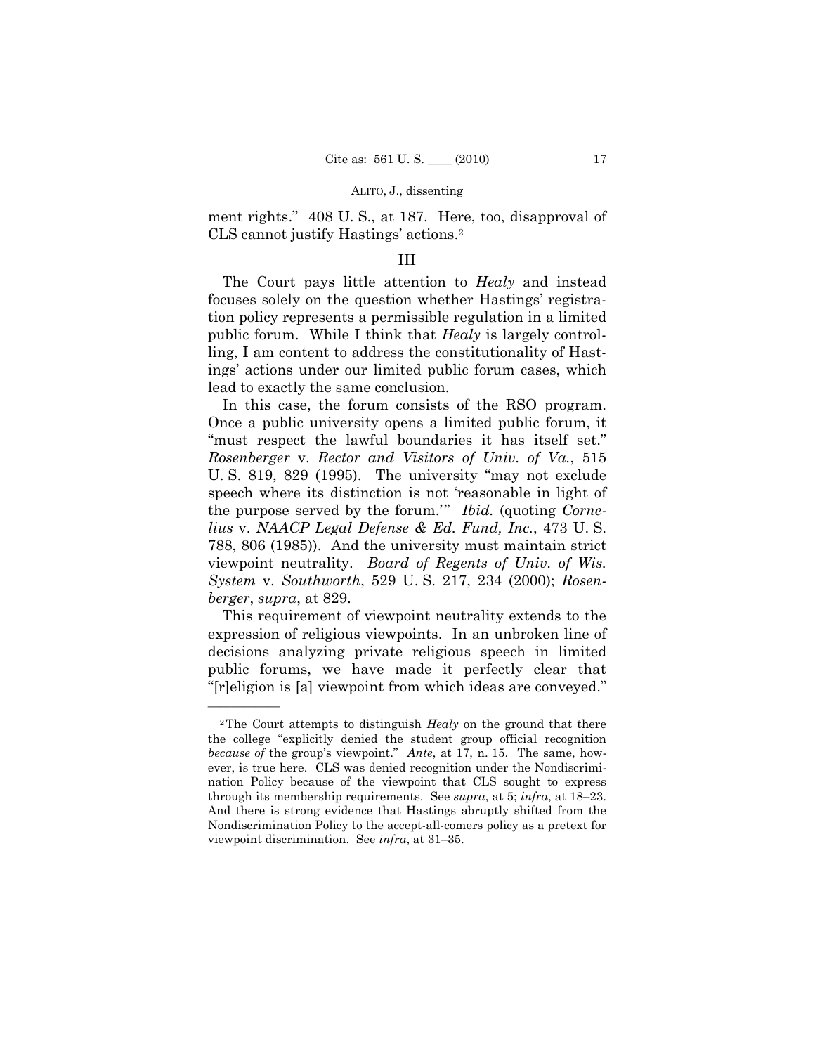ment rights." 408 U. S., at 187. Here, too, disapproval of CLS cannot justify Hastings' actions.2

# III

The Court pays little attention to *Healy* and instead focuses solely on the question whether Hastings' registration policy represents a permissible regulation in a limited public forum. While I think that *Healy* is largely controlling, I am content to address the constitutionality of Hastings' actions under our limited public forum cases, which lead to exactly the same conclusion.

In this case, the forum consists of the RSO program. Once a public university opens a limited public forum, it "must respect the lawful boundaries it has itself set." *Rosenberger* v. *Rector and Visitors of Univ. of Va.*, 515 U. S. 819, 829 (1995). The university "may not exclude speech where its distinction is not 'reasonable in light of the purpose served by the forum.'" *Ibid.* (quoting *Cornelius* v. *NAACP Legal Defense & Ed. Fund, Inc.*, 473 U. S. 788, 806 (1985)). And the university must maintain strict viewpoint neutrality. *Board of Regents of Univ. of Wis. System* v. *Southworth*, 529 U. S. 217, 234 (2000); *Rosenberger*, *supra*, at 829.

This requirement of viewpoint neutrality extends to the expression of religious viewpoints. In an unbroken line of decisions analyzing private religious speech in limited public forums, we have made it perfectly clear that "[r]eligion is [a] viewpoint from which ideas are conveyed."

<sup>2</sup>The Court attempts to distinguish *Healy* on the ground that there the college "explicitly denied the student group official recognition *because of* the group's viewpoint." *Ante*, at 17, n. 15. The same, however, is true here. CLS was denied recognition under the Nondiscrimination Policy because of the viewpoint that CLS sought to express through its membership requirements. See *supra*, at 5; *infra*, at 18–23. And there is strong evidence that Hastings abruptly shifted from the Nondiscrimination Policy to the accept-all-comers policy as a pretext for viewpoint discrimination. See *infra*, at 31–35.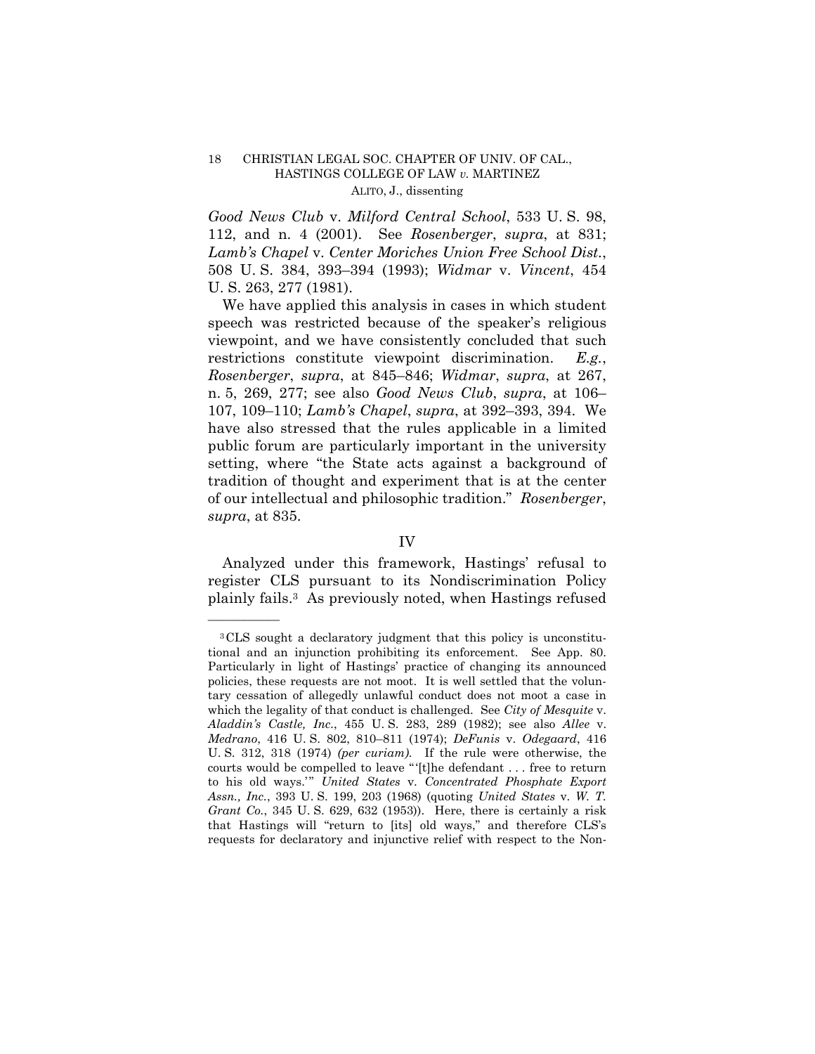*Good News Club* v. *Milford Central School*, 533 U. S. 98, 112, and n. 4 (2001). See *Rosenberger*, *supra*, at 831; *Lamb's Chapel* v. *Center Moriches Union Free School Dist.*, 508 U. S. 384, 393–394 (1993); *Widmar* v. *Vincent*, 454 U. S. 263, 277 (1981).

We have applied this analysis in cases in which student speech was restricted because of the speaker's religious viewpoint, and we have consistently concluded that such restrictions constitute viewpoint discrimination. *E.g.*, *Rosenberger*, *supra*, at 845–846; *Widmar*, *supra*, at 267, n. 5, 269, 277; see also *Good News Club*, *supra*, at 106– 107, 109–110; *Lamb's Chapel*, *supra*, at 392–393, 394. We have also stressed that the rules applicable in a limited public forum are particularly important in the university setting, where "the State acts against a background of tradition of thought and experiment that is at the center of our intellectual and philosophic tradition." *Rosenberger*, *supra*, at 835.

# IV

Analyzed under this framework, Hastings' refusal to register CLS pursuant to its Nondiscrimination Policy plainly fails.3 As previously noted, when Hastings refused

<sup>3</sup>CLS sought a declaratory judgment that this policy is unconstitutional and an injunction prohibiting its enforcement. See App. 80. Particularly in light of Hastings' practice of changing its announced policies, these requests are not moot. It is well settled that the voluntary cessation of allegedly unlawful conduct does not moot a case in which the legality of that conduct is challenged. See *City of Mesquite* v. *Aladdin's Castle, Inc.*, 455 U. S. 283, 289 (1982); see also *Allee* v. *Medrano*, 416 U. S. 802, 810–811 (1974); *DeFunis* v. *Odegaard*, 416 U. S. 312, 318 (1974) *(per curiam).* If the rule were otherwise, the courts would be compelled to leave " '[t]he defendant . . . free to return to his old ways.' " *United States* v. *Concentrated Phosphate Export Assn., Inc.*, 393 U. S. 199, 203 (1968) (quoting *United States* v. *W. T. Grant Co.*, 345 U. S. 629, 632 (1953)). Here, there is certainly a risk that Hastings will "return to [its] old ways," and therefore CLS's requests for declaratory and injunctive relief with respect to the Non-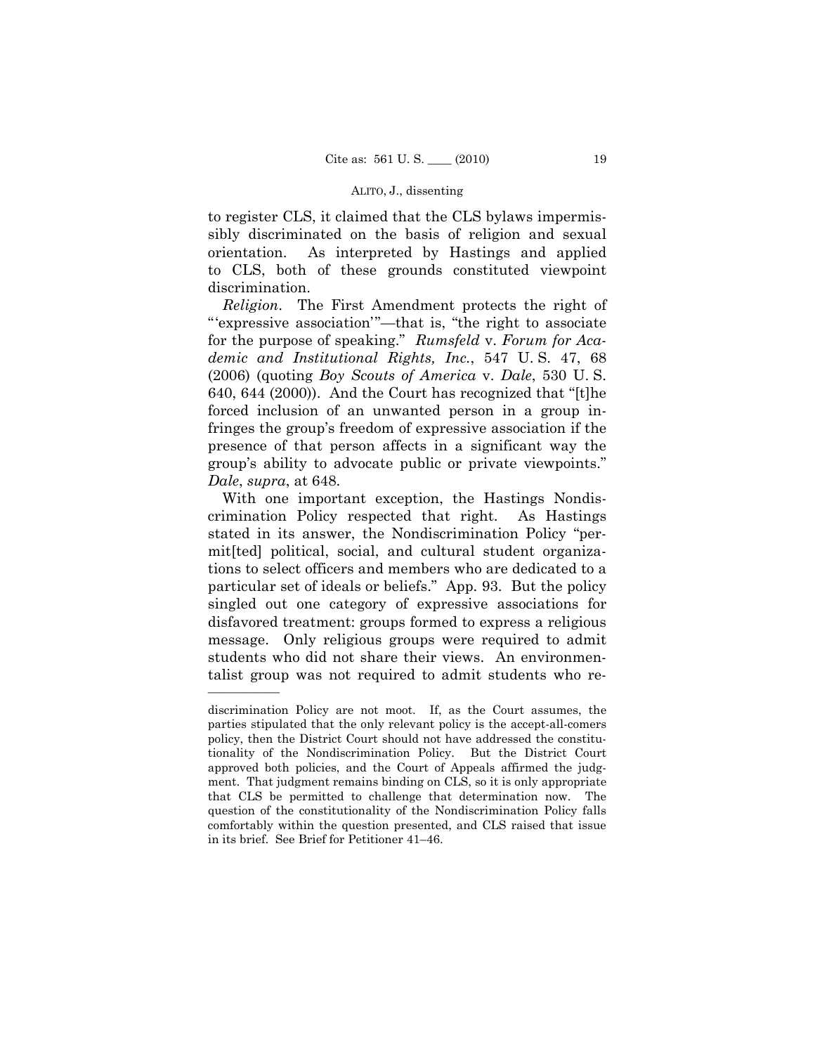to register CLS, it claimed that the CLS bylaws impermissibly discriminated on the basis of religion and sexual orientation. As interpreted by Hastings and applied to CLS, both of these grounds constituted viewpoint discrimination.

*Religion*. The First Amendment protects the right of "'expressive association'"—that is, "the right to associate for the purpose of speaking." *Rumsfeld* v. *Forum for Academic and Institutional Rights, Inc.*, 547 U. S. 47, 68 (2006) (quoting *Boy Scouts of America* v. *Dale*, 530 U. S. 640, 644 (2000)). And the Court has recognized that "[t]he forced inclusion of an unwanted person in a group infringes the group's freedom of expressive association if the presence of that person affects in a significant way the group's ability to advocate public or private viewpoints." *Dale*, *supra*, at 648.

With one important exception, the Hastings Nondiscrimination Policy respected that right. As Hastings stated in its answer, the Nondiscrimination Policy "permit[ted] political, social, and cultural student organizations to select officers and members who are dedicated to a particular set of ideals or beliefs." App. 93. But the policy singled out one category of expressive associations for disfavored treatment: groups formed to express a religious message. Only religious groups were required to admit students who did not share their views. An environmentalist group was not required to admit students who re-

discrimination Policy are not moot. If, as the Court assumes, the parties stipulated that the only relevant policy is the accept-all-comers policy, then the District Court should not have addressed the constitutionality of the Nondiscrimination Policy. But the District Court approved both policies, and the Court of Appeals affirmed the judgment. That judgment remains binding on CLS, so it is only appropriate that CLS be permitted to challenge that determination now. The question of the constitutionality of the Nondiscrimination Policy falls comfortably within the question presented, and CLS raised that issue in its brief. See Brief for Petitioner 41–46.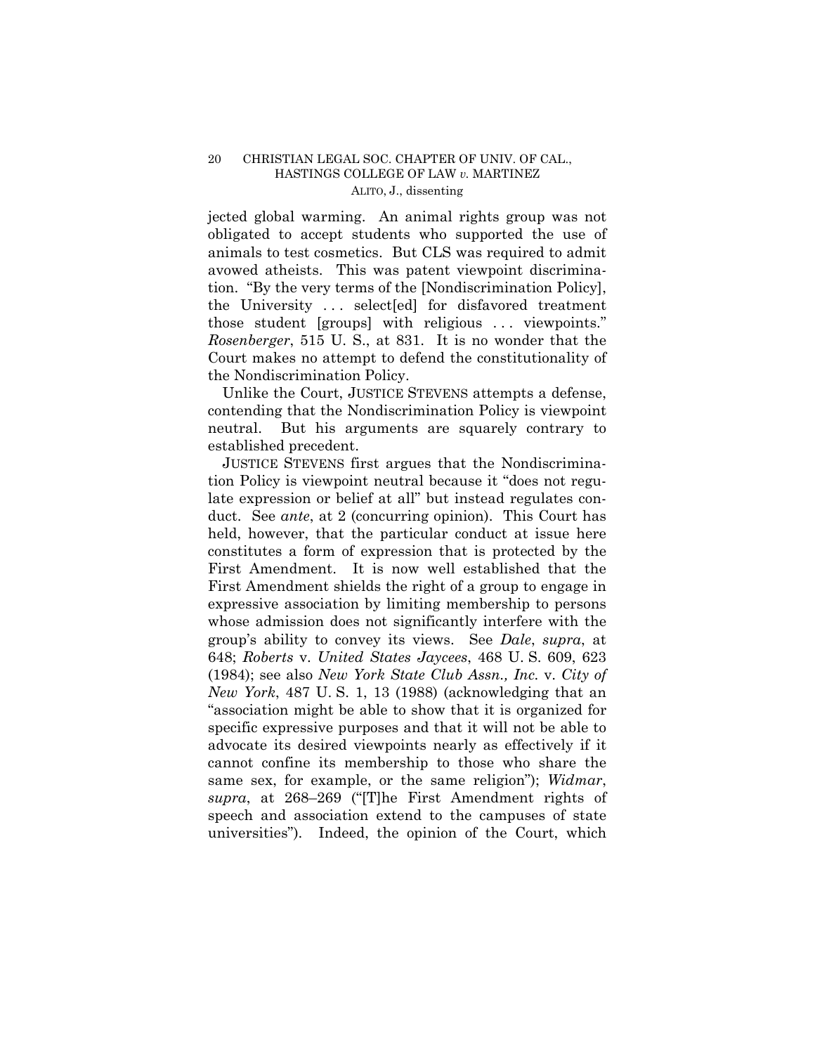jected global warming. An animal rights group was not obligated to accept students who supported the use of animals to test cosmetics. But CLS was required to admit avowed atheists. This was patent viewpoint discrimination. "By the very terms of the [Nondiscrimination Policy], the University . . . select[ed] for disfavored treatment those student [groups] with religious . . . viewpoints." *Rosenberger*, 515 U. S., at 831. It is no wonder that the Court makes no attempt to defend the constitutionality of the Nondiscrimination Policy.

Unlike the Court, JUSTICE STEVENS attempts a defense, contending that the Nondiscrimination Policy is viewpoint neutral. But his arguments are squarely contrary to established precedent.

JUSTICE STEVENS first argues that the Nondiscrimination Policy is viewpoint neutral because it "does not regulate expression or belief at all" but instead regulates conduct. See *ante*, at 2 (concurring opinion). This Court has held, however, that the particular conduct at issue here constitutes a form of expression that is protected by the First Amendment. It is now well established that the First Amendment shields the right of a group to engage in expressive association by limiting membership to persons whose admission does not significantly interfere with the group's ability to convey its views. See *Dale*, *supra*, at 648; *Roberts* v. *United States Jaycees*, 468 U. S. 609, 623 (1984); see also *New York State Club Assn., Inc.* v. *City of New York*, 487 U. S. 1, 13 (1988) (acknowledging that an "association might be able to show that it is organized for specific expressive purposes and that it will not be able to advocate its desired viewpoints nearly as effectively if it cannot confine its membership to those who share the same sex, for example, or the same religion"); *Widmar*, *supra*, at 268–269 ("[T]he First Amendment rights of speech and association extend to the campuses of state universities"). Indeed, the opinion of the Court, which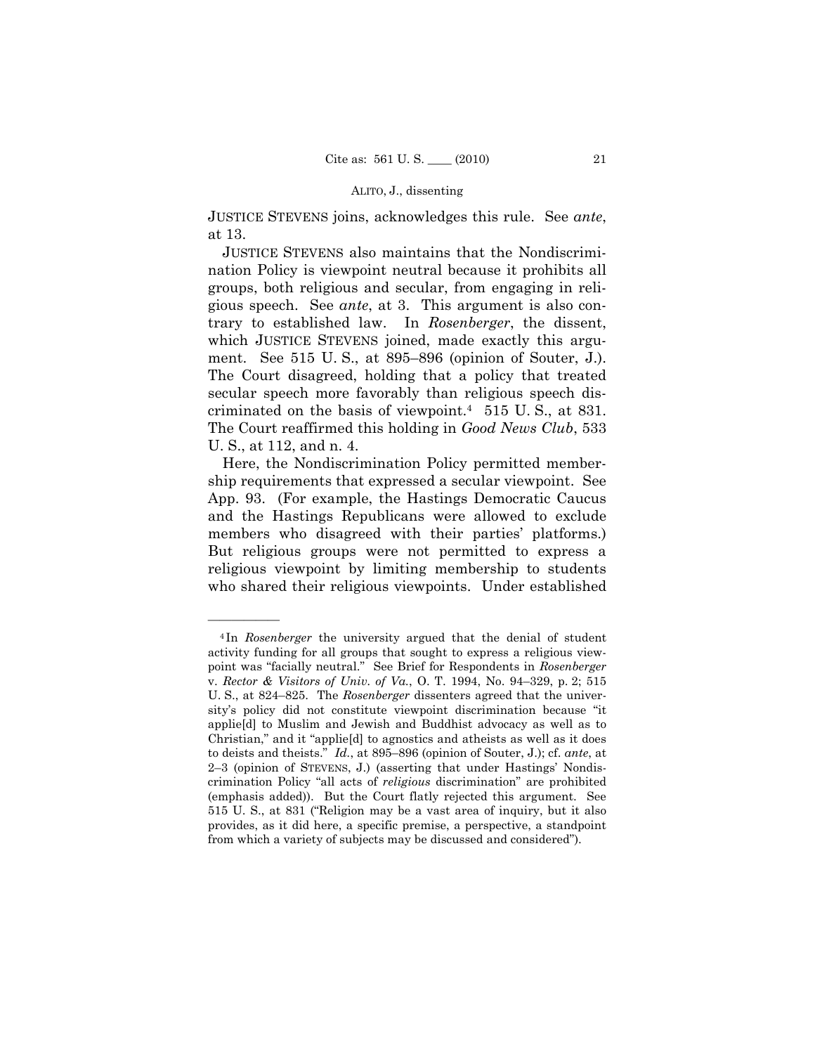JUSTICE STEVENS joins, acknowledges this rule. See *ante*, at 13.

JUSTICE STEVENS also maintains that the Nondiscrimination Policy is viewpoint neutral because it prohibits all groups, both religious and secular, from engaging in religious speech. See *ante*, at 3. This argument is also contrary to established law. In *Rosenberger*, the dissent, which JUSTICE STEVENS joined, made exactly this argument. See 515 U. S., at 895–896 (opinion of Souter, J.). The Court disagreed, holding that a policy that treated secular speech more favorably than religious speech discriminated on the basis of viewpoint.4 515 U. S., at 831. The Court reaffirmed this holding in *Good News Club*, 533 U. S., at 112, and n. 4.

Here, the Nondiscrimination Policy permitted membership requirements that expressed a secular viewpoint. See App. 93. (For example, the Hastings Democratic Caucus and the Hastings Republicans were allowed to exclude members who disagreed with their parties' platforms.) But religious groups were not permitted to express a religious viewpoint by limiting membership to students who shared their religious viewpoints. Under established

<sup>4</sup> In *Rosenberger* the university argued that the denial of student activity funding for all groups that sought to express a religious viewpoint was "facially neutral." See Brief for Respondents in *Rosenberger*  v. *Rector & Visitors of Univ. of Va.*, O. T. 1994, No. 94–329, p. 2; 515 U. S., at 824–825. The *Rosenberger* dissenters agreed that the university's policy did not constitute viewpoint discrimination because "it applie[d] to Muslim and Jewish and Buddhist advocacy as well as to Christian," and it "applie[d] to agnostics and atheists as well as it does to deists and theists." *Id.*, at 895–896 (opinion of Souter, J.); cf. *ante*, at 2–3 (opinion of STEVENS, J.) (asserting that under Hastings' Nondiscrimination Policy "all acts of *religious* discrimination" are prohibited (emphasis added)). But the Court flatly rejected this argument. See 515 U. S., at 831 ("Religion may be a vast area of inquiry, but it also provides, as it did here, a specific premise, a perspective, a standpoint from which a variety of subjects may be discussed and considered").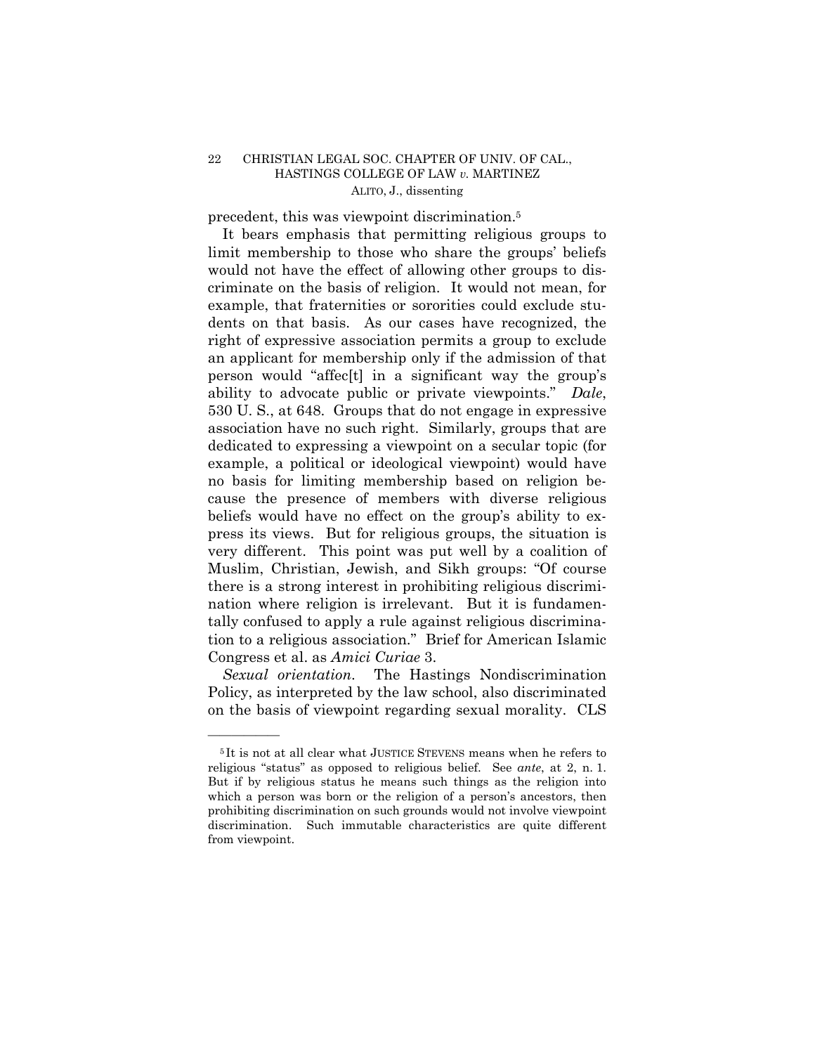precedent, this was viewpoint discrimination.5

It bears emphasis that permitting religious groups to limit membership to those who share the groups' beliefs would not have the effect of allowing other groups to discriminate on the basis of religion. It would not mean, for example, that fraternities or sororities could exclude students on that basis. As our cases have recognized, the right of expressive association permits a group to exclude an applicant for membership only if the admission of that person would "affec[t] in a significant way the group's ability to advocate public or private viewpoints." *Dale*, 530 U. S., at 648. Groups that do not engage in expressive association have no such right. Similarly, groups that are dedicated to expressing a viewpoint on a secular topic (for example, a political or ideological viewpoint) would have no basis for limiting membership based on religion because the presence of members with diverse religious beliefs would have no effect on the group's ability to express its views. But for religious groups, the situation is very different. This point was put well by a coalition of Muslim, Christian, Jewish, and Sikh groups: "Of course there is a strong interest in prohibiting religious discrimination where religion is irrelevant. But it is fundamentally confused to apply a rule against religious discrimination to a religious association." Brief for American Islamic Congress et al. as *Amici Curiae* 3.

*Sexual orientation*. The Hastings Nondiscrimination Policy, as interpreted by the law school, also discriminated on the basis of viewpoint regarding sexual morality. CLS

<sup>5</sup> It is not at all clear what JUSTICE STEVENS means when he refers to religious "status" as opposed to religious belief. See *ante*, at 2, n. 1. But if by religious status he means such things as the religion into which a person was born or the religion of a person's ancestors, then prohibiting discrimination on such grounds would not involve viewpoint discrimination. Such immutable characteristics are quite different from viewpoint.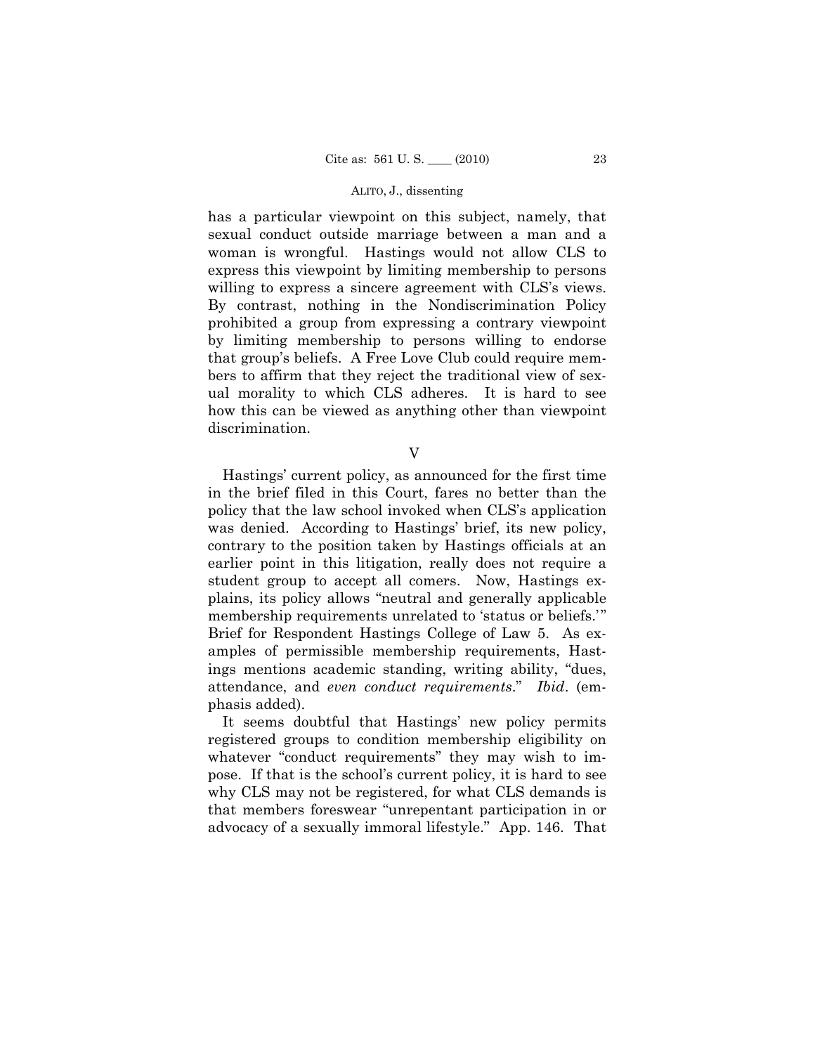has a particular viewpoint on this subject, namely, that sexual conduct outside marriage between a man and a woman is wrongful. Hastings would not allow CLS to express this viewpoint by limiting membership to persons willing to express a sincere agreement with CLS's views. By contrast, nothing in the Nondiscrimination Policy prohibited a group from expressing a contrary viewpoint by limiting membership to persons willing to endorse that group's beliefs. A Free Love Club could require members to affirm that they reject the traditional view of sexual morality to which CLS adheres. It is hard to see how this can be viewed as anything other than viewpoint discrimination.

V

Hastings' current policy, as announced for the first time in the brief filed in this Court, fares no better than the policy that the law school invoked when CLS's application was denied. According to Hastings' brief, its new policy, contrary to the position taken by Hastings officials at an earlier point in this litigation, really does not require a student group to accept all comers. Now, Hastings explains, its policy allows "neutral and generally applicable membership requirements unrelated to 'status or beliefs.'" Brief for Respondent Hastings College of Law 5. As examples of permissible membership requirements, Hastings mentions academic standing, writing ability, "dues, attendance, and *even conduct requirements*." *Ibid*. (emphasis added).

It seems doubtful that Hastings' new policy permits registered groups to condition membership eligibility on whatever "conduct requirements" they may wish to impose. If that is the school's current policy, it is hard to see why CLS may not be registered, for what CLS demands is that members foreswear "unrepentant participation in or advocacy of a sexually immoral lifestyle." App. 146. That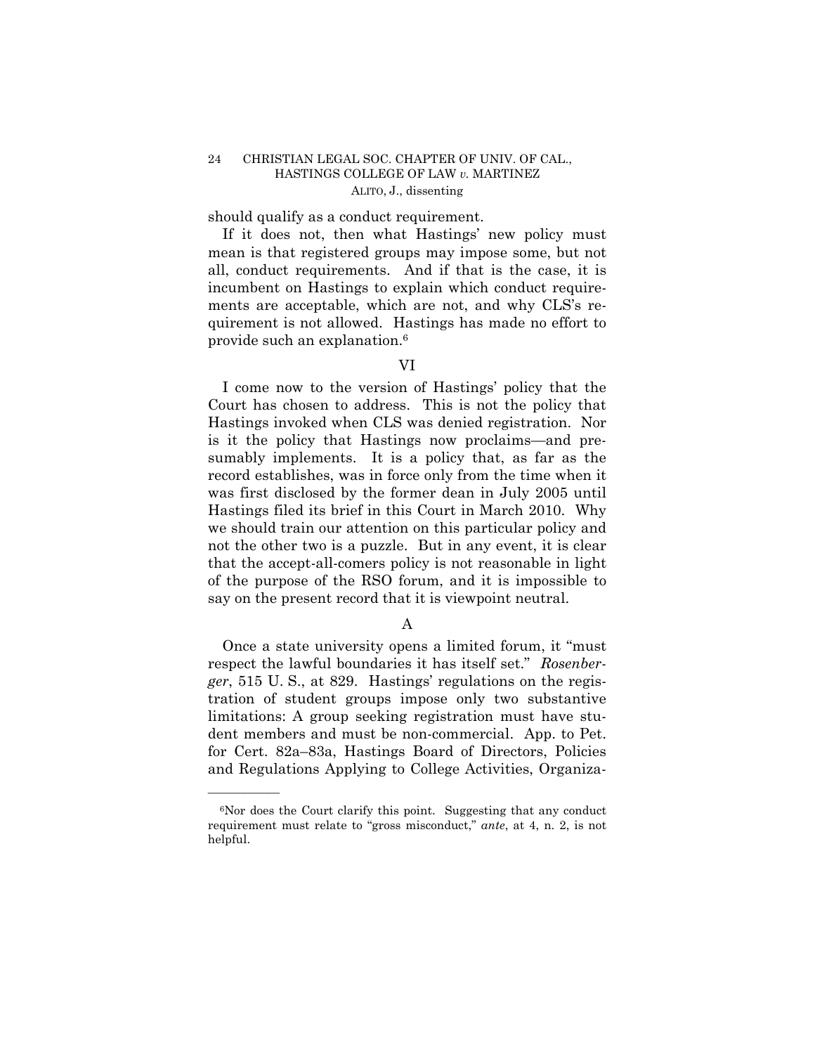#### should qualify as a conduct requirement.

If it does not, then what Hastings' new policy must mean is that registered groups may impose some, but not all, conduct requirements. And if that is the case, it is incumbent on Hastings to explain which conduct requirements are acceptable, which are not, and why CLS's requirement is not allowed. Hastings has made no effort to provide such an explanation.6

# VI

I come now to the version of Hastings' policy that the Court has chosen to address. This is not the policy that Hastings invoked when CLS was denied registration. Nor is it the policy that Hastings now proclaims—and presumably implements. It is a policy that, as far as the record establishes, was in force only from the time when it was first disclosed by the former dean in July 2005 until Hastings filed its brief in this Court in March 2010. Why we should train our attention on this particular policy and not the other two is a puzzle. But in any event, it is clear that the accept-all-comers policy is not reasonable in light of the purpose of the RSO forum, and it is impossible to say on the present record that it is viewpoint neutral.

### A

Once a state university opens a limited forum, it "must respect the lawful boundaries it has itself set." *Rosenberger*, 515 U. S., at 829. Hastings' regulations on the registration of student groups impose only two substantive limitations: A group seeking registration must have student members and must be non-commercial. App. to Pet. for Cert. 82a–83a, Hastings Board of Directors, Policies and Regulations Applying to College Activities, Organiza-

<sup>6</sup>Nor does the Court clarify this point. Suggesting that any conduct requirement must relate to "gross misconduct," *ante*, at 4, n. 2, is not helpful.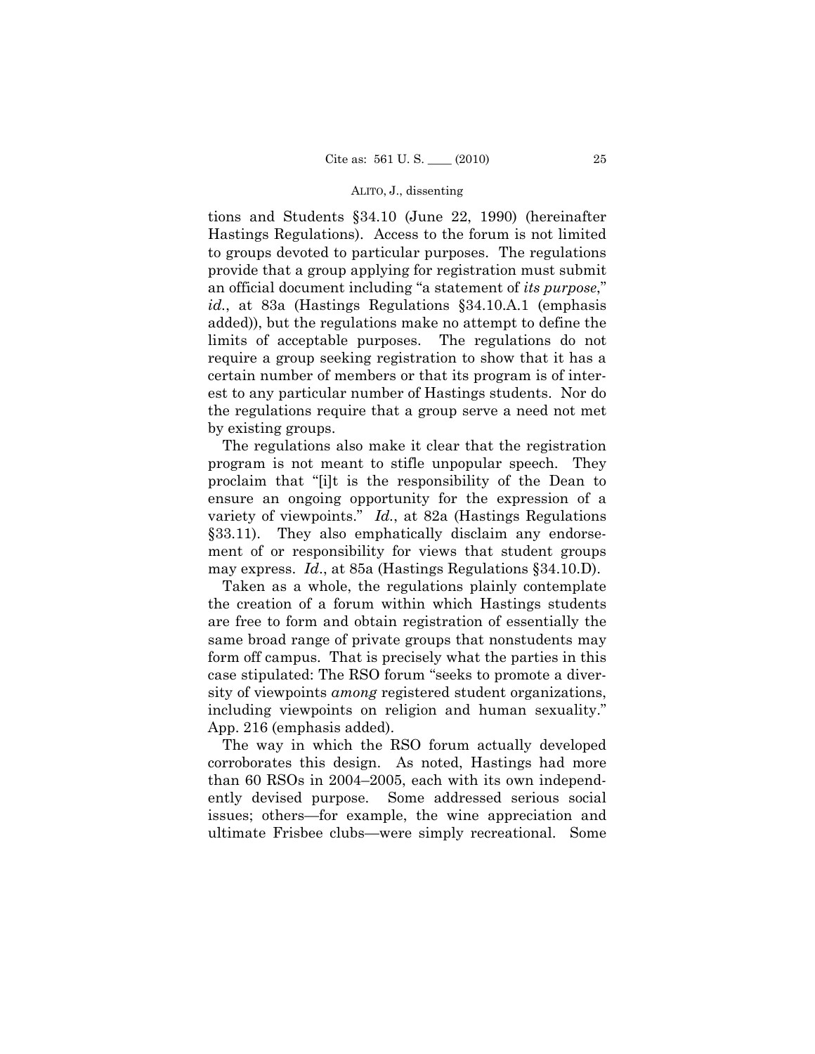tions and Students §34.10 (June 22, 1990) (hereinafter Hastings Regulations). Access to the forum is not limited to groups devoted to particular purposes. The regulations provide that a group applying for registration must submit an official document including "a statement of *its purpose*," *id.*, at 83a (Hastings Regulations §34.10.A.1 (emphasis added)), but the regulations make no attempt to define the limits of acceptable purposes. The regulations do not require a group seeking registration to show that it has a certain number of members or that its program is of interest to any particular number of Hastings students. Nor do the regulations require that a group serve a need not met by existing groups.

The regulations also make it clear that the registration program is not meant to stifle unpopular speech. They proclaim that "[i]t is the responsibility of the Dean to ensure an ongoing opportunity for the expression of a variety of viewpoints." *Id.*, at 82a (Hastings Regulations §33.11). They also emphatically disclaim any endorsement of or responsibility for views that student groups may express. *Id*., at 85a (Hastings Regulations §34.10.D).

Taken as a whole, the regulations plainly contemplate the creation of a forum within which Hastings students are free to form and obtain registration of essentially the same broad range of private groups that nonstudents may form off campus. That is precisely what the parties in this case stipulated: The RSO forum "seeks to promote a diversity of viewpoints *among* registered student organizations, including viewpoints on religion and human sexuality." App. 216 (emphasis added).

The way in which the RSO forum actually developed corroborates this design. As noted, Hastings had more than 60 RSOs in 2004–2005, each with its own independently devised purpose. Some addressed serious social issues; others—for example, the wine appreciation and ultimate Frisbee clubs—were simply recreational. Some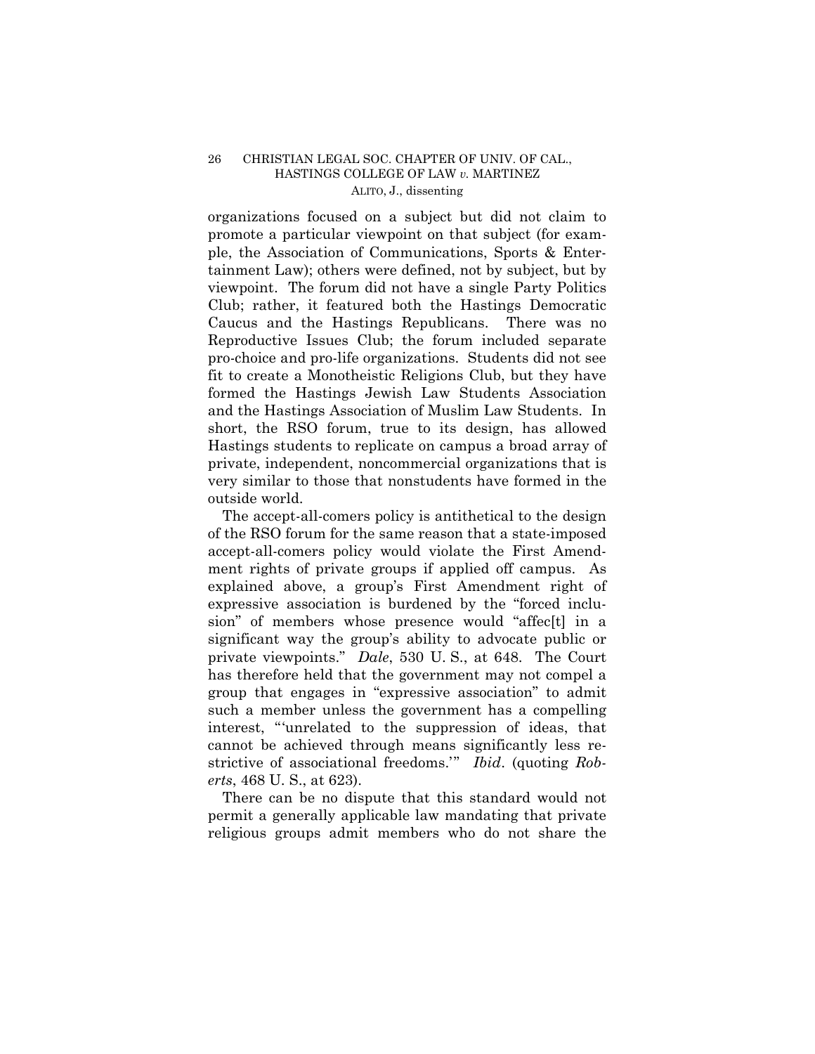organizations focused on a subject but did not claim to promote a particular viewpoint on that subject (for example, the Association of Communications, Sports & Entertainment Law); others were defined, not by subject, but by viewpoint. The forum did not have a single Party Politics Club; rather, it featured both the Hastings Democratic Caucus and the Hastings Republicans. There was no Reproductive Issues Club; the forum included separate pro-choice and pro-life organizations. Students did not see fit to create a Monotheistic Religions Club, but they have formed the Hastings Jewish Law Students Association and the Hastings Association of Muslim Law Students. In short, the RSO forum, true to its design, has allowed Hastings students to replicate on campus a broad array of private, independent, noncommercial organizations that is very similar to those that nonstudents have formed in the outside world.

The accept-all-comers policy is antithetical to the design of the RSO forum for the same reason that a state-imposed accept-all-comers policy would violate the First Amendment rights of private groups if applied off campus. As explained above, a group's First Amendment right of expressive association is burdened by the "forced inclusion" of members whose presence would "affec[t] in a significant way the group's ability to advocate public or private viewpoints." *Dale*, 530 U. S., at 648. The Court has therefore held that the government may not compel a group that engages in "expressive association" to admit such a member unless the government has a compelling interest, "'unrelated to the suppression of ideas, that cannot be achieved through means significantly less restrictive of associational freedoms.'" *Ibid*. (quoting *Roberts*, 468 U. S., at 623).

There can be no dispute that this standard would not permit a generally applicable law mandating that private religious groups admit members who do not share the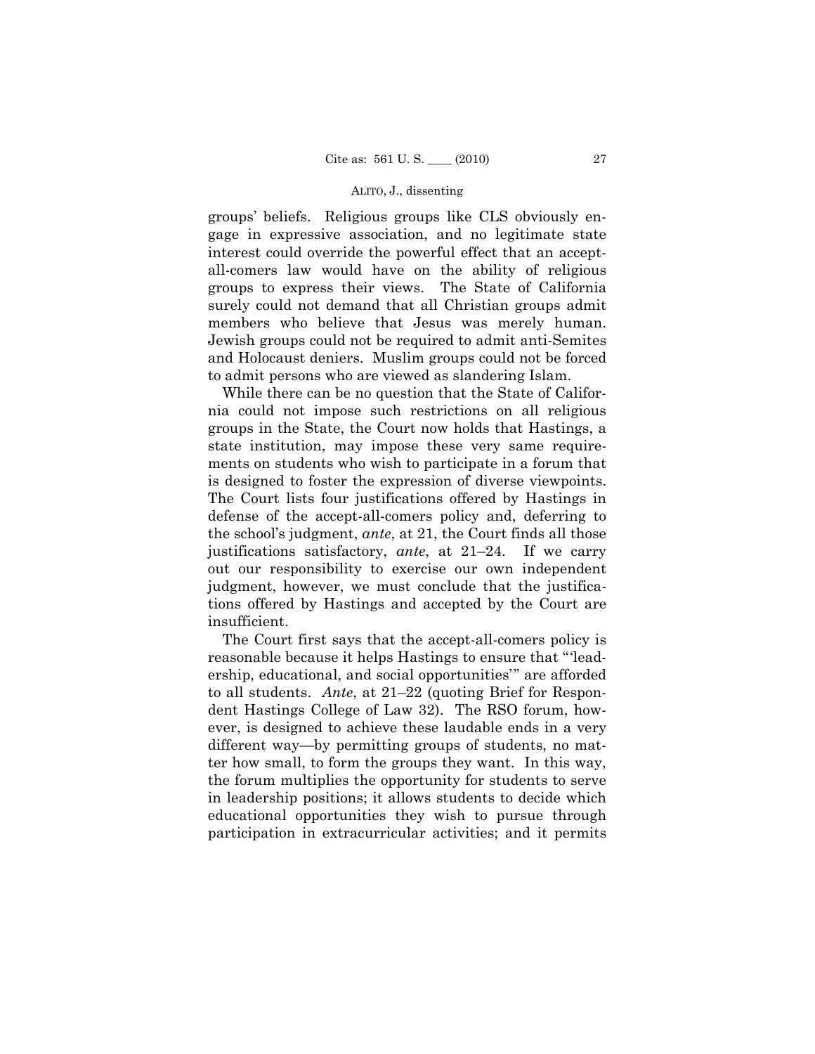groups' beliefs. Religious groups like CLS obviously engage in expressive association, and no legitimate state interest could override the powerful effect that an acceptall-comers law would have on the ability of religious groups to express their views. The State of California surely could not demand that all Christian groups admit members who believe that Jesus was merely human. Jewish groups could not be required to admit anti-Semites and Holocaust deniers. Muslim groups could not be forced to admit persons who are viewed as slandering Islam.

While there can be no question that the State of California could not impose such restrictions on all religious groups in the State, the Court now holds that Hastings, a state institution, may impose these very same requirements on students who wish to participate in a forum that is designed to foster the expression of diverse viewpoints. The Court lists four justifications offered by Hastings in defense of the accept-all-comers policy and, deferring to the school's judgment, *ante*, at 21, the Court finds all those justifications satisfactory, *ante*, at 21–24. If we carry out our responsibility to exercise our own independent judgment, however, we must conclude that the justifications offered by Hastings and accepted by the Court are insufficient.

The Court first says that the accept-all-comers policy is reasonable because it helps Hastings to ensure that "'leadership, educational, and social opportunities'" are afforded to all students. *Ante*, at 21–22 (quoting Brief for Respondent Hastings College of Law 32). The RSO forum, however, is designed to achieve these laudable ends in a very different way—by permitting groups of students, no matter how small, to form the groups they want. In this way, the forum multiplies the opportunity for students to serve in leadership positions; it allows students to decide which educational opportunities they wish to pursue through participation in extracurricular activities; and it permits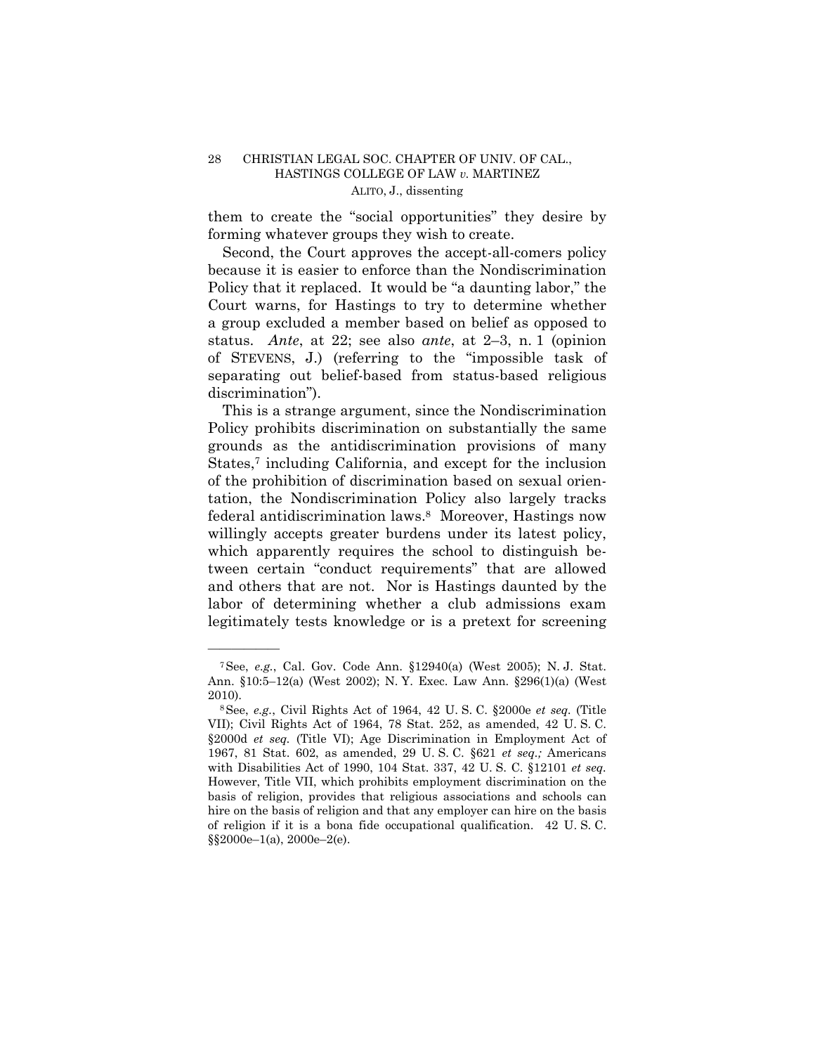them to create the "social opportunities" they desire by forming whatever groups they wish to create.

Second, the Court approves the accept-all-comers policy because it is easier to enforce than the Nondiscrimination Policy that it replaced. It would be "a daunting labor," the Court warns, for Hastings to try to determine whether a group excluded a member based on belief as opposed to status. *Ante*, at 22; see also *ante*, at 2–3, n. 1 (opinion of STEVENS, J.) (referring to the "impossible task of separating out belief-based from status-based religious discrimination").

This is a strange argument, since the Nondiscrimination Policy prohibits discrimination on substantially the same grounds as the antidiscrimination provisions of many States,<sup>7</sup> including California, and except for the inclusion of the prohibition of discrimination based on sexual orientation, the Nondiscrimination Policy also largely tracks federal antidiscrimination laws.8 Moreover, Hastings now willingly accepts greater burdens under its latest policy, which apparently requires the school to distinguish between certain "conduct requirements" that are allowed and others that are not. Nor is Hastings daunted by the labor of determining whether a club admissions exam legitimately tests knowledge or is a pretext for screening

<sup>7</sup>See, *e.g.*, Cal. Gov. Code Ann. §12940(a) (West 2005); N. J. Stat. Ann. §10:5–12(a) (West 2002); N. Y. Exec. Law Ann. §296(1)(a) (West 2010).

<sup>8</sup>See, *e.g.*, Civil Rights Act of 1964, 42 U. S. C. §2000e *et seq.* (Title VII); Civil Rights Act of 1964, 78 Stat. 252, as amended, 42 U. S. C. §2000d *et seq.* (Title VI); Age Discrimination in Employment Act of 1967, 81 Stat. 602, as amended, 29 U. S. C. §621 *et seq.;* Americans with Disabilities Act of 1990, 104 Stat. 337, 42 U. S. C. §12101 *et seq.* However, Title VII, which prohibits employment discrimination on the basis of religion, provides that religious associations and schools can hire on the basis of religion and that any employer can hire on the basis of religion if it is a bona fide occupational qualification. 42 U. S. C.  $\S$ \$2000e–1(a), 2000e–2(e).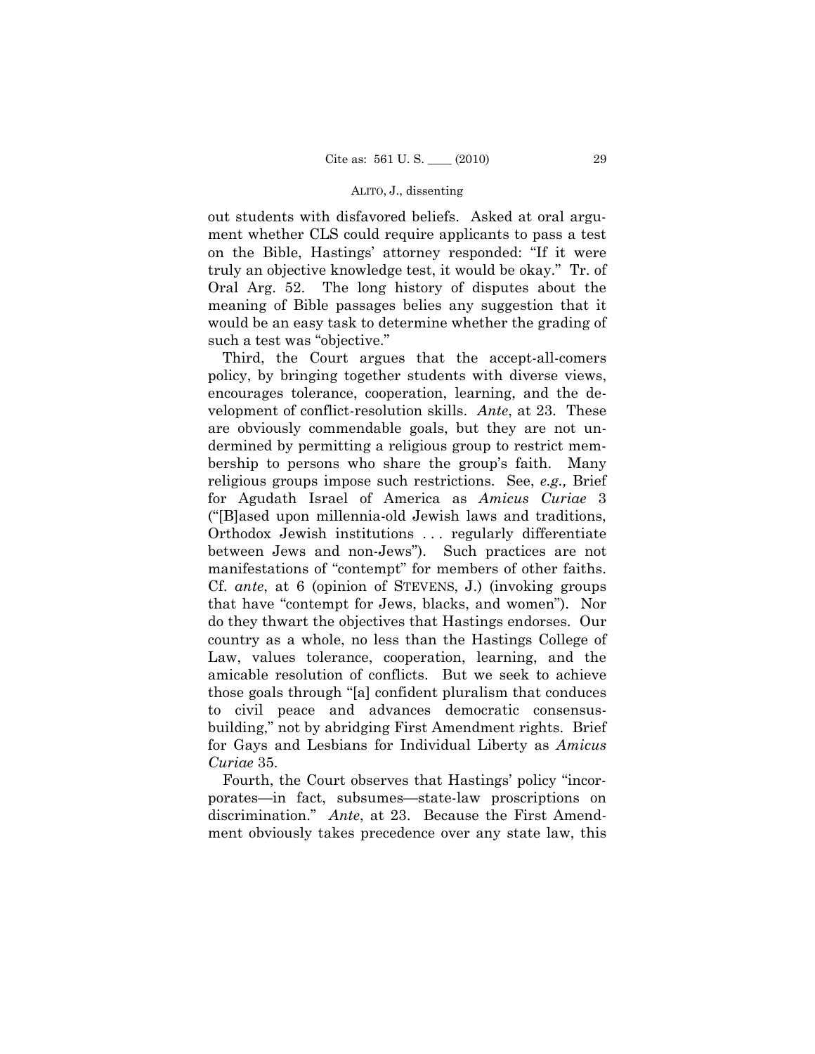out students with disfavored beliefs. Asked at oral argument whether CLS could require applicants to pass a test on the Bible, Hastings' attorney responded: "If it were truly an objective knowledge test, it would be okay." Tr. of Oral Arg. 52. The long history of disputes about the meaning of Bible passages belies any suggestion that it would be an easy task to determine whether the grading of such a test was "objective."

Third, the Court argues that the accept-all-comers policy, by bringing together students with diverse views, encourages tolerance, cooperation, learning, and the development of conflict-resolution skills. *Ante*, at 23. These are obviously commendable goals, but they are not undermined by permitting a religious group to restrict membership to persons who share the group's faith. Many religious groups impose such restrictions. See, *e.g.,* Brief for Agudath Israel of America as *Amicus Curiae* 3 ("[B]ased upon millennia-old Jewish laws and traditions, Orthodox Jewish institutions . . . regularly differentiate between Jews and non-Jews"). Such practices are not manifestations of "contempt" for members of other faiths. Cf. *ante*, at 6 (opinion of STEVENS, J.) (invoking groups that have "contempt for Jews, blacks, and women"). Nor do they thwart the objectives that Hastings endorses. Our country as a whole, no less than the Hastings College of Law, values tolerance, cooperation, learning, and the amicable resolution of conflicts. But we seek to achieve those goals through "[a] confident pluralism that conduces to civil peace and advances democratic consensusbuilding," not by abridging First Amendment rights. Brief for Gays and Lesbians for Individual Liberty as *Amicus Curiae* 35.

Fourth, the Court observes that Hastings' policy "incorporates—in fact, subsumes—state-law proscriptions on discrimination." *Ante*, at 23. Because the First Amendment obviously takes precedence over any state law, this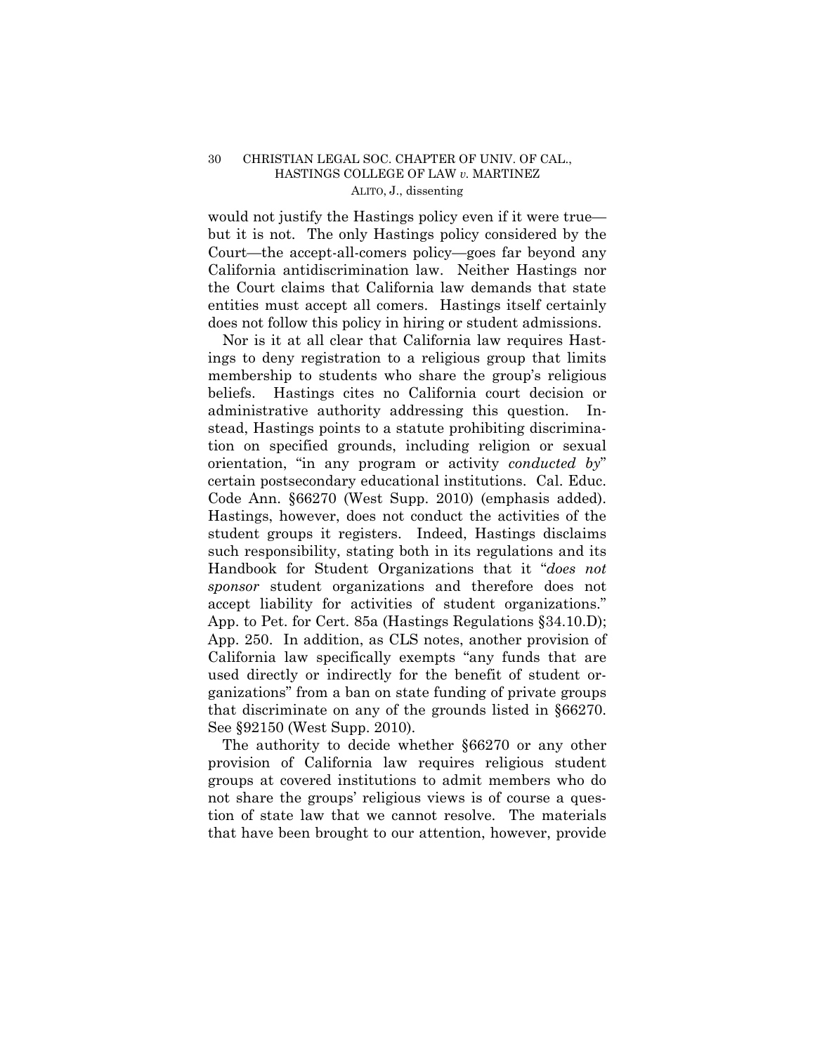would not justify the Hastings policy even if it were true but it is not. The only Hastings policy considered by the Court—the accept-all-comers policy—goes far beyond any California antidiscrimination law. Neither Hastings nor the Court claims that California law demands that state entities must accept all comers. Hastings itself certainly does not follow this policy in hiring or student admissions.

Nor is it at all clear that California law requires Hastings to deny registration to a religious group that limits membership to students who share the group's religious beliefs. Hastings cites no California court decision or administrative authority addressing this question. Instead, Hastings points to a statute prohibiting discrimination on specified grounds, including religion or sexual orientation, "in any program or activity *conducted by*" certain postsecondary educational institutions. Cal. Educ. Code Ann. §66270 (West Supp. 2010) (emphasis added). Hastings, however, does not conduct the activities of the student groups it registers. Indeed, Hastings disclaims such responsibility, stating both in its regulations and its Handbook for Student Organizations that it "*does not sponsor* student organizations and therefore does not accept liability for activities of student organizations." App. to Pet. for Cert. 85a (Hastings Regulations §34.10.D); App. 250. In addition, as CLS notes, another provision of California law specifically exempts "any funds that are used directly or indirectly for the benefit of student organizations" from a ban on state funding of private groups that discriminate on any of the grounds listed in §66270. See §92150 (West Supp. 2010).

The authority to decide whether §66270 or any other provision of California law requires religious student groups at covered institutions to admit members who do not share the groups' religious views is of course a question of state law that we cannot resolve. The materials that have been brought to our attention, however, provide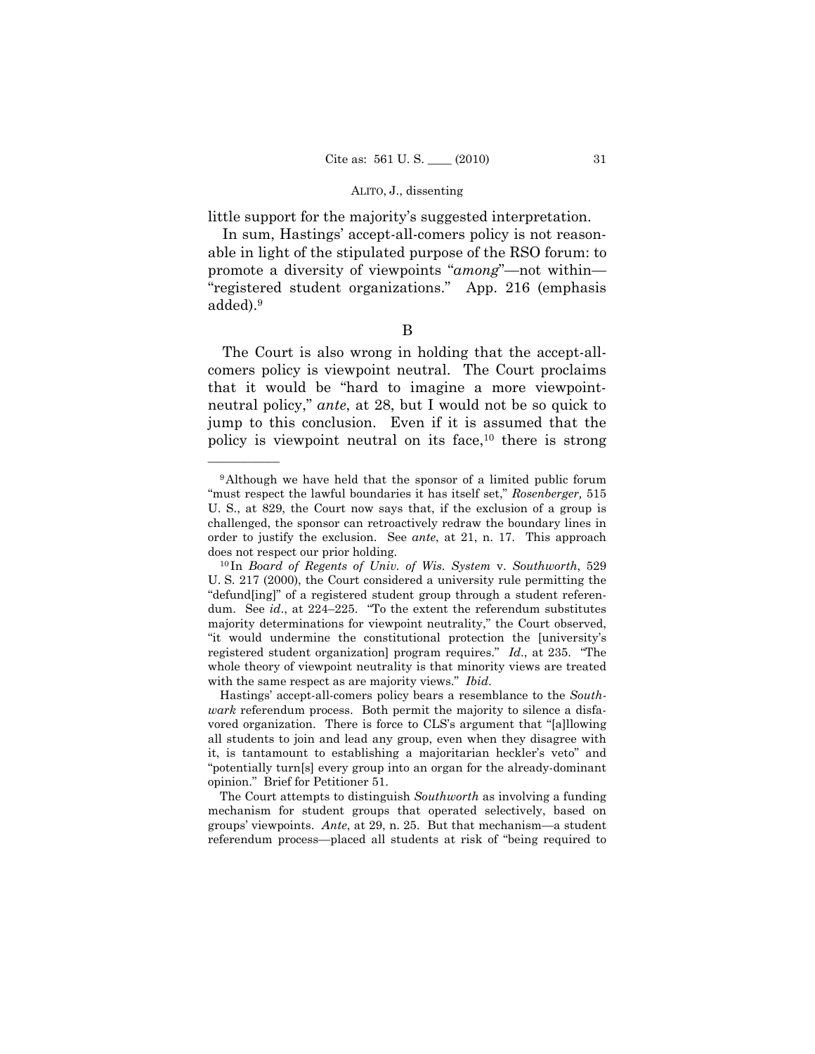little support for the majority's suggested interpretation.

In sum, Hastings' accept-all-comers policy is not reasonable in light of the stipulated purpose of the RSO forum: to promote a diversity of viewpoints "*among*"—not within*—*  "registered student organizations." App. 216 (emphasis added).9

B

The Court is also wrong in holding that the accept-allcomers policy is viewpoint neutral. The Court proclaims that it would be "hard to imagine a more viewpointneutral policy," *ante*, at 28, but I would not be so quick to jump to this conclusion. Even if it is assumed that the policy is viewpoint neutral on its face,10 there is strong

<sup>9</sup>Although we have held that the sponsor of a limited public forum "must respect the lawful boundaries it has itself set," *Rosenberger,* 515 U. S., at 829, the Court now says that, if the exclusion of a group is challenged, the sponsor can retroactively redraw the boundary lines in order to justify the exclusion. See *ante*, at 21, n. 17. This approach

does not respect our prior holding. 10 In *Board of Regents of Univ. of Wis. System* v. *Southworth*, 529 U. S. 217 (2000), the Court considered a university rule permitting the "defund[ing]" of a registered student group through a student referendum. See *id*., at 224–225. "To the extent the referendum substitutes majority determinations for viewpoint neutrality," the Court observed, "it would undermine the constitutional protection the [university's registered student organization] program requires." *Id*., at 235. "The whole theory of viewpoint neutrality is that minority views are treated with the same respect as are majority views." *Ibid*.

Hastings' accept-all-comers policy bears a resemblance to the *Southwark* referendum process. Both permit the majority to silence a disfavored organization. There is force to CLS's argument that "[a]llowing all students to join and lead any group, even when they disagree with it, is tantamount to establishing a majoritarian heckler's veto" and "potentially turn[s] every group into an organ for the already-dominant opinion." Brief for Petitioner 51.

The Court attempts to distinguish *Southworth* as involving a funding mechanism for student groups that operated selectively, based on groups' viewpoints. *Ante*, at 29, n. 25. But that mechanism—a student referendum process—placed all students at risk of "being required to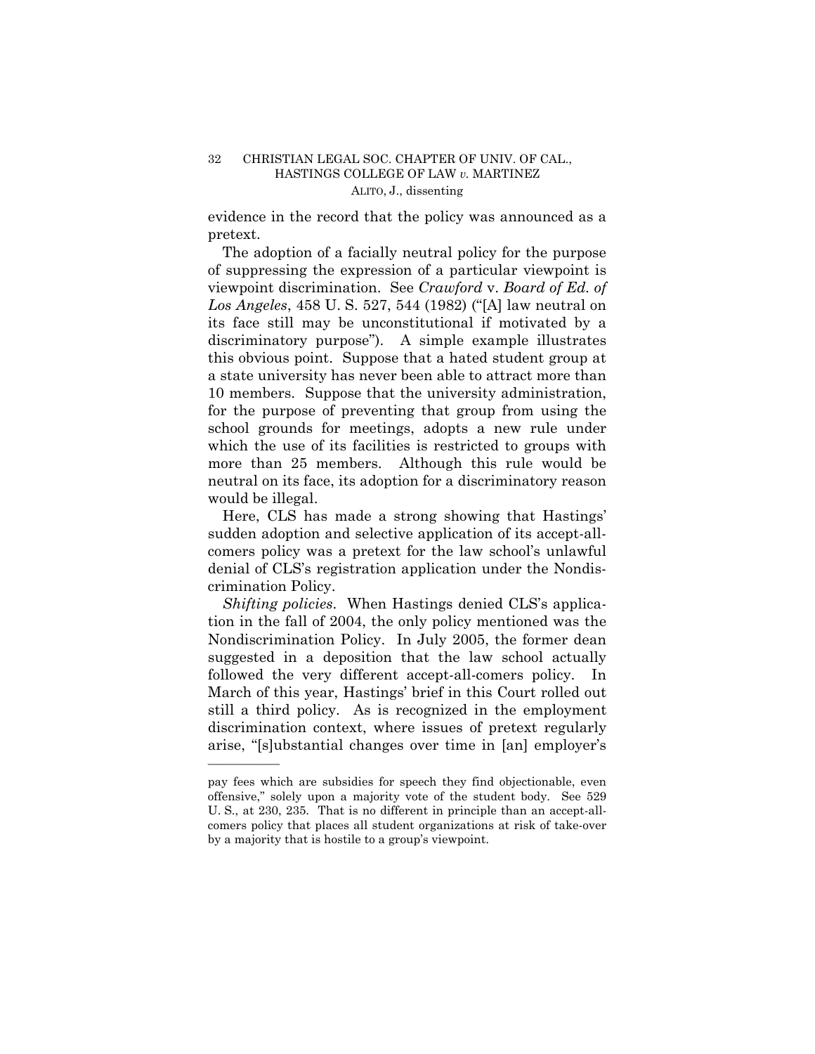evidence in the record that the policy was announced as a pretext.

The adoption of a facially neutral policy for the purpose of suppressing the expression of a particular viewpoint is viewpoint discrimination. See *Crawford* v. *Board of Ed. of Los Angeles*, 458 U. S. 527, 544 (1982) ("[A] law neutral on its face still may be unconstitutional if motivated by a discriminatory purpose"). A simple example illustrates this obvious point. Suppose that a hated student group at a state university has never been able to attract more than 10 members. Suppose that the university administration, for the purpose of preventing that group from using the school grounds for meetings, adopts a new rule under which the use of its facilities is restricted to groups with more than 25 members. Although this rule would be neutral on its face, its adoption for a discriminatory reason would be illegal.

Here, CLS has made a strong showing that Hastings' sudden adoption and selective application of its accept-allcomers policy was a pretext for the law school's unlawful denial of CLS's registration application under the Nondiscrimination Policy.

*Shifting policies*. When Hastings denied CLS's application in the fall of 2004, the only policy mentioned was the Nondiscrimination Policy. In July 2005, the former dean suggested in a deposition that the law school actually followed the very different accept-all-comers policy. In March of this year, Hastings' brief in this Court rolled out still a third policy. As is recognized in the employment discrimination context, where issues of pretext regularly arise, "[s]ubstantial changes over time in [an] employer's

pay fees which are subsidies for speech they find objectionable, even offensive," solely upon a majority vote of the student body. See 529 U. S., at 230, 235. That is no different in principle than an accept-allcomers policy that places all student organizations at risk of take-over by a majority that is hostile to a group's viewpoint.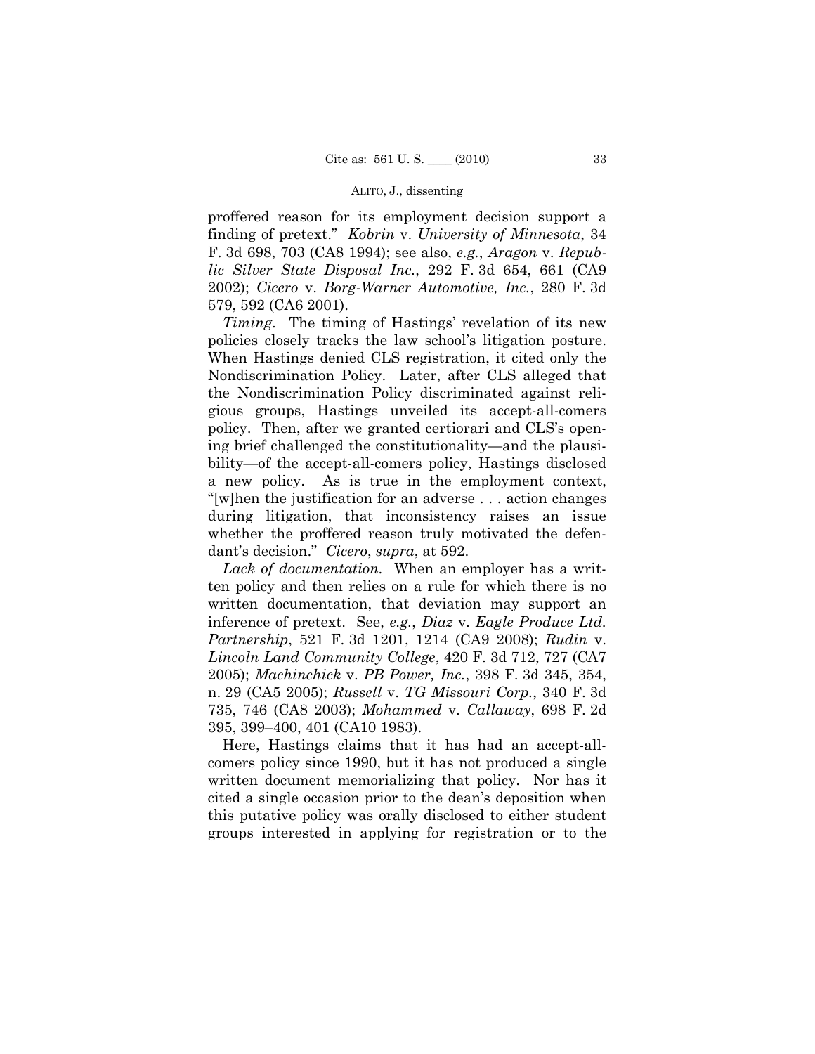proffered reason for its employment decision support a finding of pretext." *Kobrin* v. *University of Minnesota*, 34 F. 3d 698, 703 (CA8 1994); see also, *e.g.*, *Aragon* v. *Republic Silver State Disposal Inc.*, 292 F. 3d 654, 661 (CA9 2002); *Cicero* v. *Borg-Warner Automotive, Inc.*, 280 F. 3d 579, 592 (CA6 2001).

*Timing*. The timing of Hastings' revelation of its new policies closely tracks the law school's litigation posture. When Hastings denied CLS registration, it cited only the Nondiscrimination Policy. Later, after CLS alleged that the Nondiscrimination Policy discriminated against religious groups, Hastings unveiled its accept-all-comers policy. Then, after we granted certiorari and CLS's opening brief challenged the constitutionality—and the plausibility—of the accept-all-comers policy, Hastings disclosed a new policy. As is true in the employment context, "[w]hen the justification for an adverse . . . action changes during litigation, that inconsistency raises an issue whether the proffered reason truly motivated the defendant's decision." *Cicero*, *supra*, at 592.

*Lack of documentation.* When an employer has a written policy and then relies on a rule for which there is no written documentation, that deviation may support an inference of pretext. See, *e.g.*, *Diaz* v. *Eagle Produce Ltd. Partnership*, 521 F. 3d 1201, 1214 (CA9 2008); *Rudin* v. *Lincoln Land Community College*, 420 F. 3d 712, 727 (CA7 2005); *Machinchick* v. *PB Power, Inc.*, 398 F. 3d 345, 354, n. 29 (CA5 2005); *Russell* v. *TG Missouri Corp.*, 340 F. 3d 735, 746 (CA8 2003); *Mohammed* v. *Callaway*, 698 F. 2d 395, 399–400, 401 (CA10 1983).

Here, Hastings claims that it has had an accept-allcomers policy since 1990, but it has not produced a single written document memorializing that policy. Nor has it cited a single occasion prior to the dean's deposition when this putative policy was orally disclosed to either student groups interested in applying for registration or to the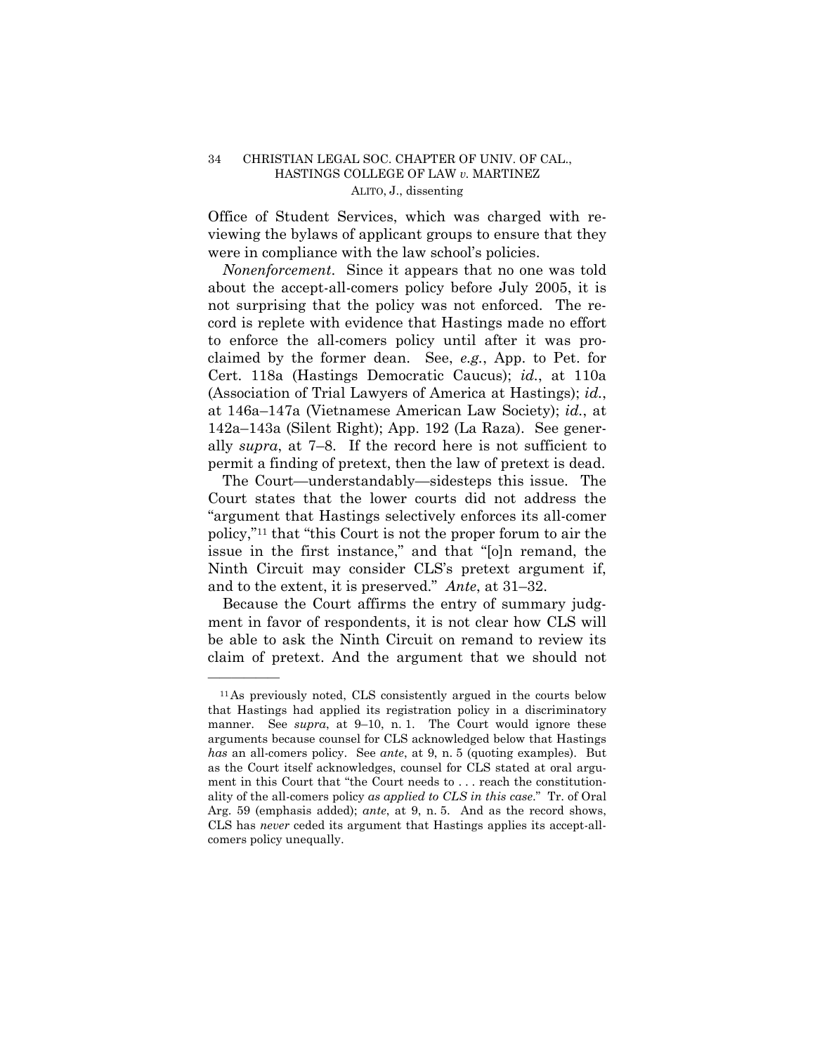Office of Student Services, which was charged with reviewing the bylaws of applicant groups to ensure that they were in compliance with the law school's policies.

*Nonenforcement*. Since it appears that no one was told about the accept-all-comers policy before July 2005, it is not surprising that the policy was not enforced. The record is replete with evidence that Hastings made no effort to enforce the all-comers policy until after it was proclaimed by the former dean. See, *e.g.*, App. to Pet. for Cert. 118a (Hastings Democratic Caucus); *id.*, at 110a (Association of Trial Lawyers of America at Hastings); *id.*, at 146a–147a (Vietnamese American Law Society); *id.*, at 142a–143a (Silent Right); App. 192 (La Raza). See generally *supra*, at 7–8. If the record here is not sufficient to permit a finding of pretext, then the law of pretext is dead.

The Court—understandably—sidesteps this issue. The Court states that the lower courts did not address the "argument that Hastings selectively enforces its all-comer policy,"11 that "this Court is not the proper forum to air the issue in the first instance," and that "[o]n remand, the Ninth Circuit may consider CLS's pretext argument if, and to the extent, it is preserved." *Ante*, at 31–32.

Because the Court affirms the entry of summary judgment in favor of respondents, it is not clear how CLS will be able to ask the Ninth Circuit on remand to review its claim of pretext. And the argument that we should not

<sup>11</sup>As previously noted, CLS consistently argued in the courts below that Hastings had applied its registration policy in a discriminatory manner. See *supra*, at 9–10, n. 1. The Court would ignore these arguments because counsel for CLS acknowledged below that Hastings *has* an all-comers policy. See *ante*, at 9, n. 5 (quoting examples). But as the Court itself acknowledges, counsel for CLS stated at oral argument in this Court that "the Court needs to . . . reach the constitutionality of the all-comers policy *as applied to CLS in this case*." Tr. of Oral Arg. 59 (emphasis added); *ante*, at 9, n. 5. And as the record shows, CLS has *never* ceded its argument that Hastings applies its accept-allcomers policy unequally.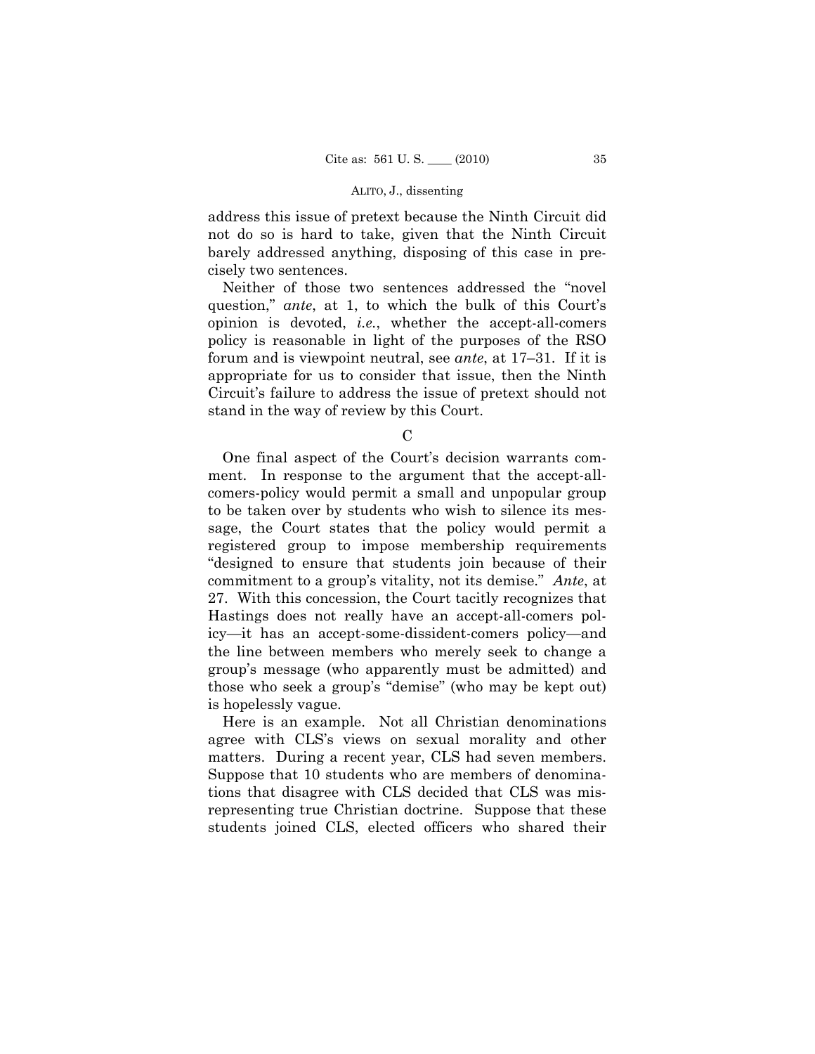address this issue of pretext because the Ninth Circuit did not do so is hard to take, given that the Ninth Circuit barely addressed anything, disposing of this case in precisely two sentences.

Neither of those two sentences addressed the "novel question," *ante*, at 1, to which the bulk of this Court's opinion is devoted, *i.e.*, whether the accept-all-comers policy is reasonable in light of the purposes of the RSO forum and is viewpoint neutral, see *ante*, at 17–31. If it is appropriate for us to consider that issue, then the Ninth Circuit's failure to address the issue of pretext should not stand in the way of review by this Court.

 $\mathcal{C}$ 

One final aspect of the Court's decision warrants comment. In response to the argument that the accept-allcomers-policy would permit a small and unpopular group to be taken over by students who wish to silence its message, the Court states that the policy would permit a registered group to impose membership requirements "designed to ensure that students join because of their commitment to a group's vitality, not its demise." *Ante*, at 27. With this concession, the Court tacitly recognizes that Hastings does not really have an accept-all-comers policy—it has an accept-some-dissident-comers policy—and the line between members who merely seek to change a group's message (who apparently must be admitted) and those who seek a group's "demise" (who may be kept out) is hopelessly vague.

Here is an example. Not all Christian denominations agree with CLS's views on sexual morality and other matters. During a recent year, CLS had seven members. Suppose that 10 students who are members of denominations that disagree with CLS decided that CLS was misrepresenting true Christian doctrine. Suppose that these students joined CLS, elected officers who shared their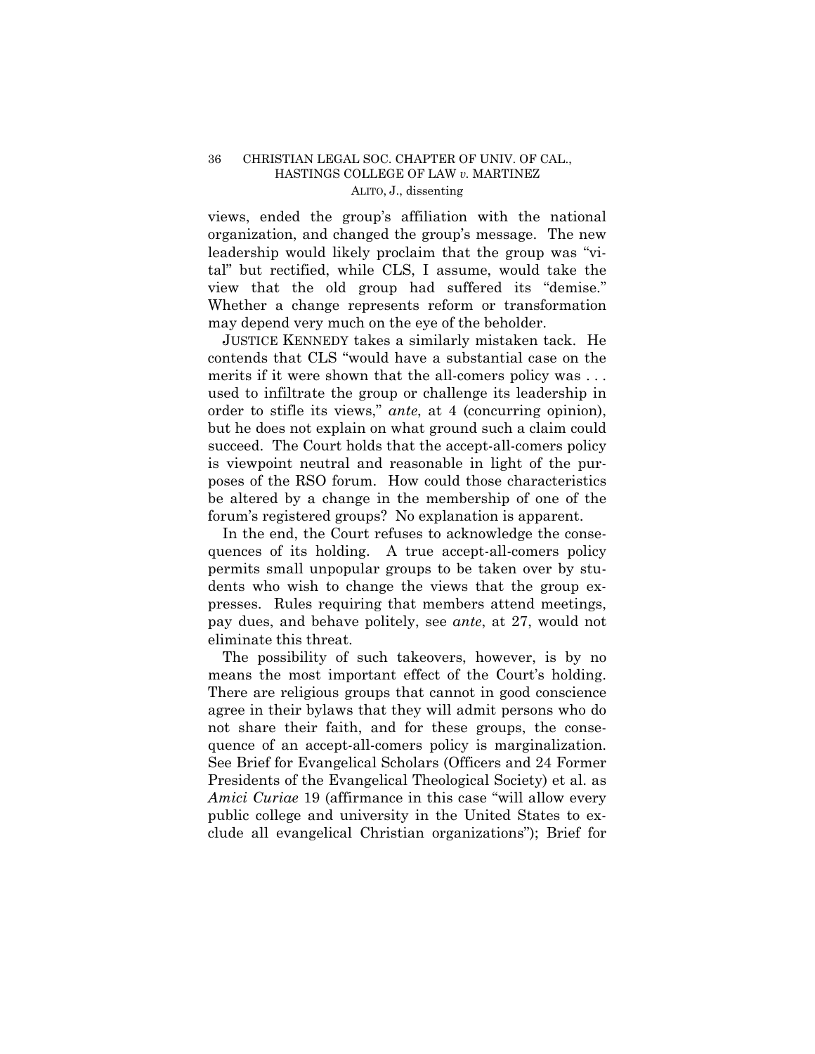views, ended the group's affiliation with the national organization, and changed the group's message. The new leadership would likely proclaim that the group was "vital" but rectified, while CLS, I assume, would take the view that the old group had suffered its "demise." Whether a change represents reform or transformation may depend very much on the eye of the beholder.

JUSTICE KENNEDY takes a similarly mistaken tack. He contends that CLS "would have a substantial case on the merits if it were shown that the all-comers policy was . . . used to infiltrate the group or challenge its leadership in order to stifle its views," *ante*, at 4 (concurring opinion), but he does not explain on what ground such a claim could succeed. The Court holds that the accept-all-comers policy is viewpoint neutral and reasonable in light of the purposes of the RSO forum. How could those characteristics be altered by a change in the membership of one of the forum's registered groups? No explanation is apparent.

In the end, the Court refuses to acknowledge the consequences of its holding. A true accept-all-comers policy permits small unpopular groups to be taken over by students who wish to change the views that the group expresses. Rules requiring that members attend meetings, pay dues, and behave politely, see *ante*, at 27, would not eliminate this threat.

The possibility of such takeovers, however, is by no means the most important effect of the Court's holding. There are religious groups that cannot in good conscience agree in their bylaws that they will admit persons who do not share their faith, and for these groups, the consequence of an accept-all-comers policy is marginalization. See Brief for Evangelical Scholars (Officers and 24 Former Presidents of the Evangelical Theological Society) et al. as *Amici Curiae* 19 (affirmance in this case "will allow every public college and university in the United States to exclude all evangelical Christian organizations"); Brief for